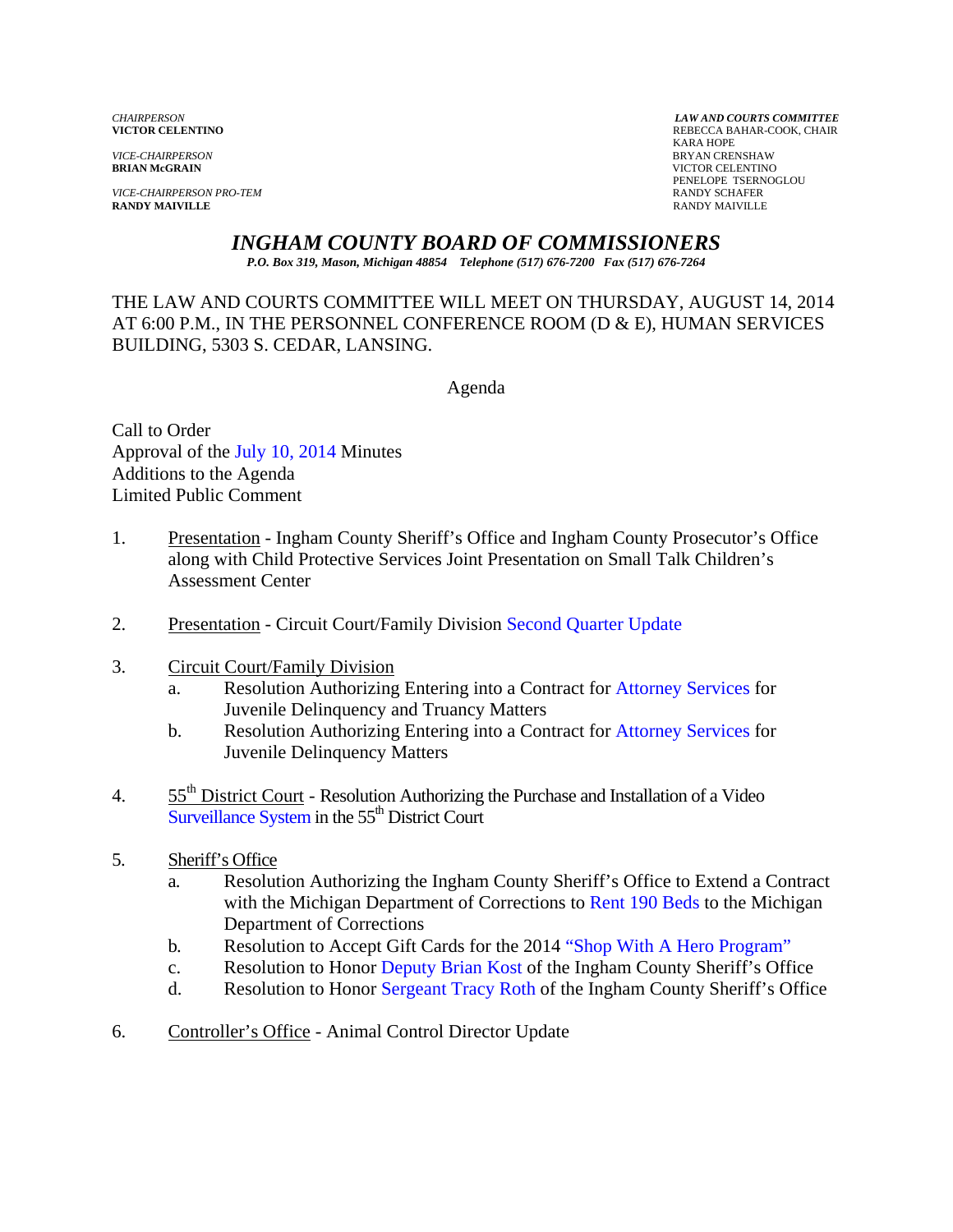*VICE-CHAIRPERSON* BRYAN CRENSHAW

*VICE-CHAIRPERSON PRO-TEM* **RANDY SCHAFER RANDY SCHAFER RANDY SCHAFER RANDY SCHAFER RANDY MAIVILLE RANDY MAIVILLE** RANDY MAIVILLE

*CHAIRPERSON LAW AND COURTS COMMITTEE* REBECCA BAHAR-COOK, CHAIR<br>KARA HOPE KARA HOPE **VICTOR CELENTINO** PENELOPE TSERNOGLOU

### *INGHAM COUNTY BOARD OF COMMISSIONERS*

*P.O. Box 319, Mason, Michigan 48854 Telephone (517) 676-7200 Fax (517) 676-7264*

THE LAW AND COURTS COMMITTEE WILL MEET ON THURSDAY, AUGUST 14, 2014 AT 6:00 P.M., IN THE PERSONNEL CONFERENCE ROOM (D & E), HUMAN SERVICES BUILDING, 5303 S. CEDAR, LANSING.

Agenda

Call to Order Approval [of the July 10, 2014 Minutes](#page-2-0)  Additions to the Agenda Limited Public Comment

- 1. Presentation Ingham County Sheriff's Office and Ingham County Prosecutor's Office along with Child Protective Services Joint Presentation on Small Talk Children's Assessment Center
- 2. Presentation Circuit Court/Family Division Second Quarter Update
- 3. Circuit Court/Family Division
	- a. Resolution Authorizing Entering into a Contract [for Attorney Services for](#page-13-0)  Juvenile Delinquency and Truancy Matters
	- b. Resolution Authorizing Entering into a Contract f[or Attorney Services for](#page-15-0)  Juvenile Delinquency Matters
- 4. 55<sup>th</sup> District Court Resolution Authorizing the Purchase and Installation of a Video Surveillance System in the 55<sup>th</sup> District Court
- 5. Sheriff's Office
	- a. Resolution Authorizing the Ingham County Sheriff's Office to Extend a Contract with the Michigan Department of Corrections to Rent 190 Beds to the Michigan Department of Corrections
	- b. Resolution to Accept Gift Cards for the 2014 ["Shop With A Hero Program"](#page-21-0)
	- c. Resolution to Ho[nor Deputy Brian Kost](#page-23-0) of the Ingham County Sheriff's Office
	- d. Resolution to Ho[nor Sergeant Tracy Roth](#page-25-0) of the Ingham County Sheriff's Office
- 6. Controller's Office Animal Control Director Update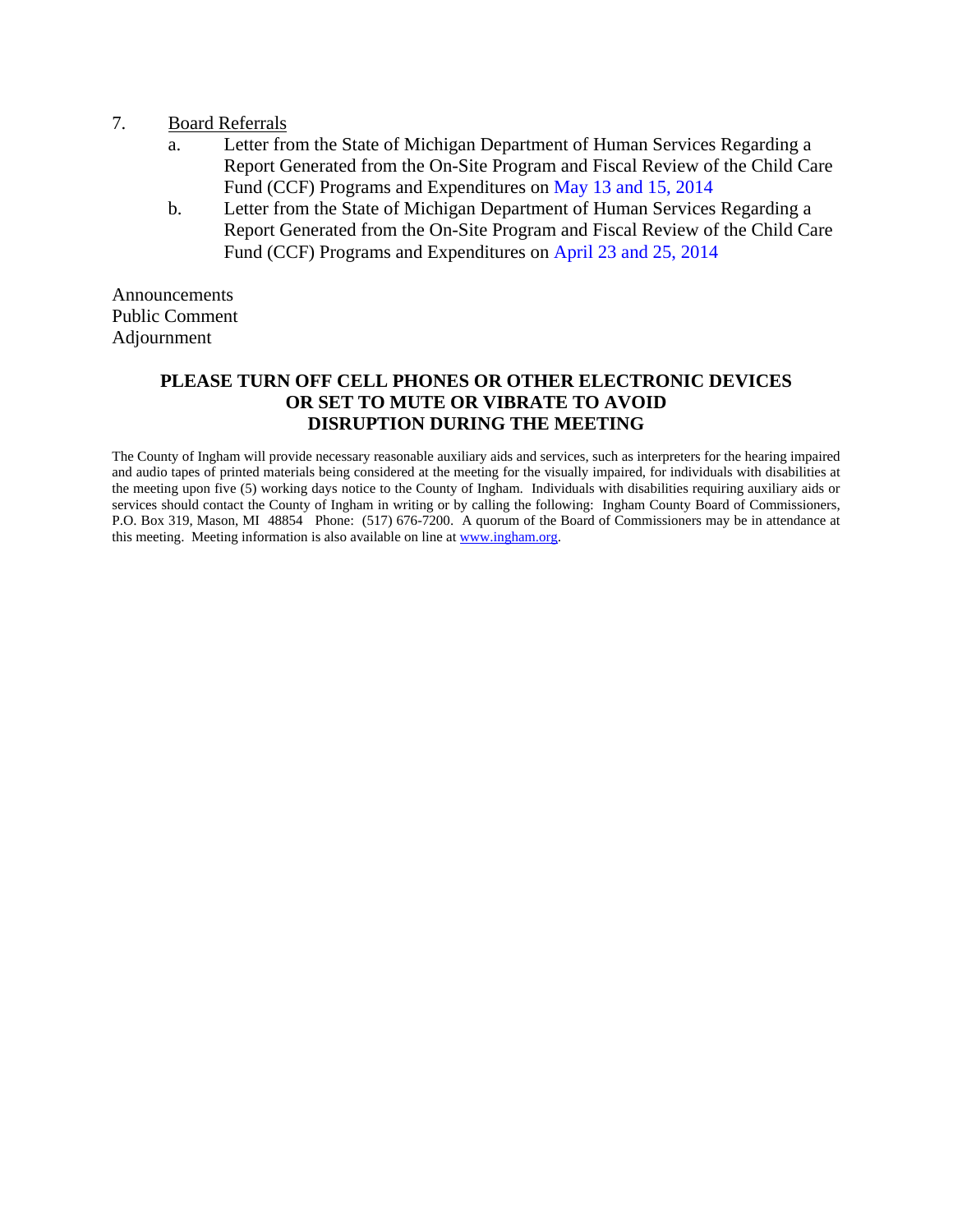- 7. Board Referrals
	- a. Letter from the State of Michigan Department of Human Services Regarding a Report Generated from the On-Site Program and Fiscal Review of the Child Care Fund (CCF) Programs and Expenditur[es on May 13 and 15, 2014](#page-27-0)
	- b. Letter from the State of Michigan Department of Human Services Regarding a Report Generated from the On-Site Program and Fiscal Review of the Child Care Fund (CCF) Programs and Expenditures [on April 23 and 25, 2014](#page-34-0)

Announcements Public Comment Adjournment

### **PLEASE TURN OFF CELL PHONES OR OTHER ELECTRONIC DEVICES OR SET TO MUTE OR VIBRATE TO AVOID DISRUPTION DURING THE MEETING**

The County of Ingham will provide necessary reasonable auxiliary aids and services, such as interpreters for the hearing impaired and audio tapes of printed materials being considered at the meeting for the visually impaired, for individuals with disabilities at the meeting upon five (5) working days notice to the County of Ingham. Individuals with disabilities requiring auxiliary aids or services should contact the County of Ingham in writing or by calling the following: Ingham County Board of Commissioners, P.O. Box 319, Mason, MI 48854 Phone: (517) 676-7200. A quorum of the Board of Commissioners may be in attendance at this meeting. Meeting information is also available on line at www.ingham.org.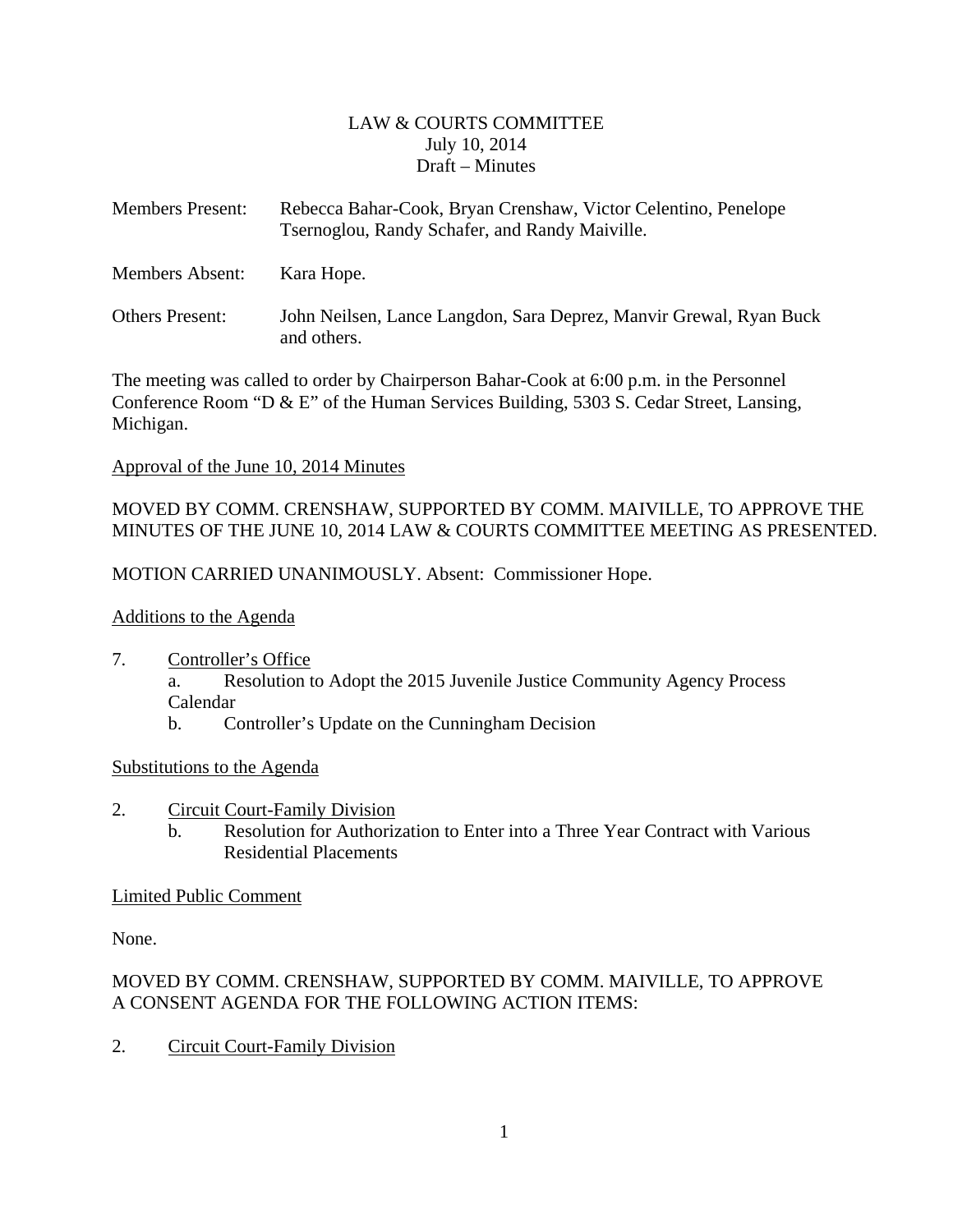### LAW & COURTS COMMITTEE July 10, 2014 Draft – Minutes

<span id="page-2-0"></span>

| <b>Members Present:</b> | Rebecca Bahar-Cook, Bryan Crenshaw, Victor Celentino, Penelope<br>Tsernoglou, Randy Schafer, and Randy Maiville. |
|-------------------------|------------------------------------------------------------------------------------------------------------------|
| Members Absent:         | Kara Hope.                                                                                                       |
| <b>Others Present:</b>  | John Neilsen, Lance Langdon, Sara Deprez, Manvir Grewal, Ryan Buck<br>and others.                                |

The meeting was called to order by Chairperson Bahar-Cook at 6:00 p.m. in the Personnel Conference Room "D & E" of the Human Services Building, 5303 S. Cedar Street, Lansing, Michigan.

### Approval of the June 10, 2014 Minutes

MOVED BY COMM. CRENSHAW, SUPPORTED BY COMM. MAIVILLE, TO APPROVE THE MINUTES OF THE JUNE 10, 2014 LAW & COURTS COMMITTEE MEETING AS PRESENTED.

MOTION CARRIED UNANIMOUSLY. Absent: Commissioner Hope.

### Additions to the Agenda

- 7. Controller's Office
	- a. Resolution to Adopt the 2015 Juvenile Justice Community Agency Process Calendar
	- b. Controller's Update on the Cunningham Decision

### Substitutions to the Agenda

- 2. Circuit Court-Family Division
	- b. Resolution for Authorization to Enter into a Three Year Contract with Various Residential Placements

### Limited Public Comment

None.

### MOVED BY COMM. CRENSHAW, SUPPORTED BY COMM. MAIVILLE, TO APPROVE A CONSENT AGENDA FOR THE FOLLOWING ACTION ITEMS:

2. Circuit Court-Family Division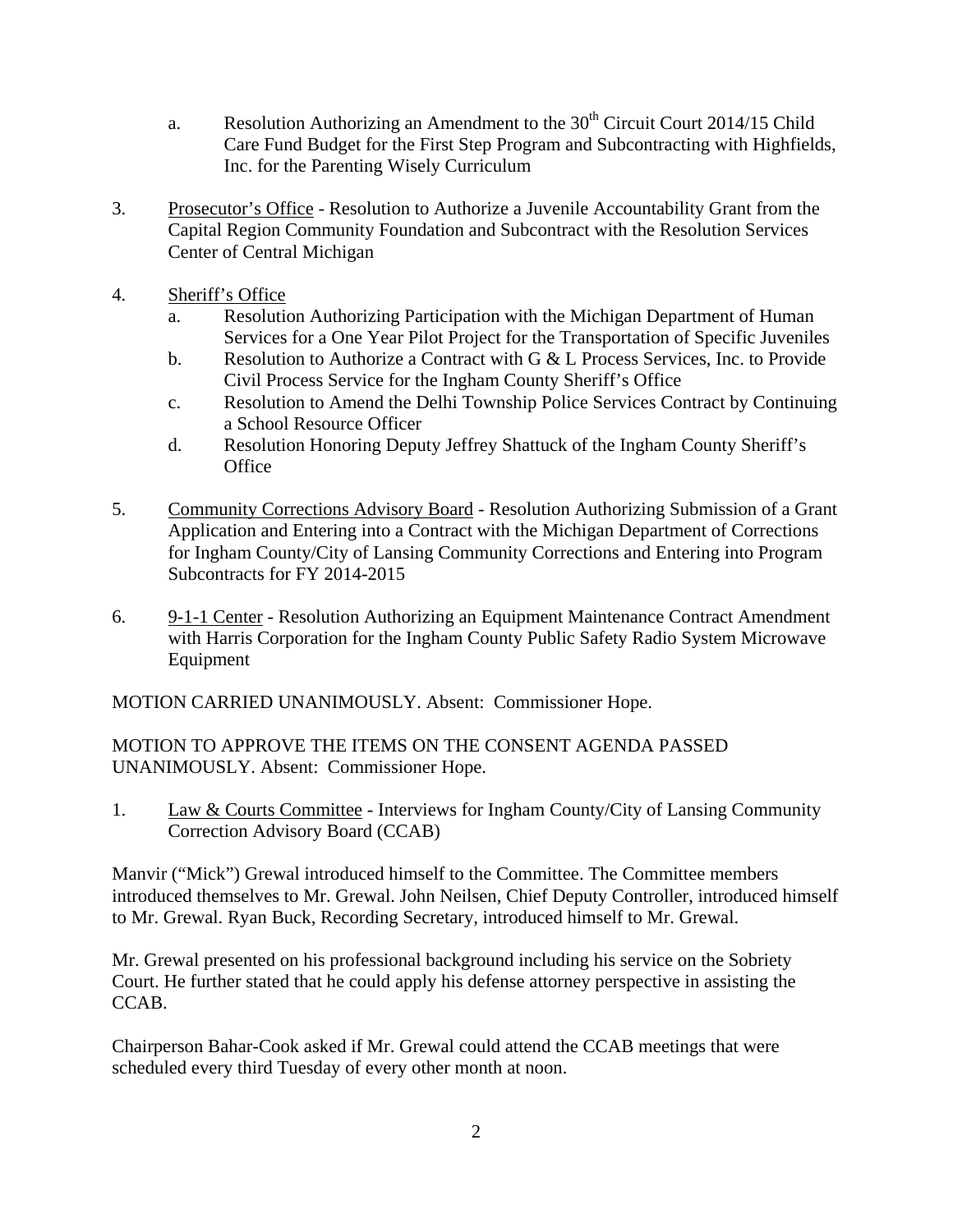- a. Resolution Authorizing an Amendment to the  $30<sup>th</sup>$  Circuit Court 2014/15 Child Care Fund Budget for the First Step Program and Subcontracting with Highfields, Inc. for the Parenting Wisely Curriculum
- 3. Prosecutor's Office Resolution to Authorize a Juvenile Accountability Grant from the Capital Region Community Foundation and Subcontract with the Resolution Services Center of Central Michigan
- 4. Sheriff's Office
	- a. Resolution Authorizing Participation with the Michigan Department of Human Services for a One Year Pilot Project for the Transportation of Specific Juveniles
	- b. Resolution to Authorize a Contract with G & L Process Services, Inc. to Provide Civil Process Service for the Ingham County Sheriff's Office
	- c. Resolution to Amend the Delhi Township Police Services Contract by Continuing a School Resource Officer
	- d. Resolution Honoring Deputy Jeffrey Shattuck of the Ingham County Sheriff's **Office**
- 5. Community Corrections Advisory Board Resolution Authorizing Submission of a Grant Application and Entering into a Contract with the Michigan Department of Corrections for Ingham County/City of Lansing Community Corrections and Entering into Program Subcontracts for FY 2014-2015
- 6. 9-1-1 Center Resolution Authorizing an Equipment Maintenance Contract Amendment with Harris Corporation for the Ingham County Public Safety Radio System Microwave Equipment

MOTION CARRIED UNANIMOUSLY. Absent: Commissioner Hope.

MOTION TO APPROVE THE ITEMS ON THE CONSENT AGENDA PASSED UNANIMOUSLY. Absent: Commissioner Hope.

1. Law & Courts Committee - Interviews for Ingham County/City of Lansing Community Correction Advisory Board (CCAB)

Manvir ("Mick") Grewal introduced himself to the Committee. The Committee members introduced themselves to Mr. Grewal. John Neilsen, Chief Deputy Controller, introduced himself to Mr. Grewal. Ryan Buck, Recording Secretary, introduced himself to Mr. Grewal.

Mr. Grewal presented on his professional background including his service on the Sobriety Court. He further stated that he could apply his defense attorney perspective in assisting the CCAB.

Chairperson Bahar-Cook asked if Mr. Grewal could attend the CCAB meetings that were scheduled every third Tuesday of every other month at noon.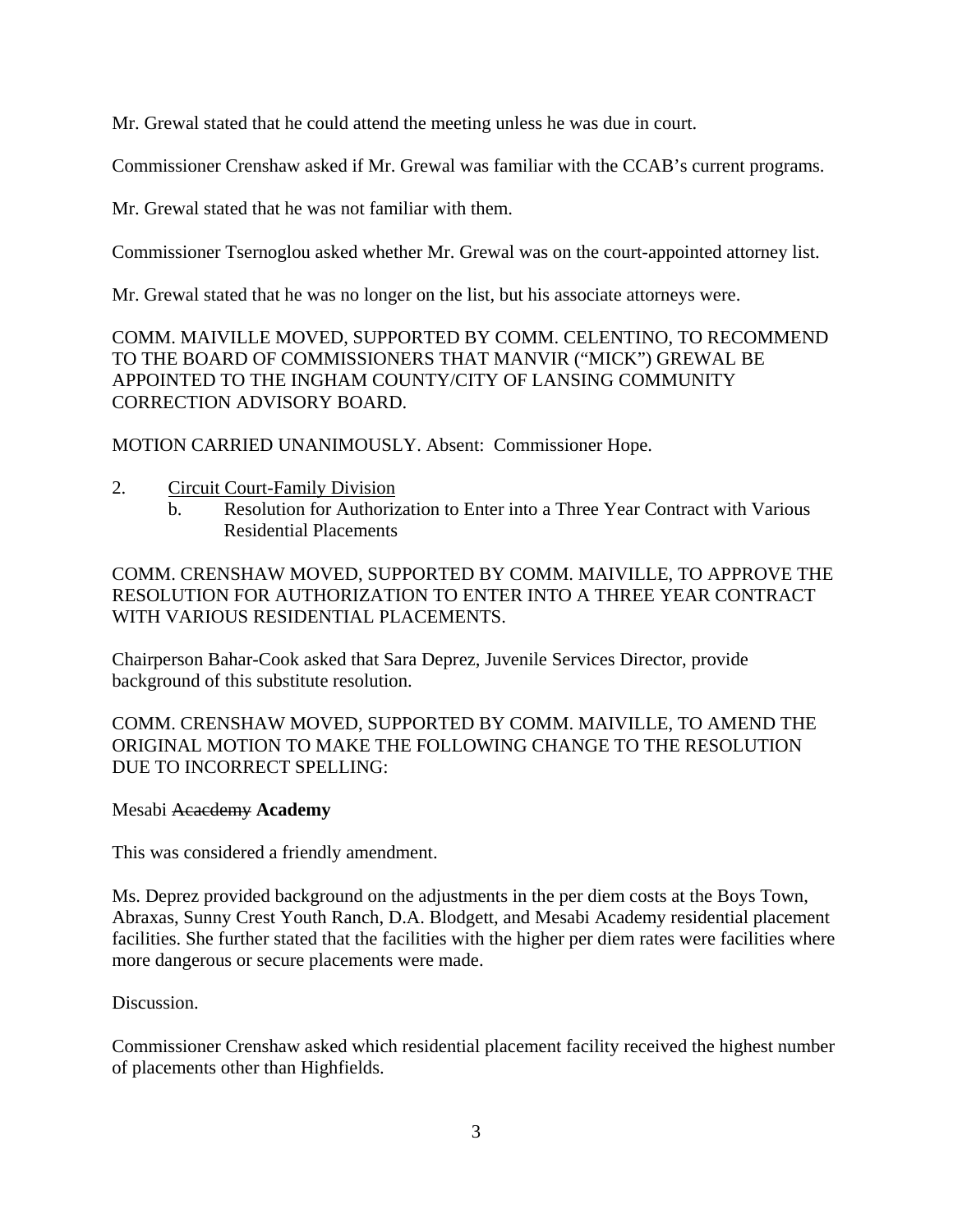Mr. Grewal stated that he could attend the meeting unless he was due in court.

Commissioner Crenshaw asked if Mr. Grewal was familiar with the CCAB's current programs.

Mr. Grewal stated that he was not familiar with them.

Commissioner Tsernoglou asked whether Mr. Grewal was on the court-appointed attorney list.

Mr. Grewal stated that he was no longer on the list, but his associate attorneys were.

COMM. MAIVILLE MOVED, SUPPORTED BY COMM. CELENTINO, TO RECOMMEND TO THE BOARD OF COMMISSIONERS THAT MANVIR ("MICK") GREWAL BE APPOINTED TO THE INGHAM COUNTY/CITY OF LANSING COMMUNITY CORRECTION ADVISORY BOARD.

MOTION CARRIED UNANIMOUSLY. Absent: Commissioner Hope.

### 2. Circuit Court-Family Division

b. Resolution for Authorization to Enter into a Three Year Contract with Various Residential Placements

COMM. CRENSHAW MOVED, SUPPORTED BY COMM. MAIVILLE, TO APPROVE THE RESOLUTION FOR AUTHORIZATION TO ENTER INTO A THREE YEAR CONTRACT WITH VARIOUS RESIDENTIAL PLACEMENTS.

Chairperson Bahar-Cook asked that Sara Deprez, Juvenile Services Director, provide background of this substitute resolution.

COMM. CRENSHAW MOVED, SUPPORTED BY COMM. MAIVILLE, TO AMEND THE ORIGINAL MOTION TO MAKE THE FOLLOWING CHANGE TO THE RESOLUTION DUE TO INCORRECT SPELLING:

### Mesabi Acacdemy **Academy**

This was considered a friendly amendment.

Ms. Deprez provided background on the adjustments in the per diem costs at the Boys Town, Abraxas, Sunny Crest Youth Ranch, D.A. Blodgett, and Mesabi Academy residential placement facilities. She further stated that the facilities with the higher per diem rates were facilities where more dangerous or secure placements were made.

### Discussion.

Commissioner Crenshaw asked which residential placement facility received the highest number of placements other than Highfields.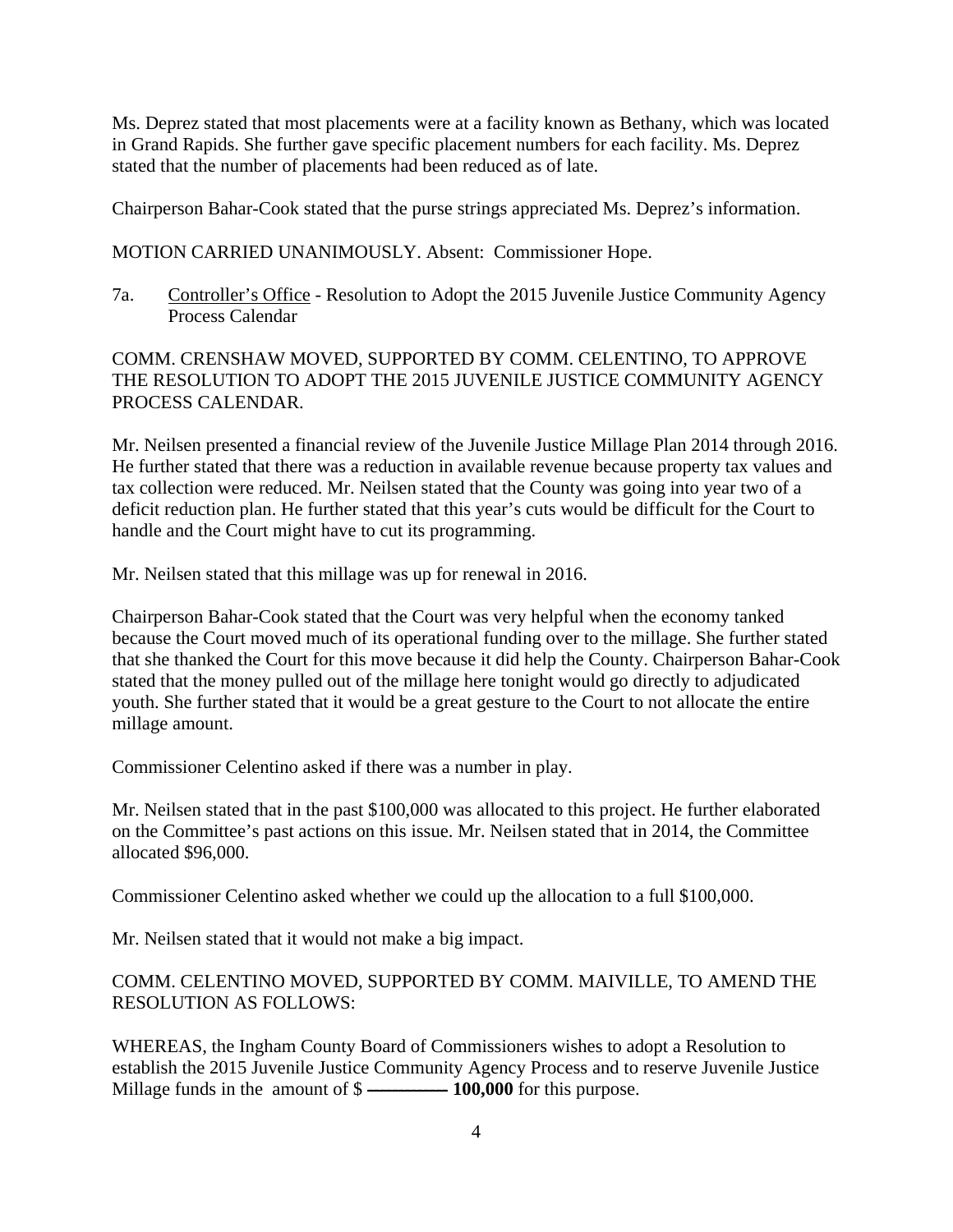Ms. Deprez stated that most placements were at a facility known as Bethany, which was located in Grand Rapids. She further gave specific placement numbers for each facility. Ms. Deprez stated that the number of placements had been reduced as of late.

Chairperson Bahar-Cook stated that the purse strings appreciated Ms. Deprez's information.

MOTION CARRIED UNANIMOUSLY. Absent: Commissioner Hope.

7a. Controller's Office - Resolution to Adopt the 2015 Juvenile Justice Community Agency Process Calendar

COMM. CRENSHAW MOVED, SUPPORTED BY COMM. CELENTINO, TO APPROVE THE RESOLUTION TO ADOPT THE 2015 JUVENILE JUSTICE COMMUNITY AGENCY PROCESS CALENDAR.

Mr. Neilsen presented a financial review of the Juvenile Justice Millage Plan 2014 through 2016. He further stated that there was a reduction in available revenue because property tax values and tax collection were reduced. Mr. Neilsen stated that the County was going into year two of a deficit reduction plan. He further stated that this year's cuts would be difficult for the Court to handle and the Court might have to cut its programming.

Mr. Neilsen stated that this millage was up for renewal in 2016.

Chairperson Bahar-Cook stated that the Court was very helpful when the economy tanked because the Court moved much of its operational funding over to the millage. She further stated that she thanked the Court for this move because it did help the County. Chairperson Bahar-Cook stated that the money pulled out of the millage here tonight would go directly to adjudicated youth. She further stated that it would be a great gesture to the Court to not allocate the entire millage amount.

Commissioner Celentino asked if there was a number in play.

Mr. Neilsen stated that in the past \$100,000 was allocated to this project. He further elaborated on the Committee's past actions on this issue. Mr. Neilsen stated that in 2014, the Committee allocated \$96,000.

Commissioner Celentino asked whether we could up the allocation to a full \$100,000.

Mr. Neilsen stated that it would not make a big impact.

### COMM. CELENTINO MOVED, SUPPORTED BY COMM. MAIVILLE, TO AMEND THE RESOLUTION AS FOLLOWS:

WHEREAS, the Ingham County Board of Commissioners wishes to adopt a Resolution to establish the 2015 Juvenile Justice Community Agency Process and to reserve Juvenile Justice Millage funds in the amount of \$ ------------- **100,000** for this purpose.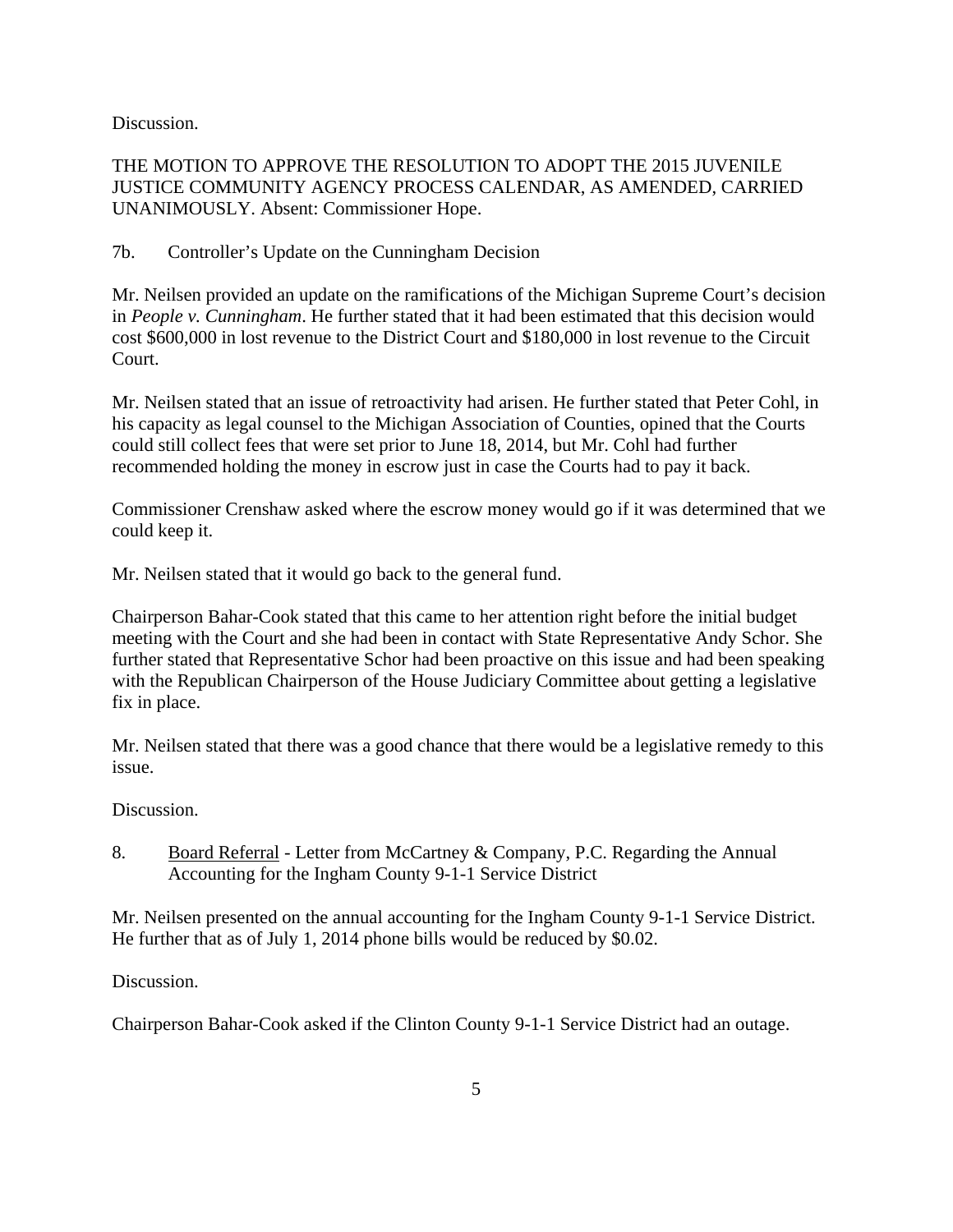Discussion.

### THE MOTION TO APPROVE THE RESOLUTION TO ADOPT THE 2015 JUVENILE JUSTICE COMMUNITY AGENCY PROCESS CALENDAR, AS AMENDED, CARRIED UNANIMOUSLY. Absent: Commissioner Hope.

7b. Controller's Update on the Cunningham Decision

Mr. Neilsen provided an update on the ramifications of the Michigan Supreme Court's decision in *People v. Cunningham*. He further stated that it had been estimated that this decision would cost \$600,000 in lost revenue to the District Court and \$180,000 in lost revenue to the Circuit Court.

Mr. Neilsen stated that an issue of retroactivity had arisen. He further stated that Peter Cohl, in his capacity as legal counsel to the Michigan Association of Counties, opined that the Courts could still collect fees that were set prior to June 18, 2014, but Mr. Cohl had further recommended holding the money in escrow just in case the Courts had to pay it back.

Commissioner Crenshaw asked where the escrow money would go if it was determined that we could keep it.

Mr. Neilsen stated that it would go back to the general fund.

Chairperson Bahar-Cook stated that this came to her attention right before the initial budget meeting with the Court and she had been in contact with State Representative Andy Schor. She further stated that Representative Schor had been proactive on this issue and had been speaking with the Republican Chairperson of the House Judiciary Committee about getting a legislative fix in place.

Mr. Neilsen stated that there was a good chance that there would be a legislative remedy to this issue.

Discussion.

8. Board Referral - Letter from McCartney & Company, P.C. Regarding the Annual Accounting for the Ingham County 9-1-1 Service District

Mr. Neilsen presented on the annual accounting for the Ingham County 9-1-1 Service District. He further that as of July 1, 2014 phone bills would be reduced by \$0.02.

Discussion.

Chairperson Bahar-Cook asked if the Clinton County 9-1-1 Service District had an outage.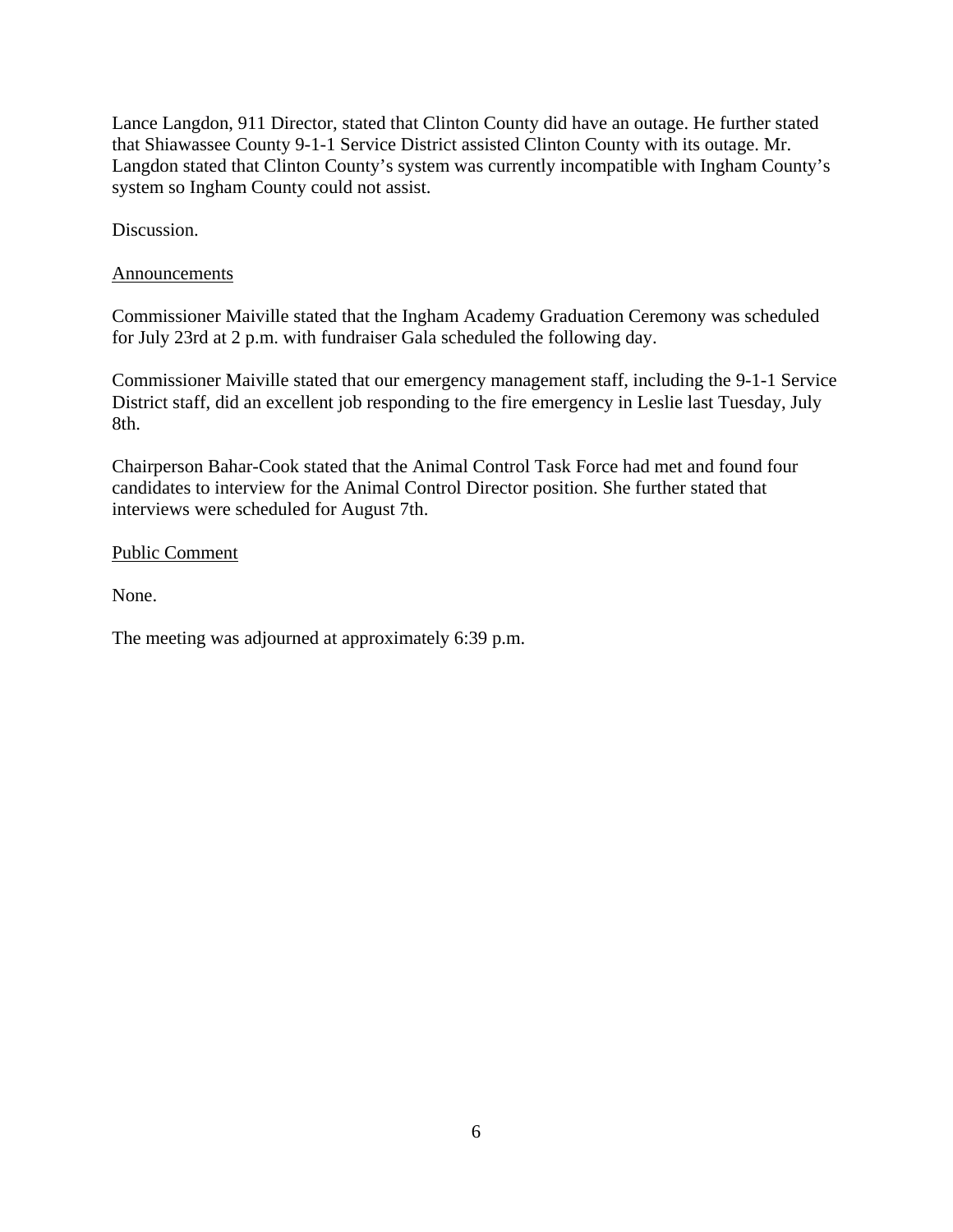Lance Langdon, 911 Director, stated that Clinton County did have an outage. He further stated that Shiawassee County 9-1-1 Service District assisted Clinton County with its outage. Mr. Langdon stated that Clinton County's system was currently incompatible with Ingham County's system so Ingham County could not assist.

Discussion.

### Announcements

Commissioner Maiville stated that the Ingham Academy Graduation Ceremony was scheduled for July 23rd at 2 p.m. with fundraiser Gala scheduled the following day.

Commissioner Maiville stated that our emergency management staff, including the 9-1-1 Service District staff, did an excellent job responding to the fire emergency in Leslie last Tuesday, July 8th.

Chairperson Bahar-Cook stated that the Animal Control Task Force had met and found four candidates to interview for the Animal Control Director position. She further stated that interviews were scheduled for August 7th.

### Public Comment

None.

The meeting was adjourned at approximately 6:39 p.m.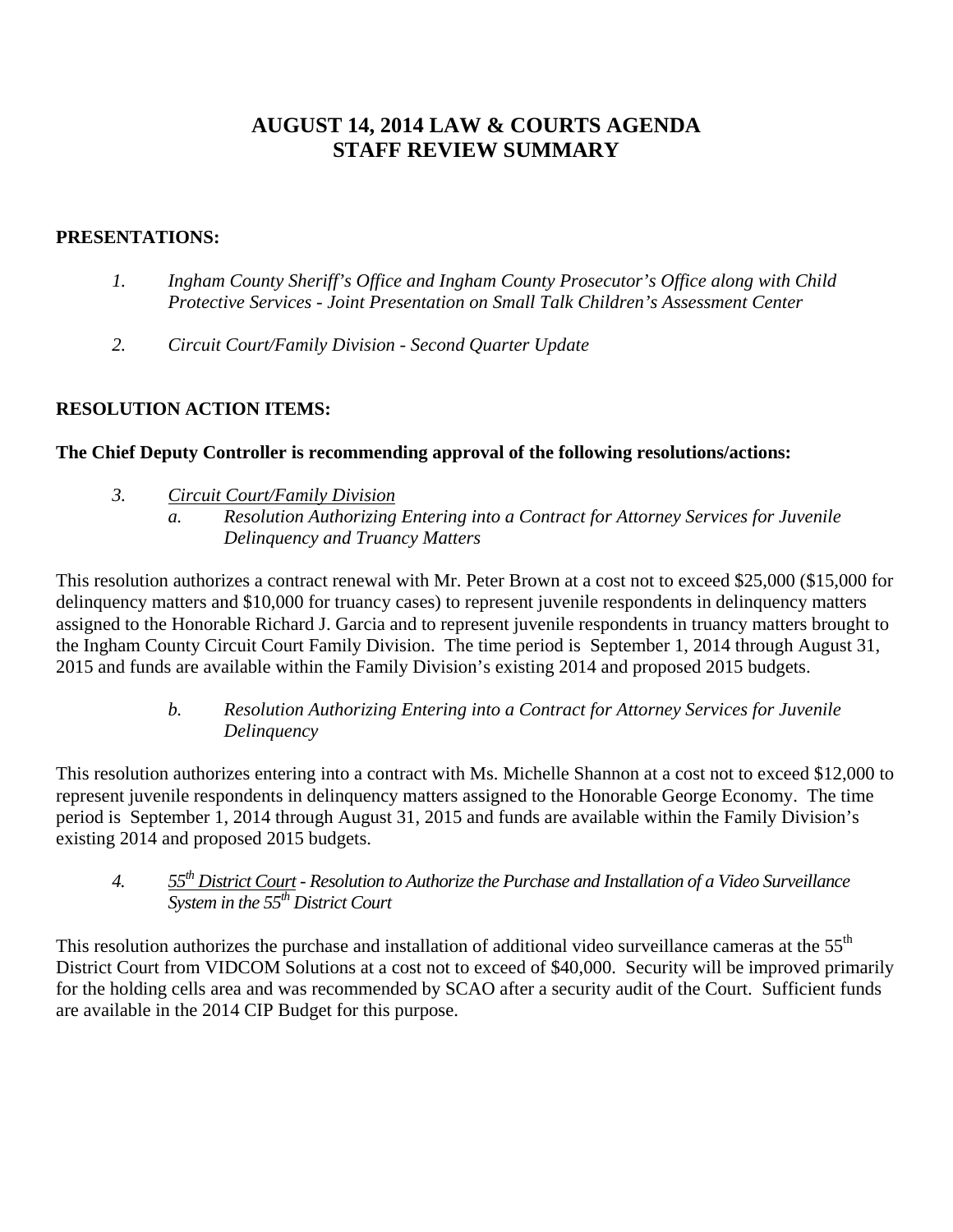## **AUGUST 14, 2014 LAW & COURTS AGENDA STAFF REVIEW SUMMARY**

### **PRESENTATIONS:**

- *1. Ingham County Sheriff's Office and Ingham County Prosecutor's Office along with Child Protective Services* - *Joint Presentation on Small Talk Children's Assessment Center*
- *2. Circuit Court/Family Division Second Quarter Update*

### **RESOLUTION ACTION ITEMS:**

### **The Chief Deputy Controller is recommending approval of the following resolutions/actions:**

- *3. Circuit Court/Family Division* 
	- *a. Resolution Authorizing Entering into a Contract for Attorney Services for Juvenile Delinquency and Truancy Matters*

This resolution authorizes a contract renewal with Mr. Peter Brown at a cost not to exceed \$25,000 (\$15,000 for delinquency matters and \$10,000 for truancy cases) to represent juvenile respondents in delinquency matters assigned to the Honorable Richard J. Garcia and to represent juvenile respondents in truancy matters brought to the Ingham County Circuit Court Family Division. The time period is September 1, 2014 through August 31, 2015 and funds are available within the Family Division's existing 2014 and proposed 2015 budgets.

> *b. Resolution Authorizing Entering into a Contract for Attorney Services for Juvenile Delinquency*

This resolution authorizes entering into a contract with Ms. Michelle Shannon at a cost not to exceed \$12,000 to represent juvenile respondents in delinquency matters assigned to the Honorable George Economy. The time period is September 1, 2014 through August 31, 2015 and funds are available within the Family Division's existing 2014 and proposed 2015 budgets.

*4. 55th District Court - Resolution to Authorize the Purchase and Installation of a Video Surveillance System in the 55th District Court* 

This resolution authorizes the purchase and installation of additional video surveillance cameras at the 55<sup>th</sup> District Court from VIDCOM Solutions at a cost not to exceed of \$40,000. Security will be improved primarily for the holding cells area and was recommended by SCAO after a security audit of the Court. Sufficient funds are available in the 2014 CIP Budget for this purpose.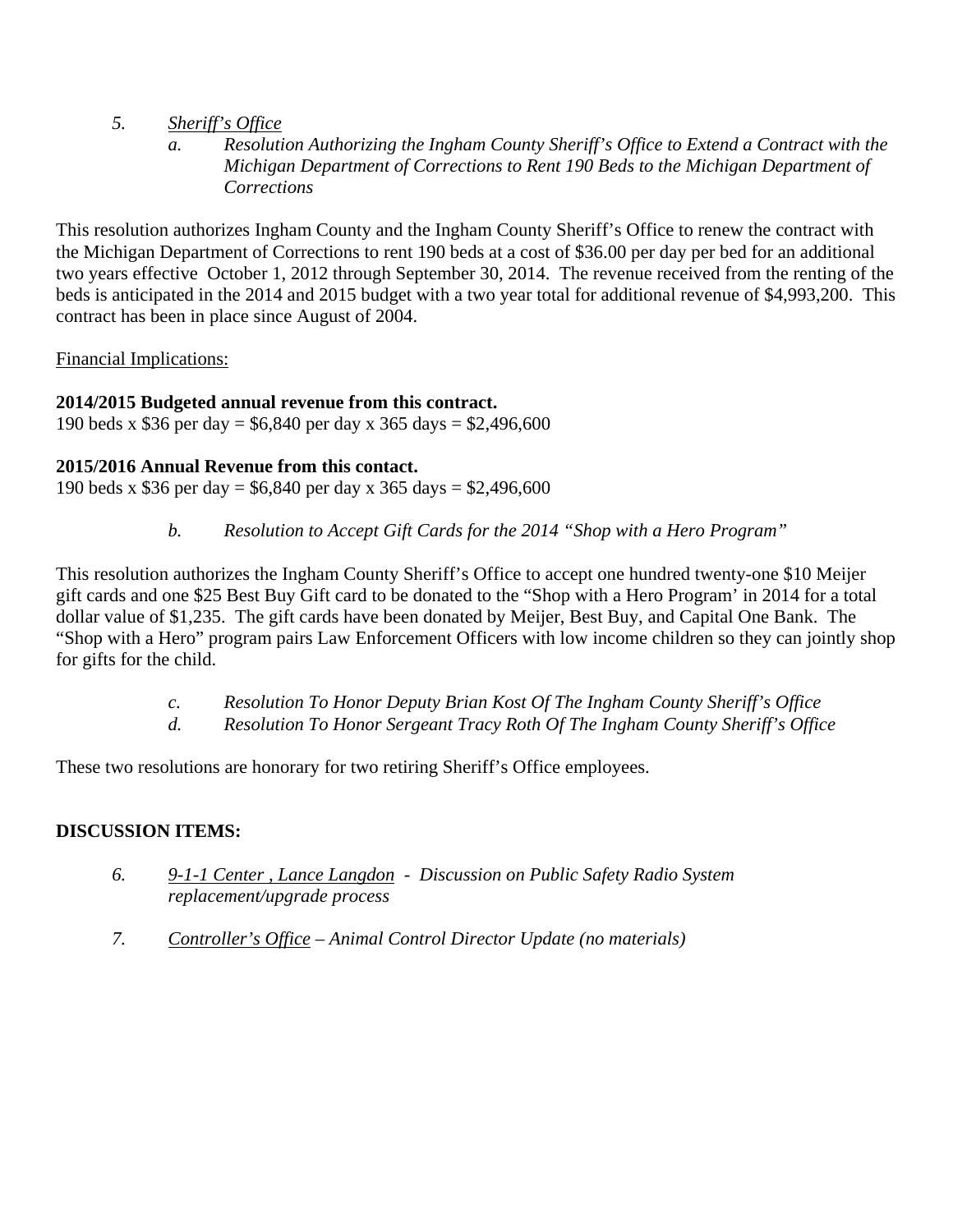- *5. Sheriff's Office* 
	- *a. Resolution Authorizing the Ingham County Sheriff's Office to Extend a Contract with the Michigan Department of Corrections to Rent 190 Beds to the Michigan Department of Corrections*

This resolution authorizes Ingham County and the Ingham County Sheriff's Office to renew the contract with the Michigan Department of Corrections to rent 190 beds at a cost of \$36.00 per day per bed for an additional two years effective October 1, 2012 through September 30, 2014. The revenue received from the renting of the beds is anticipated in the 2014 and 2015 budget with a two year total for additional revenue of \$4,993,200. This contract has been in place since August of 2004.

Financial Implications:

### **2014/2015 Budgeted annual revenue from this contract.**

190 beds x \$36 per day = \$6,840 per day x 365 days = \$2,496,600

### **2015/2016 Annual Revenue from this contact.**

190 beds x \$36 per day = \$6,840 per day x 365 days = \$2,496,600

*b. Resolution to Accept Gift Cards for the 2014 "Shop with a Hero Program"* 

This resolution authorizes the Ingham County Sheriff's Office to accept one hundred twenty-one \$10 Meijer gift cards and one \$25 Best Buy Gift card to be donated to the "Shop with a Hero Program' in 2014 for a total dollar value of \$1,235. The gift cards have been donated by Meijer, Best Buy, and Capital One Bank. The "Shop with a Hero" program pairs Law Enforcement Officers with low income children so they can jointly shop for gifts for the child.

- *c. Resolution To Honor Deputy Brian Kost Of The Ingham County Sheriff's Office*
- *d. Resolution To Honor Sergeant Tracy Roth Of The Ingham County Sheriff's Office*

These two resolutions are honorary for two retiring Sheriff's Office employees.

### **DISCUSSION ITEMS:**

- *6. 9-1-1 Center , Lance Langdon Discussion on Public Safety Radio System replacement/upgrade process*
- *7. Controller's Office Animal Control Director Update (no materials)*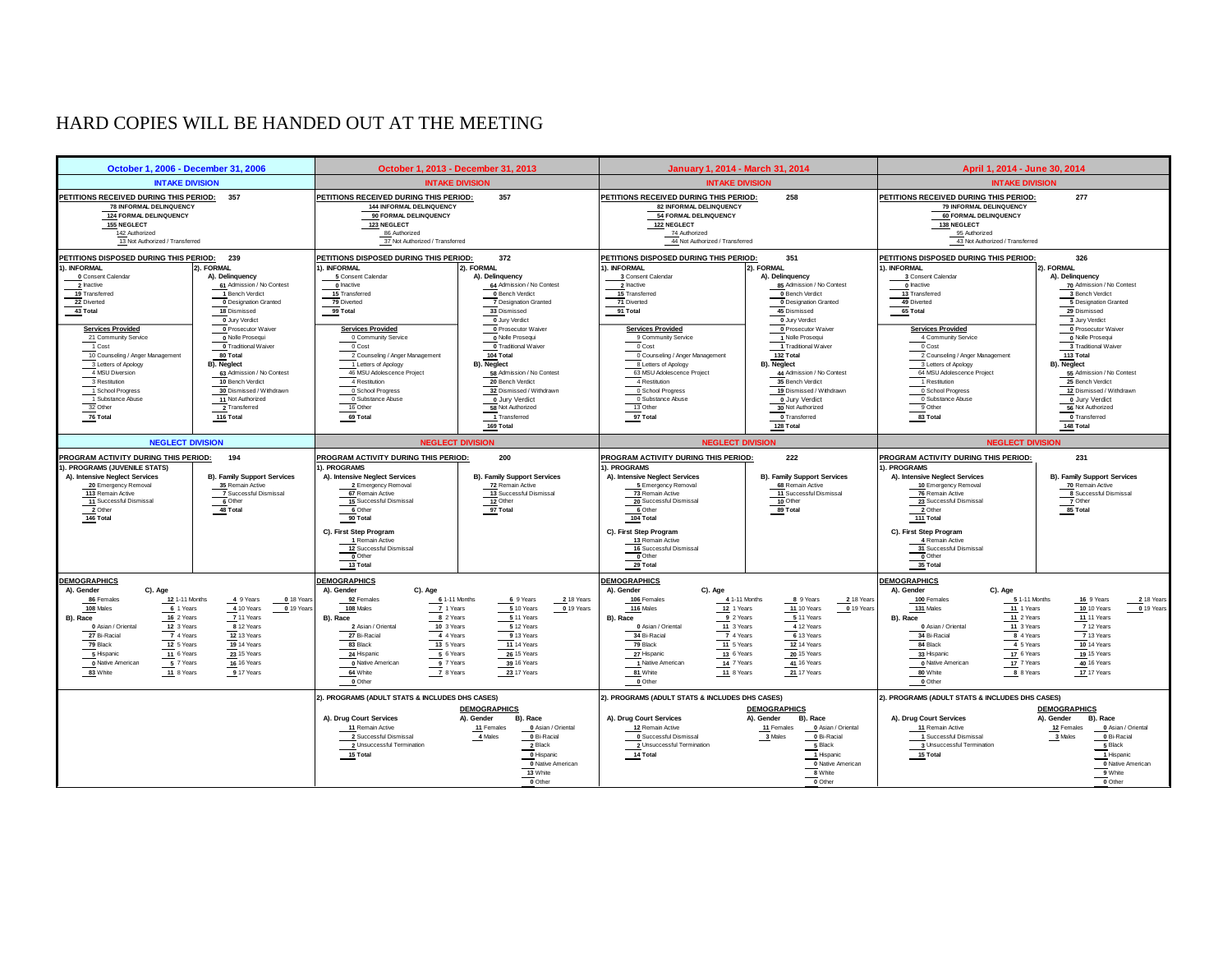### <span id="page-10-0"></span>HARD COPIES WILL BE HANDED OUT AT THE MEETING

| October 1, 2006 - December 31, 2006                                                                                                         |                                                                                                                                                                                                             | October 1, 2013 - December 31, 2013                                                                                                                       |                                                                                                           | January 1, 2014 - March 31, 2014                                                                                                          |                                                                                                           | April 1, 2014 - June 30, 2014                                                                                                     |                                                                                             |
|---------------------------------------------------------------------------------------------------------------------------------------------|-------------------------------------------------------------------------------------------------------------------------------------------------------------------------------------------------------------|-----------------------------------------------------------------------------------------------------------------------------------------------------------|-----------------------------------------------------------------------------------------------------------|-------------------------------------------------------------------------------------------------------------------------------------------|-----------------------------------------------------------------------------------------------------------|-----------------------------------------------------------------------------------------------------------------------------------|---------------------------------------------------------------------------------------------|
|                                                                                                                                             | <b>INTAKE DIVISION</b><br><b>INTAKE DIVISION</b>                                                                                                                                                            |                                                                                                                                                           | <b>INTAKE DIVISION</b>                                                                                    |                                                                                                                                           | <b>INTAKE DIVISION</b>                                                                                    |                                                                                                                                   |                                                                                             |
| 124 FORMAL DELINQUENCY<br><b>155 NEGLECT</b><br>142 Authorized                                                                              | PETITIONS RECEIVED DURING THIS PERIOD:<br>357<br>PETITIONS RECEIVED DURING THIS PERIOD: 357<br>78 INFORMAL DELINQUENCY<br>144 INFORMAL DELINQUENCY<br>90 FORMAL DELINQUENCY<br>123 NEGLECT<br>86 Authorized |                                                                                                                                                           |                                                                                                           | PETITIONS RECEIVED DURING THIS PERIOD:<br>258<br>82 INFORMAL DELINQUENCY<br>54 FORMAL DELINQUENCY<br>122 NEGLECT<br>74 Authorized         |                                                                                                           | 277<br>PETITIONS RECEIVED DURING THIS PERIOD:<br>79 INFORMAL DELINQUENCY<br>60 FORMAL DELINQUENCY<br>138 NEGLECT<br>95 Authorized |                                                                                             |
| 13 Not Authorized / Transferred                                                                                                             |                                                                                                                                                                                                             | 37 Not Authorized / Transferred                                                                                                                           |                                                                                                           | 44 Not Authorized / Transferred                                                                                                           |                                                                                                           | 43 Not Authorized / Transferred                                                                                                   |                                                                                             |
| PETITIONS DISPOSED DURING THIS PERIOD: 239<br>1). INFORMAL                                                                                  | 2). FORMAL                                                                                                                                                                                                  | PETITIONS DISPOSED DURING THIS PERIOD:<br>1). INFORMAL                                                                                                    | 372<br>2). FORMAL                                                                                         | PETITIONS DISPOSED DURING THIS PERIOD:<br>1). INFORMAL                                                                                    | 351<br>2). FORMAL                                                                                         | PETITIONS DISPOSED DURING THIS PERIOD:<br>1). INFORMAL                                                                            | 326<br>2). FORMAL                                                                           |
| 0 Consent Calendar                                                                                                                          | A). Delinquency                                                                                                                                                                                             | 5 Consent Calendar                                                                                                                                        | A). Delinquency                                                                                           | 3 Consent Calendar                                                                                                                        | A). Delinquency                                                                                           | 3 Consent Calendar                                                                                                                | A). Delinquency                                                                             |
| 2 Inactive                                                                                                                                  | 61 Admission / No Contest                                                                                                                                                                                   | 0 Inactive                                                                                                                                                | 64 Admission / No Contest                                                                                 | 2 Inactive                                                                                                                                | 85 Admission / No Contest                                                                                 | 0 Inactive                                                                                                                        | 70 Admission / No Contest                                                                   |
| 19 Transferred<br>22 Diverted                                                                                                               | 1 Bench Verdict<br><b>0 Designation Granted</b>                                                                                                                                                             | 15 Transferred<br>79 Diverted                                                                                                                             | 0 Bench Verdict<br>7 Designation Granted                                                                  | 15 Transferred<br>71 Diverted                                                                                                             | 0 Bench Verdict<br><b>0</b> Designation Granted                                                           | 13 Transferred<br>49 Diverted                                                                                                     | 3 Bench Verdict<br>5 Designation Granted                                                    |
| 43 Total                                                                                                                                    | 18 Dismissed                                                                                                                                                                                                | 99 Total                                                                                                                                                  | 33 Dismissed                                                                                              | 91 Total                                                                                                                                  | 45 Dismissed                                                                                              | $65$ Total                                                                                                                        | 29 Dismissed                                                                                |
|                                                                                                                                             | 0 Jury Verdict                                                                                                                                                                                              |                                                                                                                                                           | 0 Jury Verdict                                                                                            |                                                                                                                                           | 0 Jury Verdict                                                                                            |                                                                                                                                   | 3 Jury Verdict                                                                              |
| <b>Services Provided</b>                                                                                                                    | 0 Prosecutor Waiver                                                                                                                                                                                         | <b>Services Provided</b>                                                                                                                                  | 0 Prosecutor Waiver                                                                                       | <b>Services Provided</b>                                                                                                                  | 0 Prosecutor Waiver                                                                                       | <b>Services Provided</b>                                                                                                          | 0 Prosecutor Waiver                                                                         |
| 21 Community Service                                                                                                                        | 0 Nolle Prosequi                                                                                                                                                                                            | 0 Community Service                                                                                                                                       | 0 Nolle Prosequi                                                                                          | 9 Community Service                                                                                                                       | 1 Nolle Prosequi                                                                                          | 4 Community Service                                                                                                               | 0 Nolle Prosequi                                                                            |
| 1 Cost                                                                                                                                      | 0 Traditional Waiver                                                                                                                                                                                        | 0 Cost                                                                                                                                                    | <b>0 Traditional Waiver</b>                                                                               | 0 Cost                                                                                                                                    | Traditional Waiver                                                                                        | 0 Cost                                                                                                                            | 3 Traditional Waiver                                                                        |
| 10 Counseling / Anger Management                                                                                                            | 80 Total                                                                                                                                                                                                    | 2 Counseling / Anger Management                                                                                                                           | 104 Total                                                                                                 | 0 Counseling / Anger Management                                                                                                           | 132 Total                                                                                                 | 2 Counseling / Anger Management                                                                                                   | 113 Total                                                                                   |
| 3 Letters of Apology                                                                                                                        | <b>B).</b> Neglect                                                                                                                                                                                          | 1 Letters of Apology                                                                                                                                      | <b>B).</b> Neglect                                                                                        | 8 Letters of Apology                                                                                                                      | <b>B).</b> Neglect                                                                                        | 3 Letters of Apology                                                                                                              | B). Neglect                                                                                 |
| 4 MSU Diversion<br>3 Restitution                                                                                                            | 63 Admission / No Contest<br>10 Bench Verdict                                                                                                                                                               | 46 MSU Adolescence Project<br>4 Restitution                                                                                                               | 58 Admission / No Contest<br>20 Bench Verdict                                                             | 63 MSU Adolescence Project<br>4 Restitution                                                                                               | 44 Admission / No Contest<br>35 Bench Verdict                                                             | 64 MSU Adolescence Project<br>1 Restitution                                                                                       | 55 Admission / No Contest<br>25 Bench Verdict                                               |
| 1 School Progress                                                                                                                           | 30 Dismissed / Withdrawn                                                                                                                                                                                    | 0 School Progress                                                                                                                                         | 32 Dismissed / Withdrawn                                                                                  | 0 School Progress                                                                                                                         | 19 Dismissed / Withdrawn                                                                                  | 0 School Progress                                                                                                                 | 12 Dismissed / Withdrawn                                                                    |
| 1 Substance Abuse                                                                                                                           | 11 Not Authorized                                                                                                                                                                                           | $\underbrace{\overbrace{\hspace{1cm}}\hspace{1cm}}^{\bullet}$ Substance Abuse                                                                             | 0 Jury Verdict                                                                                            | 0 Substance Abuse                                                                                                                         | 0 Jury Verdict                                                                                            | 0 Substance Abuse                                                                                                                 | 0 Jury Verdict                                                                              |
| 32 Other                                                                                                                                    | 2 Transferred                                                                                                                                                                                               | 16 Other                                                                                                                                                  | 58 Not Authorized                                                                                         | 13 Other                                                                                                                                  | 30 Not Authorized                                                                                         | 9 Other                                                                                                                           | 56 Not Authorized                                                                           |
| 76 Total                                                                                                                                    | 116 Total                                                                                                                                                                                                   | 69 Total                                                                                                                                                  | 1 Transferred                                                                                             | 97 Total                                                                                                                                  | 0 Transferred                                                                                             | 83 Total                                                                                                                          | 0 Transferred                                                                               |
|                                                                                                                                             |                                                                                                                                                                                                             |                                                                                                                                                           | 169 Total                                                                                                 |                                                                                                                                           | 128 Total                                                                                                 |                                                                                                                                   | 148 Total                                                                                   |
| <b>NEGLECT DIVISION</b>                                                                                                                     |                                                                                                                                                                                                             | <b>NEGLECT DIVISION</b>                                                                                                                                   |                                                                                                           |                                                                                                                                           | <b>NEGLECT DIVISION</b>                                                                                   | <b>NEGLECT DIVISION</b>                                                                                                           |                                                                                             |
| PROGRAM ACTIVITY DURING THIS PERIOD:<br>1). PROGRAMS (JUVENILE STATS)                                                                       | 194                                                                                                                                                                                                         | PROGRAM ACTIVITY DURING THIS PERIOD:<br>1). PROGRAMS                                                                                                      | 200                                                                                                       | PROGRAM ACTIVITY DURING THIS PERIOD:<br>1). PROGRAMS                                                                                      | 222                                                                                                       | PROGRAM ACTIVITY DURING THIS PERIOD:<br>1). PROGRAMS                                                                              | 231                                                                                         |
| A). Intensive Neglect Services<br>20 Emergency Removal<br>113 Remain Active<br>11 Successful Dismissal<br>$\frac{11}{2}$ Other<br>146 Total | B). Family Support Services<br>35 Remain Active<br>7 Successful Dismissal<br>6 Other<br>48 Total                                                                                                            | A). Intensive Neglect Services<br>2 Emergency Removal<br>67 Remain Active<br>15 Successful Dismissal<br>$rac{1}{\sqrt{6}}$ Other<br>$\frac{90}{20}$ Total | <b>B). Family Support Services</b><br>72 Remain Active<br>13 Successful Dismissal<br>12 Other<br>97 Total | A). Intensive Neglect Services<br>5 Emergency Removal<br>73 Remain Active<br>20 Successful Dismissal<br>6 Other<br>$\overline{104}$ Total | <b>B). Family Support Services</b><br>68 Remain Active<br>11 Successful Dismissal<br>10 Other<br>89 Total | A). Intensive Neglect Services<br>10 Emergency Removal<br>76 Remain Active<br>23 Successful Dismissal<br>2 Other<br>111 Total     | <b>B). Family Support Services</b><br>70 Remain Active<br>8<br>Tother<br>Tother<br>85 Total |
|                                                                                                                                             |                                                                                                                                                                                                             | C). First Step Program<br>1 Remain Active<br>12 Successful Dismissal<br>$\frac{1}{13}$ Total                                                              |                                                                                                           | C). First Step Program<br>13 Remain Active<br>16 Successful Dismissal<br>$\overline{\phantom{a}}$ Other<br>29 Total                       |                                                                                                           | C). First Step Program<br>4 Remain Active<br>$\frac{31}{0}$ Successful Dismissal<br>35 Total                                      |                                                                                             |
| <b>DEMOGRAPHICS</b>                                                                                                                         |                                                                                                                                                                                                             | <b>DEMOGRAPHICS</b>                                                                                                                                       |                                                                                                           | <b>DEMOGRAPHICS</b>                                                                                                                       |                                                                                                           | <b>DEMOGRAPHICS</b>                                                                                                               |                                                                                             |
| A). Gender<br>C). Age<br>12 1-11 Months<br>86 Females<br>108 Males<br>6 1 Years                                                             | 4 9 Years<br>$\frac{0}{2}$ 18 Years<br>$0$ 19 Years<br>4 10 Years                                                                                                                                           | A). Gender<br>C). Age<br>6 1-11 Months<br>92 Females<br>108 Males<br>7 1 Years                                                                            | 6 9 Years<br>2 18 Years<br>510 Years<br>$0$ 19 Years                                                      | A). Gender<br>C). Age<br>106 Females<br>116 Males<br>12 1 Years                                                                           | 2 18 Years<br>4 1-11 Months<br>8 9 Years<br>0 19 Years<br><b>11 10 Years</b>                              | A). Gender<br>C). Age<br>100 Females<br>131 Males<br>11 1 Years                                                                   | 2 18 Years<br>5 1-11 Months<br>16 9 Years<br>0 19 Years<br>10 10 Years                      |
| B). Race<br>16 2 Years                                                                                                                      | 7 11 Years                                                                                                                                                                                                  | B). Race<br>8 2 Years                                                                                                                                     | 5.11 Years                                                                                                | B). Race<br>9 2 Years                                                                                                                     | 511 Years                                                                                                 | B). Race<br>11 2 Years                                                                                                            | <b>11 11 Years</b>                                                                          |
| 12 3 Years<br>0 Asian / Oriental                                                                                                            | 8 12 Years                                                                                                                                                                                                  | 10 3 Years<br>2 Asian / Oriental                                                                                                                          | 5 12 Years                                                                                                | 11 3 Years<br>0 Asian / Oriental                                                                                                          | 4 12 Years                                                                                                | 11 3 Years<br>0 Asian / Oriental                                                                                                  | 7 12 Years                                                                                  |
| 7 4 Years<br>27 Bi-Racial                                                                                                                   | 12 13 Years                                                                                                                                                                                                 | 27 Bi-Racial<br>4 4 Years                                                                                                                                 | 9 13 Years                                                                                                | 7 4 Years<br>34 Bi-Racial                                                                                                                 | 6 13 Years                                                                                                | 34 Bi-Racial<br>8 4 Years                                                                                                         | 7 13 Years                                                                                  |
| 79 Black<br>12 5 Years                                                                                                                      | 19 14 Years                                                                                                                                                                                                 | 83 Black<br>13 5 Years                                                                                                                                    | <b>11 14 Years</b>                                                                                        | 11 5 Years<br>79 Black                                                                                                                    | 12 14 Years                                                                                               | 84 Black<br>4 5 Years                                                                                                             | 10 14 Years                                                                                 |
| 5 Hispanic<br>11 6 Years<br>5 7 Years<br>0 Native American                                                                                  | 23 15 Years<br>16 16 Years                                                                                                                                                                                  | 24 Hispanic<br>5 6 Years<br>9 7 Years<br>O Native American                                                                                                | 26 15 Years<br>39 16 Years                                                                                | 27 Hispanic<br>13 6 Years<br>1 Native American<br>14 7 Years                                                                              | 20 15 Years<br>41 16 Years                                                                                | 17 6 Years<br>33 Hispanic<br>17 7 Years<br>O Native American                                                                      | 19 15 Years<br>40 16 Years                                                                  |
| 83 White<br>11 8 Years                                                                                                                      | 917 Years                                                                                                                                                                                                   | 64 White<br>7 8 Years                                                                                                                                     | 23 17 Years                                                                                               | 81 White<br>11 8 Years                                                                                                                    | 21 17 Years                                                                                               | 80 White<br>8 8 Years                                                                                                             | 17 17 Years                                                                                 |
|                                                                                                                                             |                                                                                                                                                                                                             | 0 Other                                                                                                                                                   |                                                                                                           | 0 Other                                                                                                                                   |                                                                                                           | 0 Other                                                                                                                           |                                                                                             |
|                                                                                                                                             |                                                                                                                                                                                                             | 2). PROGRAMS (ADULT STATS & INCLUDES DHS CASES)                                                                                                           | <b>DEMOGRAPHICS</b>                                                                                       | 2). PROGRAMS (ADULT STATS & INCLUDES DHS CASES)                                                                                           | <b>DEMOGRAPHICS</b>                                                                                       | 2). PROGRAMS (ADULT STATS & INCLUDES DHS CASES)                                                                                   | <b>DEMOGRAPHICS</b>                                                                         |
|                                                                                                                                             |                                                                                                                                                                                                             | A). Drug Court Services                                                                                                                                   | A). Gender<br>B). Race                                                                                    | A). Drug Court Services                                                                                                                   | A). Gender<br>B). Race                                                                                    | A). Drug Court Services                                                                                                           | A). Gender<br>B). Race                                                                      |
|                                                                                                                                             |                                                                                                                                                                                                             | 11 Remain Active                                                                                                                                          | 0 Asian / Oriental<br>11 Females                                                                          | 12 Remain Active                                                                                                                          | 11 Females<br>0 Asian / Oriental                                                                          | 11 Remain Active                                                                                                                  | 12 Females<br>0 Asian / Oriental                                                            |
|                                                                                                                                             |                                                                                                                                                                                                             | 2 Successful Dismissal                                                                                                                                    | 0 Bi-Racial<br>4 Males                                                                                    | 0 Successful Dismissal                                                                                                                    | 0 Bi-Racial<br>3 Males                                                                                    | 1 Successful Dismissal                                                                                                            | 0 Bi-Racial<br>3 Males                                                                      |
|                                                                                                                                             |                                                                                                                                                                                                             | 2 Unsuccessful Termination                                                                                                                                | 2 Black                                                                                                   | 2 Unsuccessful Termination                                                                                                                | 5 Black                                                                                                   | 3 Unsuccessful Termination                                                                                                        | 5 Black                                                                                     |
|                                                                                                                                             |                                                                                                                                                                                                             | 15 Total                                                                                                                                                  | 0 Hispanic                                                                                                | 14 Total                                                                                                                                  | 1 Hispanic                                                                                                | 15 Total                                                                                                                          | 1 Hispanic                                                                                  |
|                                                                                                                                             |                                                                                                                                                                                                             |                                                                                                                                                           | 0 Native American                                                                                         |                                                                                                                                           | 0 Native American                                                                                         |                                                                                                                                   | 0 Native American                                                                           |
|                                                                                                                                             |                                                                                                                                                                                                             |                                                                                                                                                           |                                                                                                           |                                                                                                                                           |                                                                                                           |                                                                                                                                   |                                                                                             |
|                                                                                                                                             |                                                                                                                                                                                                             |                                                                                                                                                           | 13 White<br>0 Other                                                                                       |                                                                                                                                           | 8 White<br>0 Other                                                                                        |                                                                                                                                   | 9 White<br>0 Other                                                                          |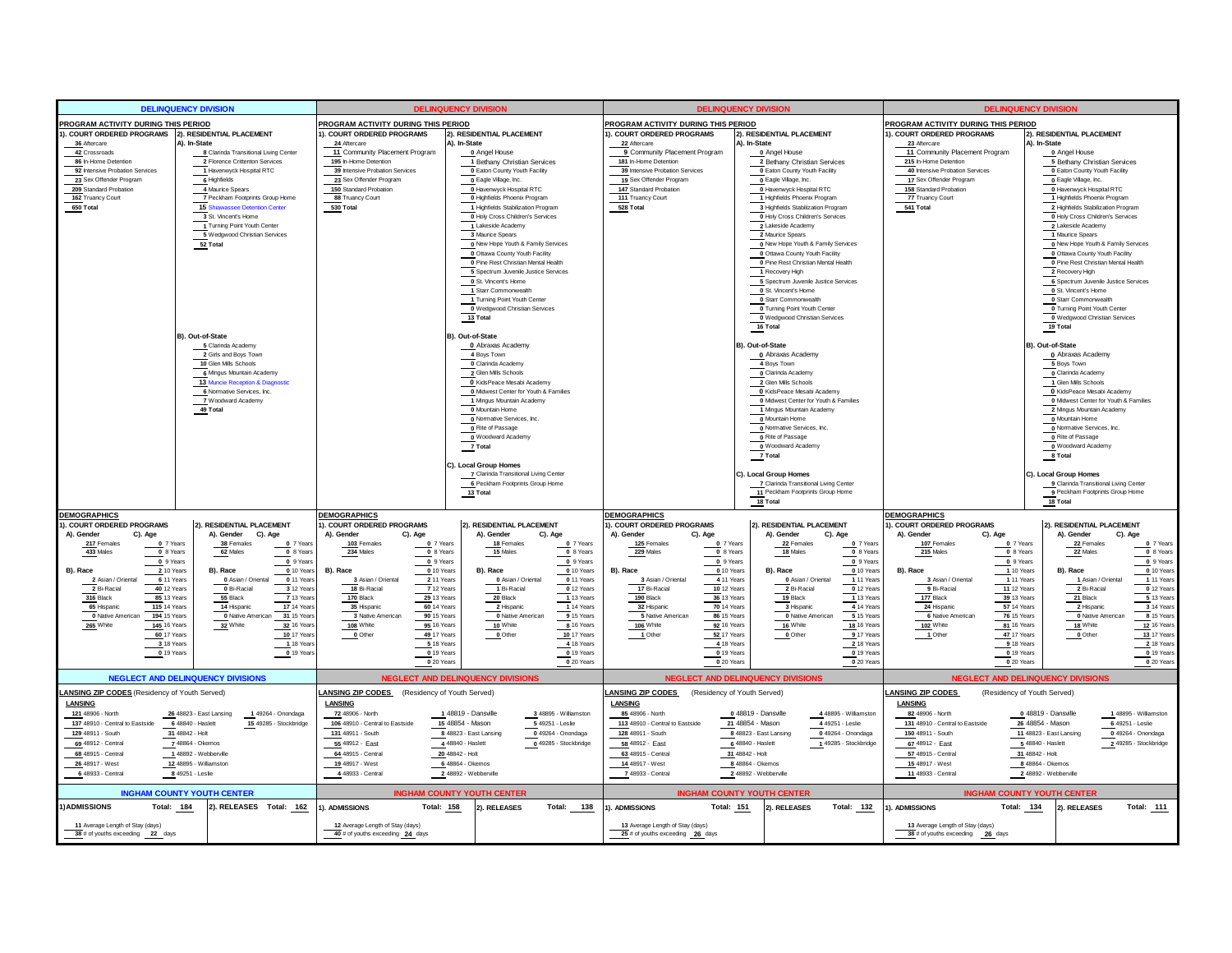| <b>DELINQUENCY DIVISION</b>                                          |                                                               |                                                                      | <b>DELINQUENCY DIVISION</b>                                   |                                                                          | <b>DELINQUENCY DIVISION</b>                                       | <b>DELINQUENCY DIVISION</b>                                          |                                                                      |
|----------------------------------------------------------------------|---------------------------------------------------------------|----------------------------------------------------------------------|---------------------------------------------------------------|--------------------------------------------------------------------------|-------------------------------------------------------------------|----------------------------------------------------------------------|----------------------------------------------------------------------|
| PROGRAM ACTIVITY DURING THIS PERIOD                                  |                                                               | PROGRAM ACTIVITY DURING THIS PERIOD                                  |                                                               | PROGRAM ACTIVITY DURING THIS PERIOD                                      |                                                                   | <b>PROGRAM ACTIVITY DURING THIS PERIOD</b>                           |                                                                      |
| 1). COURT ORDERED PROGRAMS 2). RESIDENTIAL PLACEMENT                 |                                                               | 1). COURT ORDERED PROGRAMS                                           | 2). RESIDENTIAL PLACEMENT                                     | 1). COURT ORDERED PROGRAMS                                               | 2). RESIDENTIAL PLACEMENT                                         | 1). COURT ORDERED PROGRAMS                                           | 2). RESIDENTIAL PLACEMENT                                            |
| 36 Aftercare                                                         | A). In-State                                                  | 24 Aftercare                                                         | A). In-State                                                  | 22 Aftercare                                                             | A). In-State                                                      | 23 Aftercare<br>A). In-State                                         |                                                                      |
| 42 Crossroads<br>86 In-Home Detention                                | 8 Clarinda Transitional Living Center                         | 11 Community Placement Program<br>195 In-Home Detention              | 0 Angel House                                                 | 9 Community Placement Program<br>181 In-Home Detention                   | 0 Angel House                                                     | 11 Community Placement Program                                       | 0 Angel House                                                        |
| 92 Intensive Probation Services                                      | 2 Florence Crittenton Services<br>1 Havenwyck Hospital RTC    | 39 Intensive Probation Services                                      | 1 Bethany Christian Services<br>0 Eaton County Youth Facility | 39 Intensive Probation Services                                          | 2 Bethany Christian Services<br>O Eaton County Youth Facility     | 215 In-Home Detention<br>40 Intensive Probation Services             | 5 Bethany Christian Services<br><b>0</b> Eaton County Youth Facility |
| 23 Sex Offender Program                                              | 6 Highfields                                                  | 23 Sex Offender Program                                              | o Eagle Village, Inc.                                         | 19 Sex Offender Program                                                  | o Eagle Village, Inc.                                             | 17 Sex Offender Program                                              | o Eagle Village, Inc.                                                |
| 209 Standard Probation                                               | 4 Maurice Spears                                              | 150 Standard Probation                                               | 0 Havenwyck Hospital RTC                                      | 147 Standard Probation                                                   | 0 Havenwyck Hospital RTC                                          | 158 Standard Probation                                               | 0 Havenwyck Hospital RTC                                             |
| 162 Truancy Court                                                    | 7 Peckham Footprints Group Home                               | 88 Truancy Court                                                     | 0 Highfields Phoenix Program                                  | 111 Truancy Court                                                        | 1 Highfields Phoenix Program                                      | 77 Truancy Court                                                     | 1 Highfields Phoenix Program                                         |
| 650 Total                                                            | 15 Shiawassee Detention Center                                | 530 Total                                                            | 1 Highfields Stabilization Program                            | 528 Total                                                                | 3 Highfields Stabilization Program                                | 541 Total                                                            | 2 Highfields Stabilization Program                                   |
|                                                                      | 3 St. Vincent's Home                                          |                                                                      | 0 Holy Cross Children's Services                              |                                                                          | 0 Holy Cross Children's Services                                  |                                                                      | 0 Holy Cross Children's Services                                     |
|                                                                      | 1 Turning Point Youth Center<br>5 Wedgwood Christian Services |                                                                      | 1 Lakeside Academy<br>3 Maurice Spears                        |                                                                          | 2 Lakeside Academy<br>2 Maurice Spears                            |                                                                      | 2 Lakeside Academy<br>1 Maurice Spears                               |
|                                                                      | $52$ Total                                                    |                                                                      | O New Hope Youth & Family Services                            |                                                                          | 0 New Hope Youth & Family Services                                |                                                                      | 0 New Hope Youth & Family Services                                   |
|                                                                      |                                                               |                                                                      | O Ottawa County Youth Facility                                |                                                                          | O Ottawa County Youth Facility                                    |                                                                      | O Ottawa County Youth Facility                                       |
|                                                                      |                                                               |                                                                      | 0 Pine Rest Christian Mental Health                           |                                                                          | 0 Pine Rest Christian Mental Health                               |                                                                      | 0 Pine Rest Christian Mental Health                                  |
|                                                                      |                                                               |                                                                      | 5 Spectrum Juvenile Justice Services                          |                                                                          | 1 Recovery High                                                   |                                                                      | 2 Recovery High                                                      |
|                                                                      |                                                               |                                                                      | 0 St. Vincent's Home                                          |                                                                          | 5 Spectrum Juvenile Justice Services                              |                                                                      | 6 Spectrum Juvenile Justice Services                                 |
|                                                                      |                                                               |                                                                      | 1 Starr Commonwealth                                          |                                                                          | 0 St. Vincent's Home                                              |                                                                      | 0 St. Vincent's Home                                                 |
|                                                                      |                                                               |                                                                      | 1 Turning Point Youth Center<br>Wedgwood Christian Services   |                                                                          | o Starr Commonwealth<br>O Turning Point Youth Center              |                                                                      | 0 Starr Commonwealth<br>0 Turning Point Youth Center                 |
|                                                                      |                                                               |                                                                      | $13$ Total                                                    |                                                                          | 0 Wedgwood Christian Services                                     |                                                                      | 0 Wedgwood Christian Services                                        |
|                                                                      |                                                               |                                                                      |                                                               |                                                                          | 16 Total                                                          |                                                                      | 19 Total                                                             |
|                                                                      | B). Out-of-State                                              |                                                                      | B). Out-of-State                                              |                                                                          |                                                                   |                                                                      |                                                                      |
|                                                                      | 5 Clarinda Academy                                            |                                                                      | 0 Abraxas Academy                                             |                                                                          | B). Out-of-State                                                  |                                                                      | B). Out-of-State                                                     |
|                                                                      | 2 Girls and Boys Town                                         |                                                                      | 4 Boys Town                                                   |                                                                          | 0 Abraxas Academy                                                 |                                                                      | $\overline{\phantom{a}}$ Abraxas Academy                             |
|                                                                      | 10 Glen Mills Schools                                         |                                                                      | O Clarinda Academy                                            |                                                                          | 4 Boys Town                                                       |                                                                      | 5 Boys Town                                                          |
|                                                                      | 6 Mingus Mountain Academy<br>13 Muncie Reception & Diagnostic |                                                                      | 2 Glen Mills Schools<br>O KidsPeace Mesabi Academy            |                                                                          | O Clarinda Academy<br>2 Glen Mills Schools                        |                                                                      | O Clarinda Academy<br>1 Glen Mills Schools                           |
|                                                                      | 6 Normative Services, Inc.                                    |                                                                      | 0 Midwest Center for Youth & Families                         |                                                                          | O KidsPeace Mesabi Academy                                        |                                                                      | O KidsPeace Mesabi Academy                                           |
|                                                                      | 7 Woodward Academy                                            |                                                                      | 1 Mingus Mountain Academy                                     |                                                                          | 0 Midwest Center for Youth & Families                             |                                                                      | 0 Midwest Center for Youth & Families                                |
|                                                                      | 49 Total                                                      |                                                                      | 0 Mountain Home                                               |                                                                          | 1 Mingus Mountain Academy                                         |                                                                      | 2 Mingus Mountain Academy                                            |
|                                                                      |                                                               |                                                                      | O Normative Services, Inc.                                    |                                                                          | 0 Mountain Home                                                   |                                                                      | 0 Mountain Home                                                      |
|                                                                      |                                                               |                                                                      | O Rite of Passage                                             |                                                                          | O Normative Services, Inc.                                        |                                                                      | O Normative Services, Inc.                                           |
|                                                                      |                                                               |                                                                      | 0 Woodward Academy<br>$7$ Total                               |                                                                          | 0 Rite of Passage<br>0 Woodward Academy                           |                                                                      | 0 Rite of Passage<br>0 Woodward Academy                              |
|                                                                      |                                                               |                                                                      |                                                               |                                                                          | $\frac{7}{2}$ Total                                               |                                                                      | 8 Total                                                              |
|                                                                      |                                                               |                                                                      | C). Local Group Homes                                         |                                                                          |                                                                   |                                                                      |                                                                      |
|                                                                      |                                                               |                                                                      | 7 Clarinda Transitional Living Center                         |                                                                          | C). Local Group Homes                                             |                                                                      | C). Local Group Homes                                                |
|                                                                      |                                                               |                                                                      | 6 Peckham Footprints Group Home                               |                                                                          | 7 Clarinda Transitional Living Center                             |                                                                      | 9 Clarinda Transitional Living Center                                |
|                                                                      |                                                               |                                                                      | $13$ Total                                                    |                                                                          | 11 Peckham Footprints Group Home<br>18 Total                      |                                                                      | 9 Peckham Footprints Group Home<br>18 Total                          |
| <b>DEMOGRAPHICS</b>                                                  |                                                               | <b>DEMOGRAPHICS</b>                                                  |                                                               | <b>DEMOGRAPHICS</b>                                                      |                                                                   | <b>DEMOGRAPHICS</b>                                                  |                                                                      |
| ). COURT ORDERED PROGRAMS                                            | 2). RESIDENTIAL PLACEMENT                                     | 1). COURT ORDERED PROGRAMS                                           | 2). RESIDENTIAL PLACEMENT                                     | ). COURT ORDERED PROGRAMS                                                | 2). RESIDENTIAL PLACEMENT                                         | . COURT ORDERED PROGRAMS                                             | 2). RESIDENTIAL PLACEMENT                                            |
| A). Gender<br>C). Age                                                | A). Gender<br>C). Age                                         | A). Gender<br>C). Age                                                | A), Gender<br>C). Age                                         | A). Gender<br>C). Age                                                    | A). Gender<br>C). Age                                             | A). Gender<br>C). Age                                                | A). Gender<br>C), Age                                                |
| 217 Females<br>0 7 Years                                             | 38 Females<br>$\frac{0}{2}$ 7 Years                           | 103 Females<br>$0$ 7 Years                                           | $_0$ 7 Years<br>18 Females                                    | 125 Females<br>0 7 Years                                                 | 22 Females<br>0 7 Years                                           | 107 Females<br>$_0$ 7 Years                                          | 22 Females<br>0 7 Years                                              |
| 433 Males<br>0 8 Years                                               | 62 Males<br>$\overline{\overline{\mathbf{0}}}$ 8 Years        | 234 Males<br>0 8 Years                                               | 15 Males<br>$0$ 8 Years                                       | 229 Males<br>0 8 Years                                                   | 18 Males<br>0 8 Years                                             | 215 Males<br>0 8 Years                                               | 22 Males<br>0 8 Years<br>$0.9$ Years                                 |
| 0 9 Years<br>2 10 Years<br>B). Race                                  | $\frac{0}{2}$ 9 Years<br>0 10 Year<br>B). Race                | 0 9 Years<br>0 10 Years<br>B), Race                                  | 0 9 Years<br>0 10 Years<br>B), Race                           | $0.9$ Years<br>0 10 Years<br>B), Race                                    | $0.9$ Years<br>0 10 Years<br>B), Race                             | $0.9$ Years<br>1 10 Years<br>B), Race                                | 0 10 Years<br>B). Race                                               |
| 2 Asian / Oriental<br>6 11 Years                                     | 0 Asian / Oriental<br>0 11 Year                               | 3 Asian / Oriental<br>2 11 Years                                     | 0 Asian / Oriental<br>0 11 Years                              | 3 Asian / Oriental<br>4 11 Years                                         | 0 Asian / Oriental<br>1 11 Years                                  | 3 Asian / Oriental<br>1 11 Years                                     | 1 Asian / Oriental<br>1 11 Years                                     |
| 2 Bi-Racia<br>40 12 Years                                            | 0 Bi-Racial<br>3 12 Year                                      | 18 Bi-Racial<br>7 12 Years                                           | 1 Bi-Racial<br>012 Years                                      | 17 Bi-Racial<br><b>10 12 Years</b>                                       | 2 Bi-Racial<br>0 12 Years                                         | 9 Bi-Racial<br><b>11 12 Years</b>                                    | 2 Bi-Racial<br>0 12 Years                                            |
| 316 Black<br>85 13 Years                                             | 55 Black<br>7 13 Year                                         | 170 Black<br>29 13 Years                                             | $20$ Black<br>113 Years                                       | 190 Black<br>36 13 Years                                                 | 19 Black<br>1 13 Years                                            | 177 Black<br>39 13 Years                                             | 21 Black<br>5 13 Year                                                |
| 65 Hispanic<br><b>115 14 Years</b>                                   | 14 Hispanic<br><b>17 14 Year</b>                              | 35 Hispanic<br>60 14 Years                                           | 2 Hispanic<br>114 Years                                       | 32 Hispanic<br><b>70</b> 14 Years                                        | 4 14 Years<br>3 Hispanic                                          | 24 Hispanic<br><b>57 14 Years</b>                                    | 2 Hispanic<br>3 14 Years                                             |
| <b>194 15 Years</b><br>0 Native American<br>145 16 Years             | 0 Native American<br>31 15 Year<br>32 White<br>32 16 Year     | 3 Native American<br><b>90 15 Years</b><br>108 White<br>95 16 Years  | 0 Native American<br>9 15 Years<br>10 White<br>8 16 Years     | 5 Native American<br>86 15 Years<br>106 White<br><b>92 16 Years</b>      | 0 Native American<br>5 15 Years<br>16 White<br><b>18 16 Years</b> | 6 Native American<br><b>76 15 Years</b><br>102 White<br>81 16 Years  | 0 Native American<br>8 15 Years<br>18 White<br><b>12 16 Year</b>     |
| 265 White<br>60 17 Years                                             | 10 17 Years                                                   | 49 17 Years<br>0 Other                                               | 10 17 Years<br>$0$ Other                                      | <b>52 17 Years</b><br>1 Other                                            | 9 17 Years<br>0 Other                                             | 47 17 Years<br>1 Other                                               | 0 Other<br>13 17 Years                                               |
| 3 18 Years                                                           | 1 18 Year                                                     | 5 18 Years                                                           | 4 18 Years                                                    | 4 18 Years                                                               | 2 18 Years                                                        | 9 18 Years                                                           | 2 18 Year                                                            |
| 0 19 Years                                                           | 0 19 Year                                                     | 019 Years                                                            | 0 19 Years                                                    | 0 19 Years                                                               | $0$ 19 Years                                                      | 0 19 Years                                                           | 0 19 Years                                                           |
|                                                                      |                                                               | 0 20 Years                                                           | 0 20 Years                                                    | 0 20 Years                                                               | 0 20 Years                                                        | 0 20 Years                                                           | 0 20 Years                                                           |
|                                                                      | <b>NEGLECT AND DELINQUENCY DIVISIONS</b>                      |                                                                      | <b>NEGLECT AND DELINQUENCY DIVISIONS</b>                      |                                                                          | <b>NEGLECT AND DELINQUENCY DIVISIONS</b>                          | <b>NEGLECT AND DELINQUENCY DIVISIONS</b>                             |                                                                      |
| ANSING ZIP CODES (Residency of Youth Served)                         |                                                               | ANSING ZIP CODES (Residency of Youth Served)                         |                                                               | <b>ANSING ZIP CODES</b><br>(Residency of Youth Served)                   |                                                                   | <b>ANSING ZIP CODES</b><br>(Residency of Youth Served)               |                                                                      |
| LANSING                                                              |                                                               | LANSING                                                              |                                                               | LANSING                                                                  |                                                                   | LANSING                                                              |                                                                      |
| 121 48906 - North                                                    | 26 48823 - East Lansing<br>149264 - Onondaga                  | 72 48906 - North                                                     | 148819 - Dansville<br>3 48895 - Williamston                   | 85 48906 - North                                                         | 0 48819 - Dansville<br>448895 - Williamston                       | 82 48906 - North<br>0 48819 - Dansville                              | 148895 - Williamston                                                 |
| 137 48910 - Central to Eastside                                      | 6 48840 - Haslett<br>15 49285 - Stockbridge                   | 106 48910 - Central to Eastside                                      | 15 48854 - Mason<br>5 49251 - Leslie                          | 113 48910 - Central to Eastside                                          | 21 48854 - Mason<br>4 49251 - Leslie                              | 131 48910 - Central to Eastside<br>26 48854 - Mason                  | 6 49251 - Leslie                                                     |
| 129 48911 - South<br>31 48842 - Holt                                 |                                                               | 131 48911 - South                                                    | $0.49264 - Onondaga$<br>8 48823 - East Lansing                | 128 48911 - South                                                        | 8 48823 - East Lansing<br>0 49264 - Onondaga                      | 150 48911 - South                                                    | $0.49264 - Onondaga$<br>11 48823 - East Lansing                      |
| 69 48912 - Central                                                   | 748864 - Okemos                                               | 55 48912 - East                                                      | 4 48840 - Haslett<br>0 49285 - Stockbridge                    | 58 48912 - East                                                          | 1 49285 - Stockbridge<br>6 48840 - Haslett                        | 67 48912 - East<br>5 48840 - Haslett                                 | 2 49285 - Stockbridge                                                |
| 68 48915 - Central                                                   | 148892 - Webberville                                          | 64 48915 - Central                                                   | 20 48842 - Holt                                               | 63 48915 - Central                                                       | 31 48842 - Holt                                                   | 57 48915 - Central<br>31 48842 - Holt                                |                                                                      |
| 26 48917 - West                                                      | 12 48895 - Williamston                                        | 19 48917 - West                                                      | 6 48864 - Okemos                                              | 14 48917 - West                                                          | 8 48864 - Okemos                                                  | 15 48917 - West<br>8 48864 - Okemos                                  |                                                                      |
| 6 48933 - Central                                                    | 8 49251 - Leslie                                              | 4 48933 - Central                                                    | 2 48892 - Webberville                                         | 7 48933 - Central                                                        | 248892 - Webberville                                              | 11 48933 - Central                                                   | 2 48892 - Webberville                                                |
|                                                                      | <b>INGHAM COUNTY YOUTH CENTER</b>                             |                                                                      | <b>INGHAM COUNTY YOUTH CENTER</b>                             |                                                                          | <b>INGHAM COUNTY YOUTH CENTER</b>                                 | <b>INGHAM COUNTY YOUTH CENTER</b>                                    |                                                                      |
| <b>IADMISSIONS</b><br>Total: 184                                     | 2). RELEASES Total: 162                                       | Total: 158<br>1). ADMISSIONS                                         | 2). RELEASES<br>Total: 138                                    | Total: 151<br>). ADMISSIONS                                              | 2). RELEASES<br>Total: 132                                        | Total: 134<br>). ADMISSIONS                                          | 2). RELEASES<br>Total: 111                                           |
| 11 Average Length of Stay (days)<br>38 # of youths exceeding 22 days |                                                               | 12 Average Length of Stay (days)<br>40 # of youths exceeding 24 days |                                                               | 13 Average Length of Stay (days)<br>$25$ # of youths exceeding $26$ days |                                                                   | 13 Average Length of Stay (days)<br>38 # of youths exceeding 26 days |                                                                      |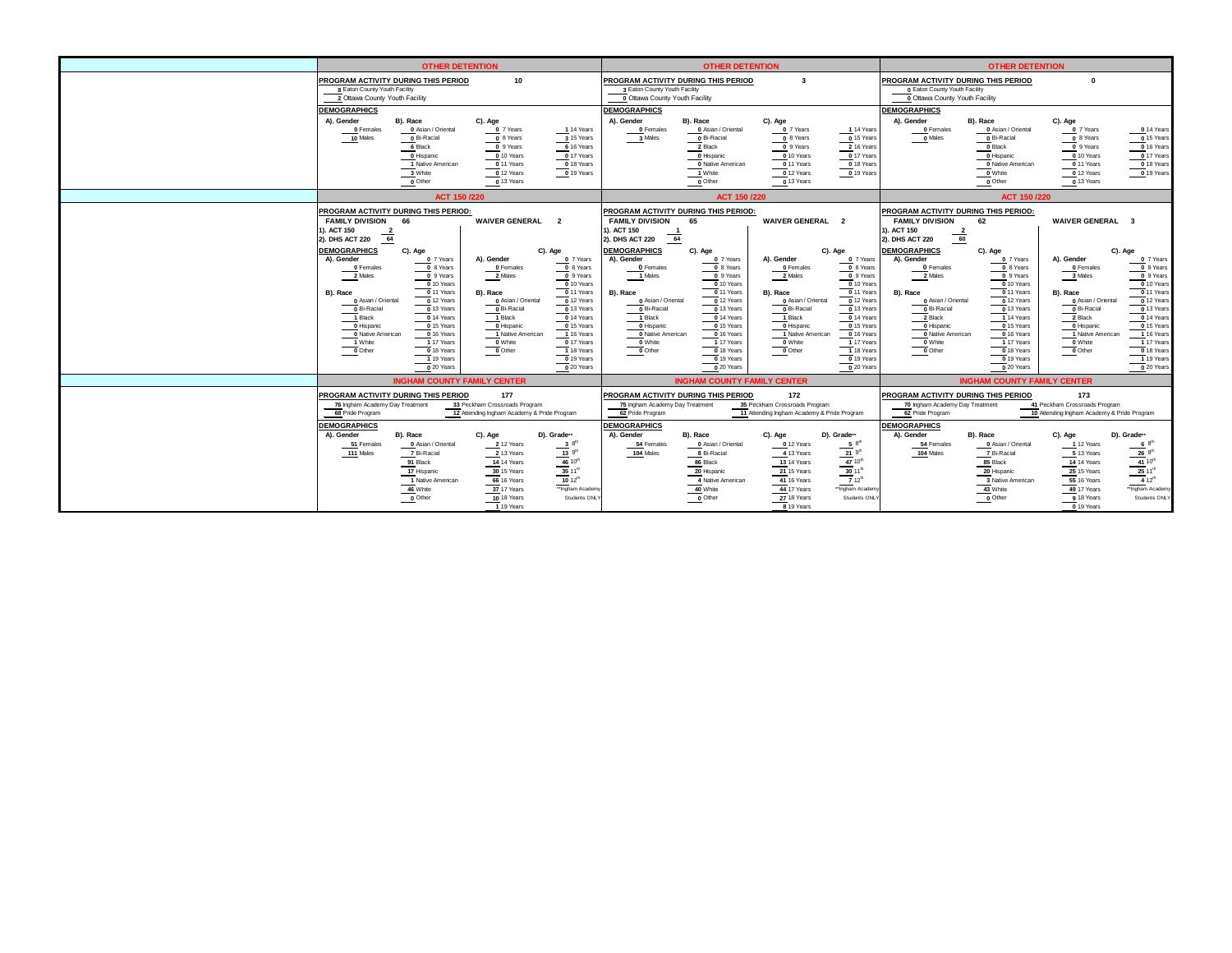|                                                                                                                                                                                  | <b>OTHER DETENTION</b>                                                                                                                                                                                               |                                                                                                                                                                                                                      |                                                                                                                                                                                                                          |                                                                                                                                                                                | <b>OTHER DETENTION</b>                                                                                                                                                                                                                   |                                                                                                                                                         |                                                                                                                                                                                                                         |                                                                                                                                                                                                       | <b>OTHER DETENTION</b>                                                                                                                                                                                                            |                                                                                                                                                                                                      |                                                                                                                                                                                                                                                                                        |
|----------------------------------------------------------------------------------------------------------------------------------------------------------------------------------|----------------------------------------------------------------------------------------------------------------------------------------------------------------------------------------------------------------------|----------------------------------------------------------------------------------------------------------------------------------------------------------------------------------------------------------------------|--------------------------------------------------------------------------------------------------------------------------------------------------------------------------------------------------------------------------|--------------------------------------------------------------------------------------------------------------------------------------------------------------------------------|------------------------------------------------------------------------------------------------------------------------------------------------------------------------------------------------------------------------------------------|---------------------------------------------------------------------------------------------------------------------------------------------------------|-------------------------------------------------------------------------------------------------------------------------------------------------------------------------------------------------------------------------|-------------------------------------------------------------------------------------------------------------------------------------------------------------------------------------------------------|-----------------------------------------------------------------------------------------------------------------------------------------------------------------------------------------------------------------------------------|------------------------------------------------------------------------------------------------------------------------------------------------------------------------------------------------------|----------------------------------------------------------------------------------------------------------------------------------------------------------------------------------------------------------------------------------------------------------------------------------------|
| 8 Eaton County Youth Facility<br>2 Ottawa County Youth Facility                                                                                                                  | PROGRAM ACTIVITY DURING THIS PERIOD                                                                                                                                                                                  | 10                                                                                                                                                                                                                   |                                                                                                                                                                                                                          | PROGRAM ACTIVITY DURING THIS PERIOD<br>3 Eaton County Youth Facility<br>0 Ottawa County Youth Facility                                                                         |                                                                                                                                                                                                                                          | $\overline{\mathbf{3}}$                                                                                                                                 |                                                                                                                                                                                                                         | PROGRAM ACTIVITY DURING THIS PERIOD<br><b>0 Eaton County Youth Facility</b><br>0 Ottawa County Youth Facility                                                                                         |                                                                                                                                                                                                                                   | $\mathbf{0}$                                                                                                                                                                                         |                                                                                                                                                                                                                                                                                        |
| <b>DEMOGRAPHICS</b><br>A). Gender<br>$0$ Females<br>10 Males                                                                                                                     | B). Race<br>0 Asian / Oriental<br>0 Bi-Racial<br>6 Black<br>0 Hispanic<br>1 Native American<br>3 White<br>$_0$ Other                                                                                                 | C). Age<br>0 7 Years<br>0 8 Years<br>$0.9$ Years<br>$0$ 10 Years<br>$0$ 11 Years<br>$0$ 12 Years<br>$\frac{0}{2}$ 13 Years                                                                                           | 14 Years<br>3.15 Years<br>6 16 Years<br>017 Years<br>0 18 Years<br>$0$ 19 Years                                                                                                                                          | <b>DEMOGRAPHICS</b><br>A). Gender<br>0 Females<br>3 Males                                                                                                                      | B). Race<br>0 Asian / Oriental<br>0 Bi-Racial<br>2 Black<br>0 Hispanic<br>0 Native American<br>1 White<br>$\underline{\qquad \qquad }$ Other                                                                                             | C). Age<br>0 7 Years<br>0 8 Years<br>0 9 Years<br>$0$ 10 Years<br>0 11 Years<br>0 12 Years<br>0 13 Years                                                | 14 Years<br>$0$ 15 Years<br>2 16 Years<br>0.17 Years<br>0 18 Years<br>$0$ 19 Years                                                                                                                                      | <b>DEMOGRAPHICS</b><br>A). Gender<br>$0$ Females<br>0 Males                                                                                                                                           | B). Race<br>0 Asian / Oriental<br>0 Bi-Racial<br>0 Black<br>O Hispanic<br>0 Native American<br>0 White<br>$\overline{\phantom{a}}$ Other                                                                                          | C). Age<br>0 7 Years<br>$0$ 8 Years<br>0 9 Years<br>0 10 Years<br>0 11 Years<br>0 12 Years<br>$\frac{0}{2}$ 13 Years                                                                                 | $0$ 14 Years<br>$0$ 15 Years<br>$0$ 16 Years<br>0.17 Years<br>$0$ 18 Years<br>$0$ 19 Years                                                                                                                                                                                             |
|                                                                                                                                                                                  | ACT 150 /220                                                                                                                                                                                                         |                                                                                                                                                                                                                      |                                                                                                                                                                                                                          |                                                                                                                                                                                | ACT 150 /220                                                                                                                                                                                                                             |                                                                                                                                                         |                                                                                                                                                                                                                         |                                                                                                                                                                                                       | ACT 150 /220                                                                                                                                                                                                                      |                                                                                                                                                                                                      |                                                                                                                                                                                                                                                                                        |
| <b>FAMILY DIVISION</b><br>1). ACT 150<br>$\frac{2}{64}$<br>2). DHS ACT 220                                                                                                       | PROGRAM ACTIVITY DURING THIS PERIOD:<br>66                                                                                                                                                                           | <b>WAIVER GENERAL 2</b>                                                                                                                                                                                              |                                                                                                                                                                                                                          | PROGRAM ACTIVITY DURING THIS PERIOD:<br><b>FAMILY DIVISION</b><br>1). ACT 150<br>$\frac{1}{64}$<br>2). DHS ACT 220                                                             | 65                                                                                                                                                                                                                                       | <b>WAIVER GENERAL 2</b>                                                                                                                                 |                                                                                                                                                                                                                         | PROGRAM ACTIVITY DURING THIS PERIOD:<br><b>FAMILY DIVISION</b><br>). ACT 150<br>$\frac{2}{60}$<br>2). DHS ACT 220                                                                                     | 62                                                                                                                                                                                                                                | <b>WAIVER GENERAL 3</b>                                                                                                                                                                              |                                                                                                                                                                                                                                                                                        |
| <b>DEMOGRAPHICS</b><br>A). Gender<br>0 Females<br>2 Males<br>B), Race<br>0 Asian / Oriental<br>0 Bi-Racial<br>1 Black<br>0 Hispanic<br>0 Native American<br>1 White<br>$0$ Other | C). Age<br>0 7 Years<br>$0$ 8 Years<br>0 9 Years<br>0 10 Years<br>0 11 Years<br>$\frac{1}{2}$ 12 Years<br>0 13 Years<br>0 14 Years<br>0 15 Years<br>0 16 Years<br>1 17 Years<br>0 18 Years<br>19 Years<br>0 20 Years | A), Gender<br>$\overline{\phantom{a}}$ Females<br>$\frac{2}{2}$ Males<br>B). Race<br>0 Asian / Oriental<br>$0$ Bi-Racial<br>1 Black<br><b>O</b> Hispanic<br>1 Native American<br>$\underbrace{\hspace{1cm}} 0$ White | C). Age<br>0 7 Years<br>$0$ 8 Years<br>0 9 Years<br>0 10 Years<br>0 11 Years<br>0 12 Years<br>0 13 Years<br>0 14 Years<br>0 15 Years<br>1 16 Years<br>0 17 Years<br>1 18 Years<br>$\frac{0}{2}$ 19 Years<br>$0.20$ Years | <b>DEMOGRAPHICS</b><br>A). Gender<br>0 Females<br>1 Males<br>B), Race<br>0 Asian / Oriental<br>0 Bi-Racial<br>1 Black<br>0 Hispanic<br>0 Native American<br>0 White<br>0 Other | C). Age<br>0 7 Years<br>$0$ 8 Years<br>0 9 Years<br>0 10 Years<br>0 11 Years<br>$\overline{0}$ 12 Years<br>0 13 Years<br>0 14 Years<br>0 15 Years<br>$0$ 16 Years<br>1 17 Years<br>$0$ 18 Years<br>$0$ <sup>19</sup> Years<br>0 20 Years | A). Gender<br>0 Females<br>2 Males<br>B), Race<br>0 Asian / Oriental<br>0 Bi-Racial<br>1 Black<br>0 Hispanic<br>1 Native American<br>0 White<br>0 Other | C). Age<br>0 7 Years<br>$_0$ 8 Years<br>0 9 Years<br>0 10 Years<br>0 11 Years<br>0 12 Years<br>0 13 Years<br>0 14 Years<br>0 15 Years<br>0 16 Years<br>1 17 Years<br>1 18 Years<br>$\frac{0}{19}$ Years<br>$0.20$ Years | <b>DEMOGRAPHICS</b><br>A). Gender<br>0 Females<br>2 Males<br>B). Race<br>0 Asian / Oriental<br>0 Bi-Racial<br>2 Black<br>0 Hispanic<br>0 Native American<br>0 White<br>$\overline{\phantom{a}}$ Other | C). Age<br>0 7 Years<br>0 8 Years<br>0 9 Years<br>0 10 Years<br>0 11 Years<br>$\overline{0}$ 12 Years<br>0 13 Years<br>1 14 Years<br>0 15 Years<br>0 16 Years<br>1 17 Years<br>0 18 Years<br>$\frac{0}{2}$ 19 Years<br>0 20 Years | A). Gender<br>$\overline{\mathbf{0}}$ Females<br>3 Males<br>B), Race<br>0 Asian / Oriental<br>0 Bi-Racial<br>2 Black<br>0 Hispanic<br>1 Native American<br>0 White<br>$\overline{\phantom{a}}$ Other | C). Age<br>0 7 Years<br>$\overline{\phantom{a}}$ 8 Years<br>0 9 Years<br>$0$ 10 Years<br>0 11 Years<br>$\overline{0}$ 12 Years<br>0 13 Years<br>0 14 Years<br>0 15 Years<br>$-1$ 16 Years<br>1 17 Years<br>$\overline{\phantom{0}}$ 18 Years<br>$\frac{1}{1}$ 19 Years<br>$0,20$ Years |
|                                                                                                                                                                                  | <b>INGHAM COUNTY FAMILY CENTER</b>                                                                                                                                                                                   |                                                                                                                                                                                                                      |                                                                                                                                                                                                                          |                                                                                                                                                                                | <b>INGHAM COUNTY FAMILY CENTER</b>                                                                                                                                                                                                       |                                                                                                                                                         |                                                                                                                                                                                                                         |                                                                                                                                                                                                       | <b>INGHAM COUNTY FAMILY CENTER</b>                                                                                                                                                                                                |                                                                                                                                                                                                      |                                                                                                                                                                                                                                                                                        |
| 76 Ingham Academy Day Treatment<br>68 Pride Program                                                                                                                              | PROGRAM ACTIVITY DURING THIS PERIOD                                                                                                                                                                                  | 177<br>33 Peckham Crossroads Program<br>12 Attending Ingham Academy & Pride Program                                                                                                                                  |                                                                                                                                                                                                                          | PROGRAM ACTIVITY DURING THIS PERIOD<br>75 Ingham Academy Day Treatment<br>62 Pride Program                                                                                     |                                                                                                                                                                                                                                          | 172<br>35 Peckham Crossroads Program<br>11 Attending Ingham Academy & Pride Program                                                                     |                                                                                                                                                                                                                         | PROGRAM ACTIVITY DURING THIS PERIOD<br>70 Ingham Academy Day Treatment<br>62 Pride Program                                                                                                            |                                                                                                                                                                                                                                   | 173<br>41 Peckham Crossroads Program<br>10 Attending Ingham Academy & Pride Program                                                                                                                  |                                                                                                                                                                                                                                                                                        |
| <b>DEMOGRAPHICS</b><br>A). Gender<br>51 Females<br>111 Males                                                                                                                     | B). Race<br>0 Asian / Oriental<br>7 Bi-Racial<br>91 Black<br>17 Hispanic<br>1 Native American<br>46 White<br>$\overline{\mathbf{0}}$ Other                                                                           | C). Age<br>2 12 Years<br>2 13 Years<br><b>14 14 Years</b><br>30 15 Years<br>66 16 Years<br>37 17 Years<br>10 18 Years<br>1 19 Years                                                                                  | D). Grade**<br>$\frac{3}{2}$ 8 <sup>th</sup><br>$\frac{13}{9}$ 9 <sup>th</sup><br>$\frac{46}{35}$ 10 <sup>th</sup><br>$10^{12^{th}}$<br>**Ingham Academ<br>Students ONLY                                                 | <b>DEMOGRAPHICS</b><br>A). Gender<br>54 Females<br>104 Males                                                                                                                   | B), Race<br>$\overline{\phantom{a}}$ Asian / Oriental<br>8 Bi-Racial<br>86 Black<br>20 Hispanic<br>4 Native American<br>40 White<br>$0$ Other                                                                                            | C). Age<br>0 12 Years<br>4 13 Years<br><b>13 14 Years</b><br>21 15 Years<br>41 16 Years<br>44 17 Years<br>27 18 Years<br>8 19 Years                     | D). Grade <sup>**</sup><br>$\frac{5}{6}$ $8^{th}$<br>$-21.9^{th}$<br>47 10 <sup>th</sup><br>$\frac{41}{30}$ 11 <sup>th</sup><br>$\overline{7}$ 12 <sup>th</sup><br>**Ingham Academ<br>Students ONL'                     | <b>DEMOGRAPHICS</b><br>A). Gender<br>54 Females<br>104 Males                                                                                                                                          | B), Race<br>0 Asian / Oriental<br>7 Bi-Racial<br>85 Black<br>20 Hispanic<br>3 Native American<br>43 White<br>$0$ Other                                                                                                            | C). Age<br>12 Years<br>5 13 Years<br><b>14 14 Years</b><br>25 15 Years<br>55 16 Years<br>49 17 Years<br>9 18 Years<br>0 19 Years                                                                     | D). Grade**<br>$\frac{6}{5}$ $8^{5}$<br>$-26.9^{\text{th}}$<br>$\frac{41}{25}$ 10 <sup>th</sup><br>$\frac{4}{4}$ 12 <sup>th</sup><br>**Ingham Academy<br>Students ONLY                                                                                                                 |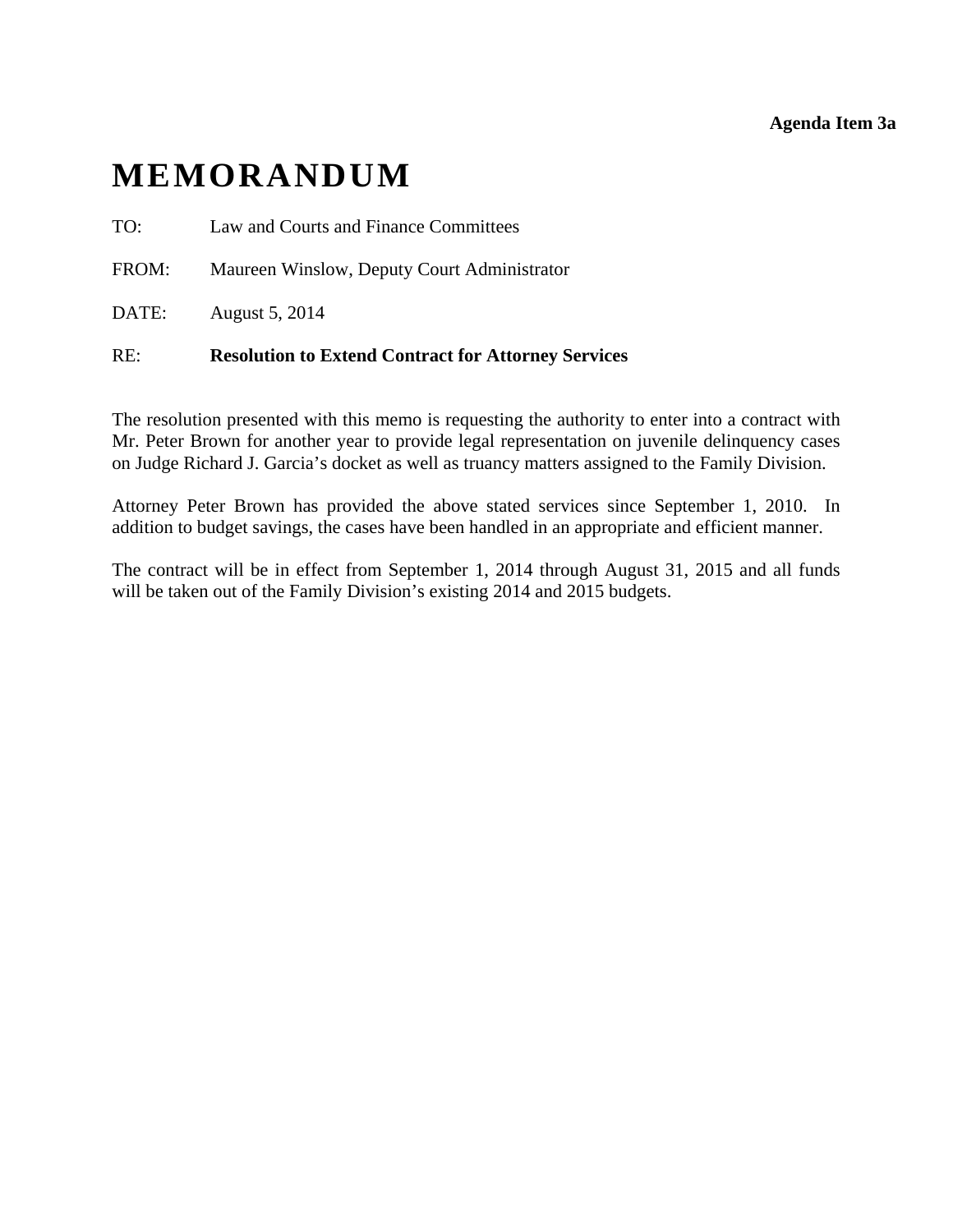**Agenda Item 3a** 

# <span id="page-13-0"></span>**MEMORANDUM**

- TO: Law and Courts and Finance Committees
- FROM: Maureen Winslow, Deputy Court Administrator
- DATE: August 5, 2014

### RE: **Resolution to Extend Contract for Attorney Services**

The resolution presented with this memo is requesting the authority to enter into a contract with Mr. Peter Brown for another year to provide legal representation on juvenile delinquency cases on Judge Richard J. Garcia's docket as well as truancy matters assigned to the Family Division.

Attorney Peter Brown has provided the above stated services since September 1, 2010. In addition to budget savings, the cases have been handled in an appropriate and efficient manner.

The contract will be in effect from September 1, 2014 through August 31, 2015 and all funds will be taken out of the Family Division's existing 2014 and 2015 budgets.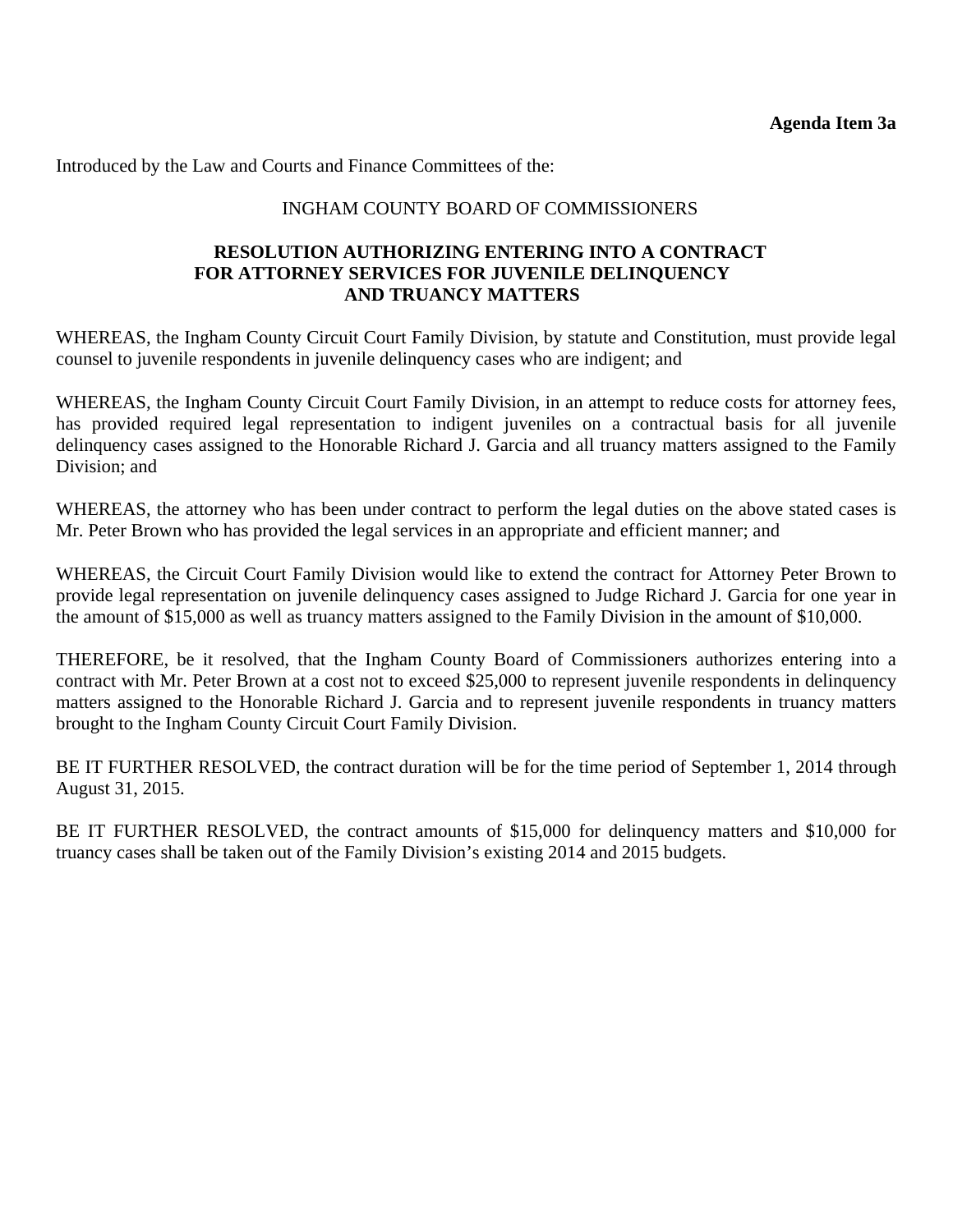Introduced by the Law and Courts and Finance Committees of the:

### INGHAM COUNTY BOARD OF COMMISSIONERS

### **RESOLUTION AUTHORIZING ENTERING INTO A CONTRACT FOR ATTORNEY SERVICES FOR JUVENILE DELINQUENCY AND TRUANCY MATTERS**

WHEREAS, the Ingham County Circuit Court Family Division, by statute and Constitution, must provide legal counsel to juvenile respondents in juvenile delinquency cases who are indigent; and

WHEREAS, the Ingham County Circuit Court Family Division, in an attempt to reduce costs for attorney fees, has provided required legal representation to indigent juveniles on a contractual basis for all juvenile delinquency cases assigned to the Honorable Richard J. Garcia and all truancy matters assigned to the Family Division; and

WHEREAS, the attorney who has been under contract to perform the legal duties on the above stated cases is Mr. Peter Brown who has provided the legal services in an appropriate and efficient manner; and

WHEREAS, the Circuit Court Family Division would like to extend the contract for Attorney Peter Brown to provide legal representation on juvenile delinquency cases assigned to Judge Richard J. Garcia for one year in the amount of \$15,000 as well as truancy matters assigned to the Family Division in the amount of \$10,000.

THEREFORE, be it resolved, that the Ingham County Board of Commissioners authorizes entering into a contract with Mr. Peter Brown at a cost not to exceed \$25,000 to represent juvenile respondents in delinquency matters assigned to the Honorable Richard J. Garcia and to represent juvenile respondents in truancy matters brought to the Ingham County Circuit Court Family Division.

BE IT FURTHER RESOLVED, the contract duration will be for the time period of September 1, 2014 through August 31, 2015.

BE IT FURTHER RESOLVED, the contract amounts of \$15,000 for delinquency matters and \$10,000 for truancy cases shall be taken out of the Family Division's existing 2014 and 2015 budgets.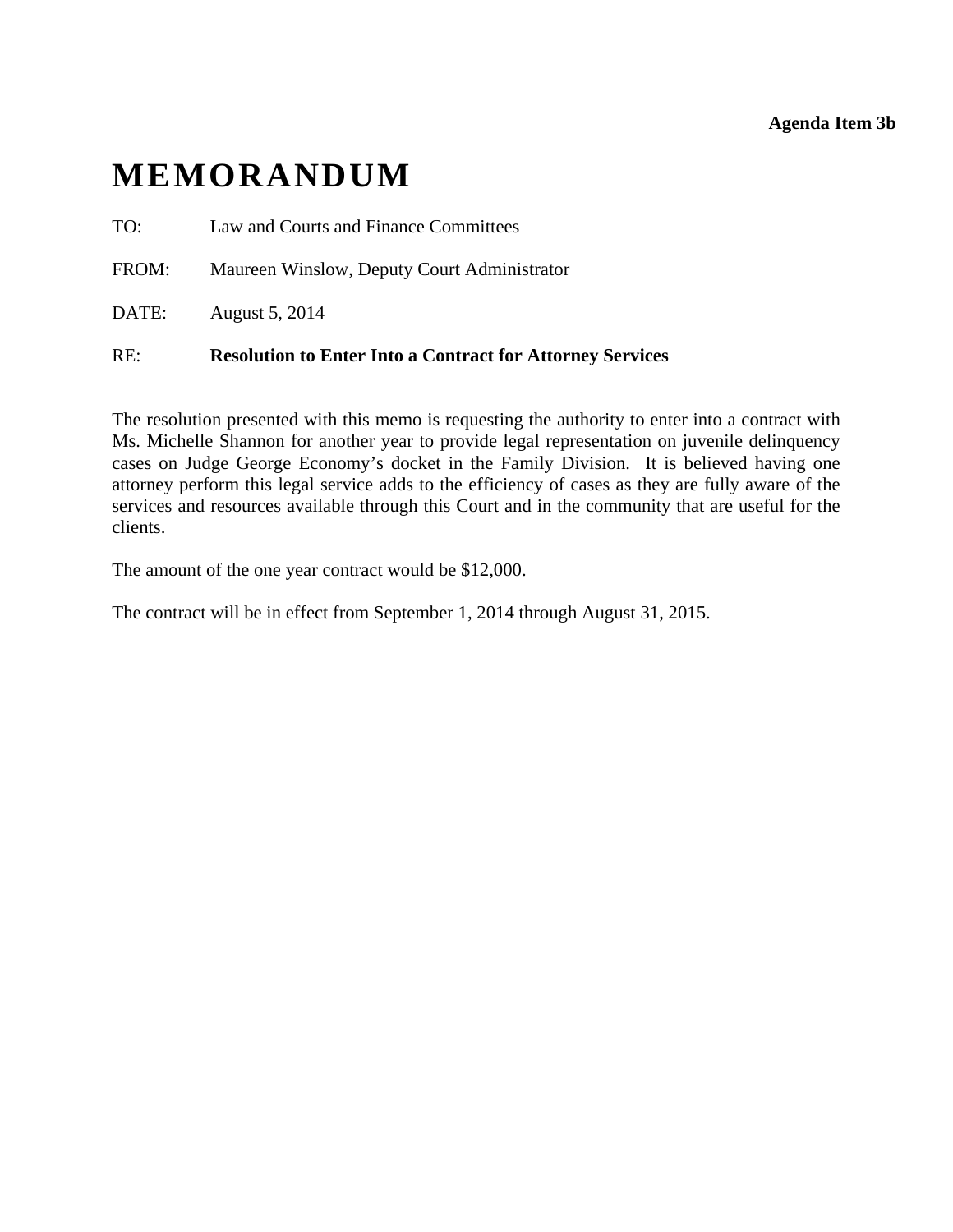### **Agenda Item 3b**

# <span id="page-15-0"></span>**MEMORANDUM**

TO: Law and Courts and Finance Committees

FROM: Maureen Winslow, Deputy Court Administrator

DATE: August 5, 2014

### RE: **Resolution to Enter Into a Contract for Attorney Services**

The resolution presented with this memo is requesting the authority to enter into a contract with Ms. Michelle Shannon for another year to provide legal representation on juvenile delinquency cases on Judge George Economy's docket in the Family Division. It is believed having one attorney perform this legal service adds to the efficiency of cases as they are fully aware of the services and resources available through this Court and in the community that are useful for the clients.

The amount of the one year contract would be \$12,000.

The contract will be in effect from September 1, 2014 through August 31, 2015.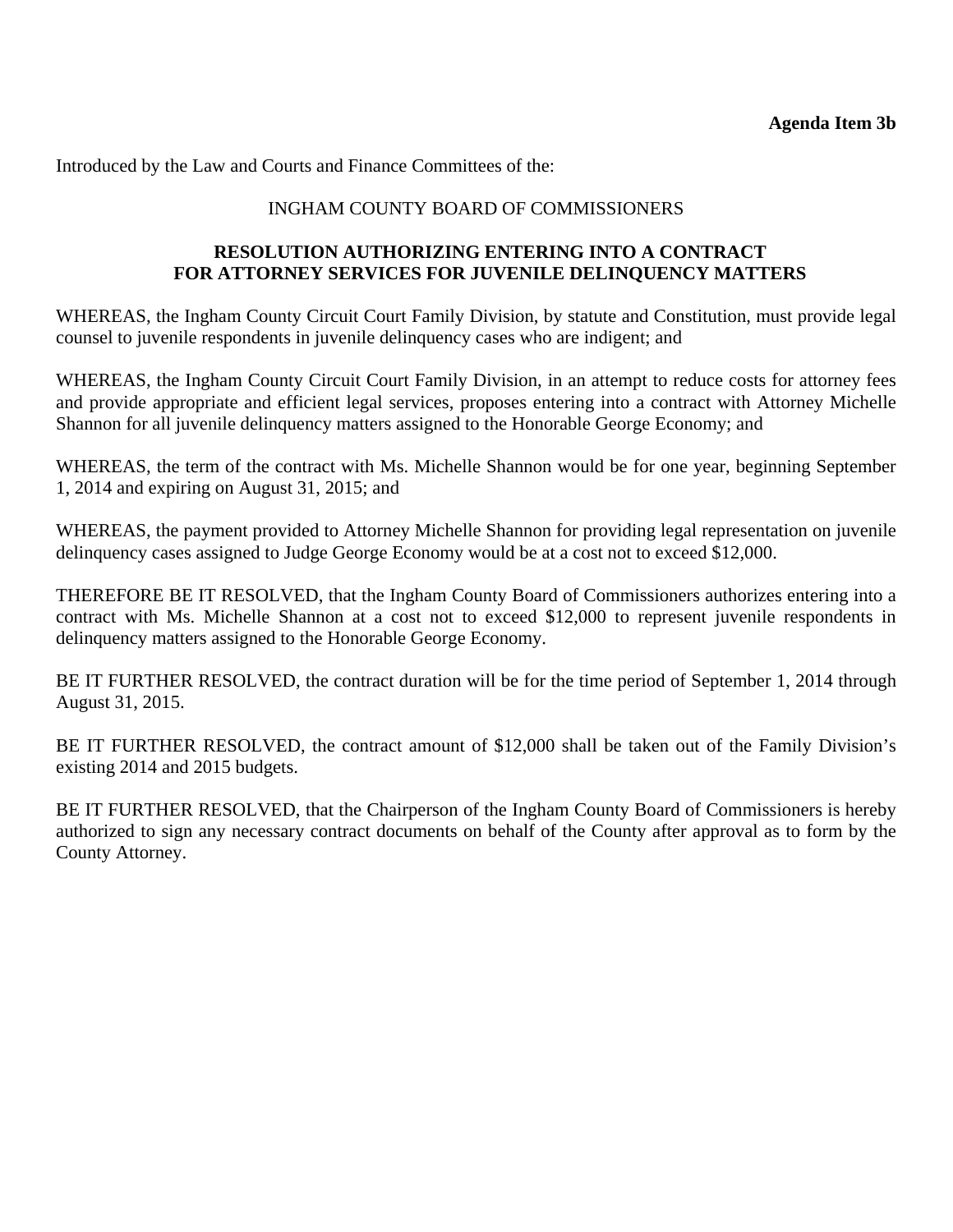Introduced by the Law and Courts and Finance Committees of the:

### INGHAM COUNTY BOARD OF COMMISSIONERS

### **RESOLUTION AUTHORIZING ENTERING INTO A CONTRACT FOR ATTORNEY SERVICES FOR JUVENILE DELINQUENCY MATTERS**

WHEREAS, the Ingham County Circuit Court Family Division, by statute and Constitution, must provide legal counsel to juvenile respondents in juvenile delinquency cases who are indigent; and

WHEREAS, the Ingham County Circuit Court Family Division, in an attempt to reduce costs for attorney fees and provide appropriate and efficient legal services, proposes entering into a contract with Attorney Michelle Shannon for all juvenile delinquency matters assigned to the Honorable George Economy; and

WHEREAS, the term of the contract with Ms. Michelle Shannon would be for one year, beginning September 1, 2014 and expiring on August 31, 2015; and

WHEREAS, the payment provided to Attorney Michelle Shannon for providing legal representation on juvenile delinquency cases assigned to Judge George Economy would be at a cost not to exceed \$12,000.

THEREFORE BE IT RESOLVED, that the Ingham County Board of Commissioners authorizes entering into a contract with Ms. Michelle Shannon at a cost not to exceed \$12,000 to represent juvenile respondents in delinquency matters assigned to the Honorable George Economy.

BE IT FURTHER RESOLVED, the contract duration will be for the time period of September 1, 2014 through August 31, 2015.

BE IT FURTHER RESOLVED, the contract amount of \$12,000 shall be taken out of the Family Division's existing 2014 and 2015 budgets.

BE IT FURTHER RESOLVED, that the Chairperson of the Ingham County Board of Commissioners is hereby authorized to sign any necessary contract documents on behalf of the County after approval as to form by the County Attorney.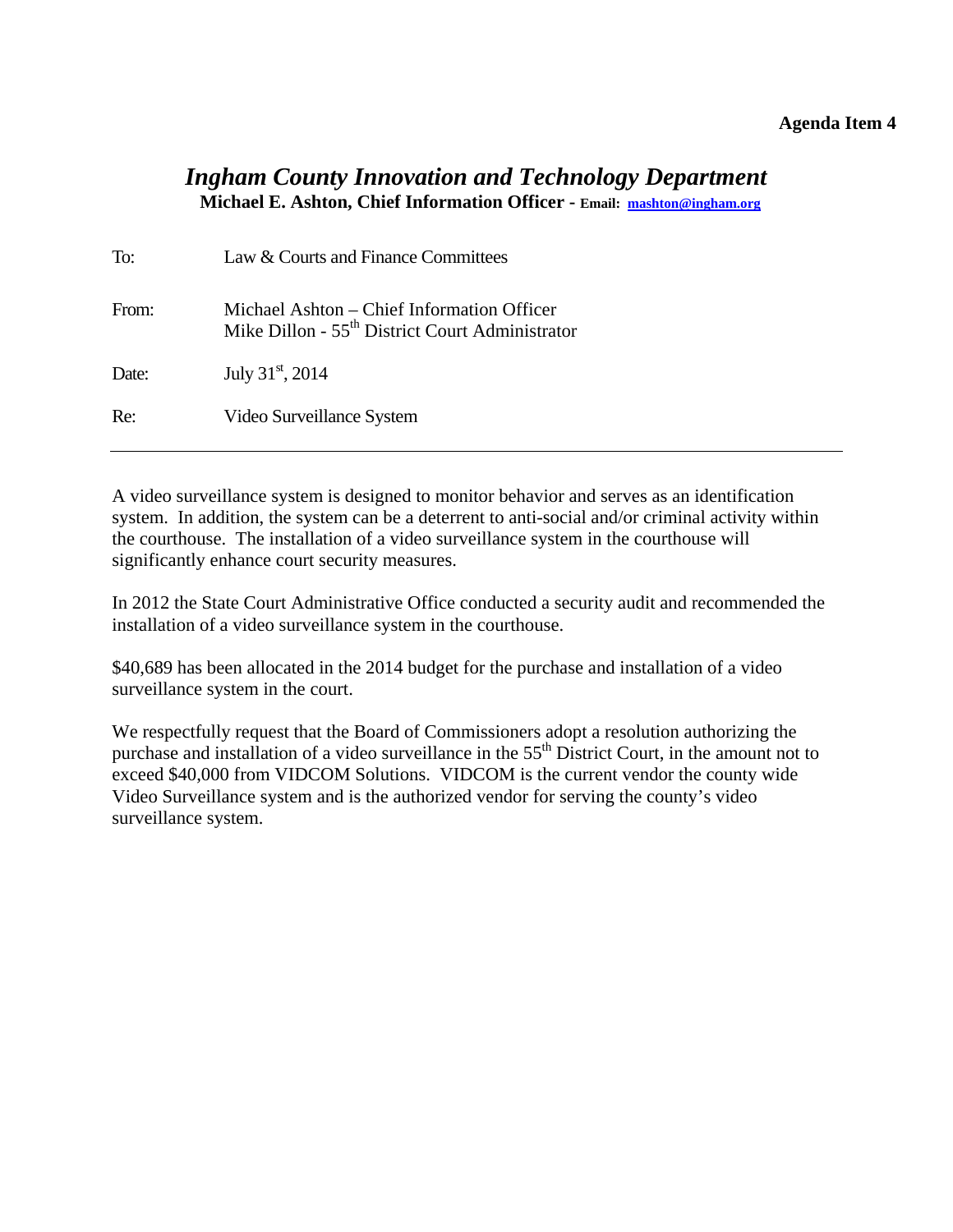### **Agenda Item 4**

### <span id="page-17-0"></span>*Ingham County Innovation and Technology Department* **Michael E. Ashton, Chief Information Officer - Email: mashton@ingham.org**

| To:   | Law & Courts and Finance Committees                                                                       |
|-------|-----------------------------------------------------------------------------------------------------------|
| From: | Michael Ashton – Chief Information Officer<br>Mike Dillon - 55 <sup>th</sup> District Court Administrator |
| Date: | July $31^{\rm st}$ , 2014                                                                                 |
| Re:   | Video Surveillance System                                                                                 |

A video surveillance system is designed to monitor behavior and serves as an identification system. In addition, the system can be a deterrent to anti-social and/or criminal activity within the courthouse. The installation of a video surveillance system in the courthouse will significantly enhance court security measures.

In 2012 the State Court Administrative Office conducted a security audit and recommended the installation of a video surveillance system in the courthouse.

\$40,689 has been allocated in the 2014 budget for the purchase and installation of a video surveillance system in the court.

We respectfully request that the Board of Commissioners adopt a resolution authorizing the purchase and installation of a video surveillance in the 55<sup>th</sup> District Court, in the amount not to exceed \$40,000 from VIDCOM Solutions. VIDCOM is the current vendor the county wide Video Surveillance system and is the authorized vendor for serving the county's video surveillance system.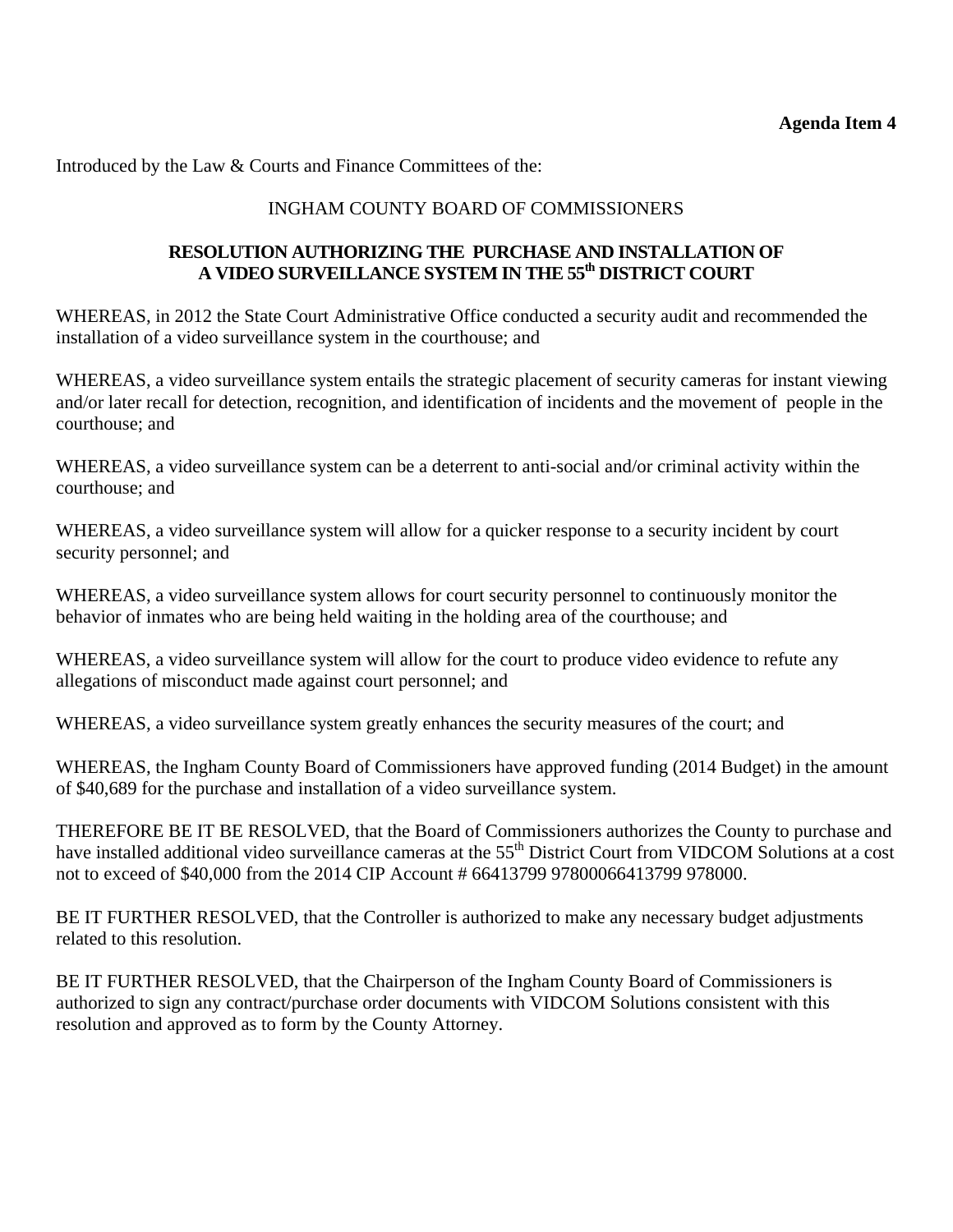Introduced by the Law & Courts and Finance Committees of the:

### INGHAM COUNTY BOARD OF COMMISSIONERS

### **RESOLUTION AUTHORIZING THE PURCHASE AND INSTALLATION OF**  A VIDEO SURVEILLANCE SYSTEM IN THE 55<sup>th</sup> DISTRICT COURT

WHEREAS, in 2012 the State Court Administrative Office conducted a security audit and recommended the installation of a video surveillance system in the courthouse; and

WHEREAS, a video surveillance system entails the strategic placement of security cameras for instant viewing and/or later recall for detection, recognition, and identification of incidents and the movement of people in the courthouse; and

WHEREAS, a video surveillance system can be a deterrent to anti-social and/or criminal activity within the courthouse; and

WHEREAS, a video surveillance system will allow for a quicker response to a security incident by court security personnel; and

WHEREAS, a video surveillance system allows for court security personnel to continuously monitor the behavior of inmates who are being held waiting in the holding area of the courthouse; and

WHEREAS, a video surveillance system will allow for the court to produce video evidence to refute any allegations of misconduct made against court personnel; and

WHEREAS, a video surveillance system greatly enhances the security measures of the court; and

WHEREAS, the Ingham County Board of Commissioners have approved funding (2014 Budget) in the amount of \$40,689 for the purchase and installation of a video surveillance system.

THEREFORE BE IT BE RESOLVED, that the Board of Commissioners authorizes the County to purchase and have installed additional video surveillance cameras at the 55<sup>th</sup> District Court from VIDCOM Solutions at a cost not to exceed of \$40,000 from the 2014 CIP Account # 66413799 97800066413799 978000.

BE IT FURTHER RESOLVED, that the Controller is authorized to make any necessary budget adjustments related to this resolution.

BE IT FURTHER RESOLVED, that the Chairperson of the Ingham County Board of Commissioners is authorized to sign any contract/purchase order documents with VIDCOM Solutions consistent with this resolution and approved as to form by the County Attorney.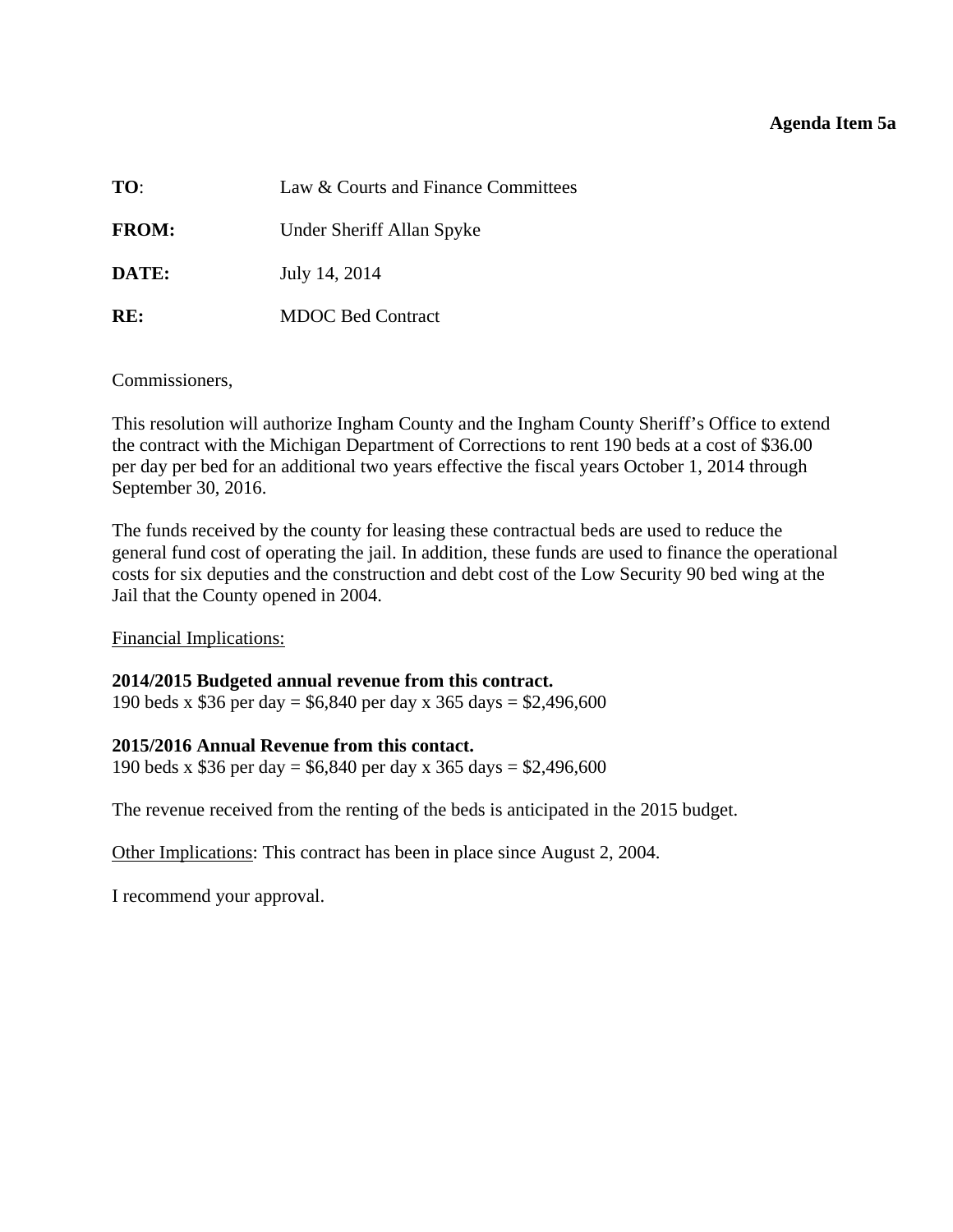### **Agenda Item 5a**

<span id="page-19-0"></span>

| TO:          | Law & Courts and Finance Committees |
|--------------|-------------------------------------|
| <b>FROM:</b> | Under Sheriff Allan Spyke           |
| DATE:        | July 14, 2014                       |
| RE:          | <b>MDOC Bed Contract</b>            |

Commissioners,

This resolution will authorize Ingham County and the Ingham County Sheriff's Office to extend the contract with the Michigan Department of Corrections to rent 190 beds at a cost of \$36.00 per day per bed for an additional two years effective the fiscal years October 1, 2014 through September 30, 2016.

The funds received by the county for leasing these contractual beds are used to reduce the general fund cost of operating the jail. In addition, these funds are used to finance the operational costs for six deputies and the construction and debt cost of the Low Security 90 bed wing at the Jail that the County opened in 2004.

Financial Implications:

### **2014/2015 Budgeted annual revenue from this contract.**

190 beds x \$36 per day = \$6,840 per day x 365 days = \$2,496,600

### **2015/2016 Annual Revenue from this contact.**

190 beds x \$36 per day = \$6,840 per day x 365 days = \$2,496,600

The revenue received from the renting of the beds is anticipated in the 2015 budget.

Other Implications: This contract has been in place since August 2, 2004.

I recommend your approval.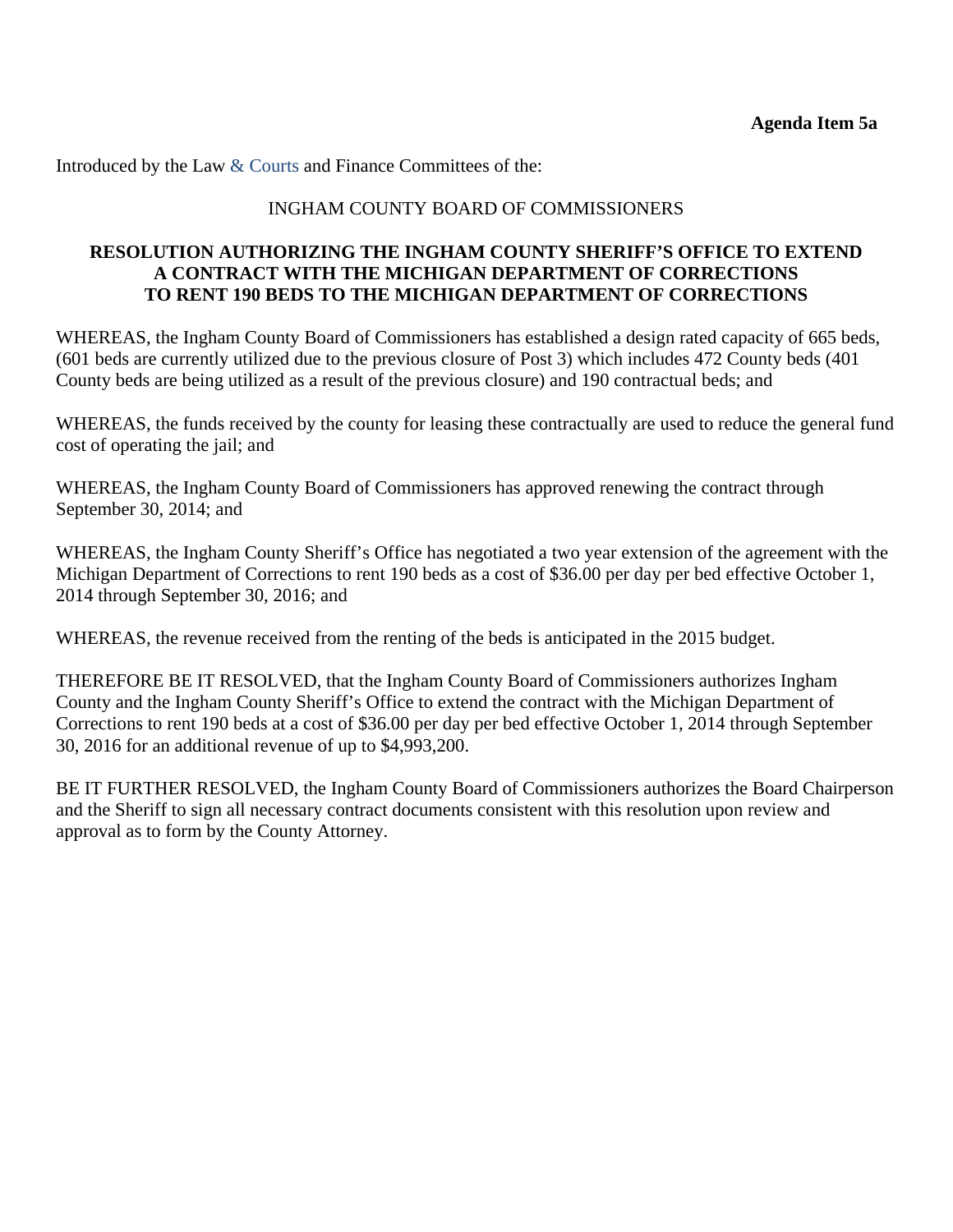Introduced by the Law & Courts and Finance Committees of the:

### INGHAM COUNTY BOARD OF COMMISSIONERS

### **RESOLUTION AUTHORIZING THE INGHAM COUNTY SHERIFF'S OFFICE TO EXTEND A CONTRACT WITH THE MICHIGAN DEPARTMENT OF CORRECTIONS TO RENT 190 BEDS TO THE MICHIGAN DEPARTMENT OF CORRECTIONS**

WHEREAS, the Ingham County Board of Commissioners has established a design rated capacity of 665 beds, (601 beds are currently utilized due to the previous closure of Post 3) which includes 472 County beds (401 County beds are being utilized as a result of the previous closure) and 190 contractual beds; and

WHEREAS, the funds received by the county for leasing these contractually are used to reduce the general fund cost of operating the jail; and

WHEREAS, the Ingham County Board of Commissioners has approved renewing the contract through September 30, 2014; and

WHEREAS, the Ingham County Sheriff's Office has negotiated a two year extension of the agreement with the Michigan Department of Corrections to rent 190 beds as a cost of \$36.00 per day per bed effective October 1, 2014 through September 30, 2016; and

WHEREAS, the revenue received from the renting of the beds is anticipated in the 2015 budget.

THEREFORE BE IT RESOLVED, that the Ingham County Board of Commissioners authorizes Ingham County and the Ingham County Sheriff's Office to extend the contract with the Michigan Department of Corrections to rent 190 beds at a cost of \$36.00 per day per bed effective October 1, 2014 through September 30, 2016 for an additional revenue of up to \$4,993,200.

BE IT FURTHER RESOLVED, the Ingham County Board of Commissioners authorizes the Board Chairperson and the Sheriff to sign all necessary contract documents consistent with this resolution upon review and approval as to form by the County Attorney.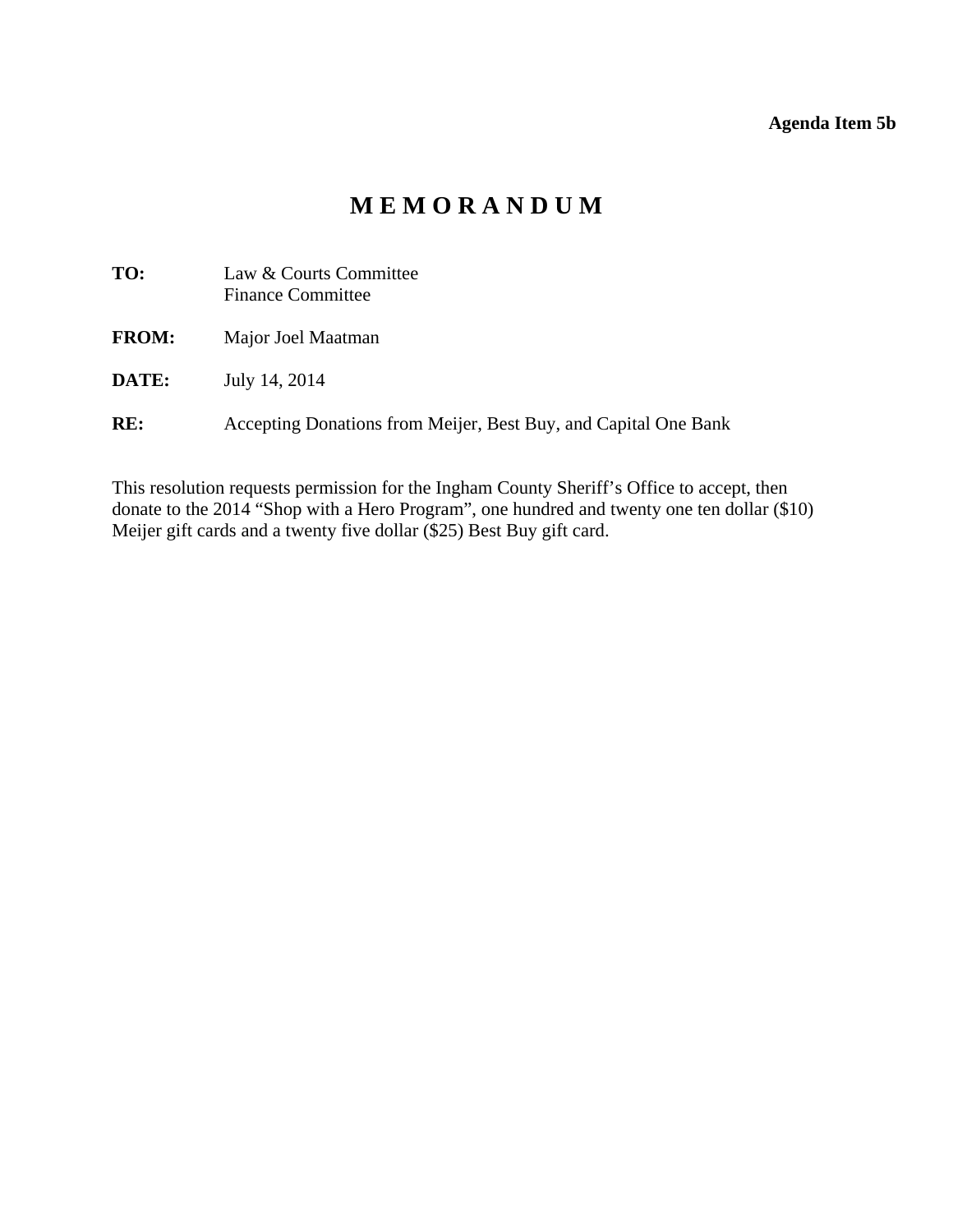### **Agenda Item 5b**

# **M E M O R A N D U M**

<span id="page-21-0"></span>

| TO:          | Law & Courts Committee<br><b>Finance Committee</b>              |
|--------------|-----------------------------------------------------------------|
| <b>FROM:</b> | Major Joel Maatman                                              |
| <b>DATE:</b> | July 14, 2014                                                   |
| RE:          | Accepting Donations from Meijer, Best Buy, and Capital One Bank |

This resolution requests permission for the Ingham County Sheriff's Office to accept, then donate to the 2014 "Shop with a Hero Program", one hundred and twenty one ten dollar (\$10) Meijer gift cards and a twenty five dollar (\$25) Best Buy gift card.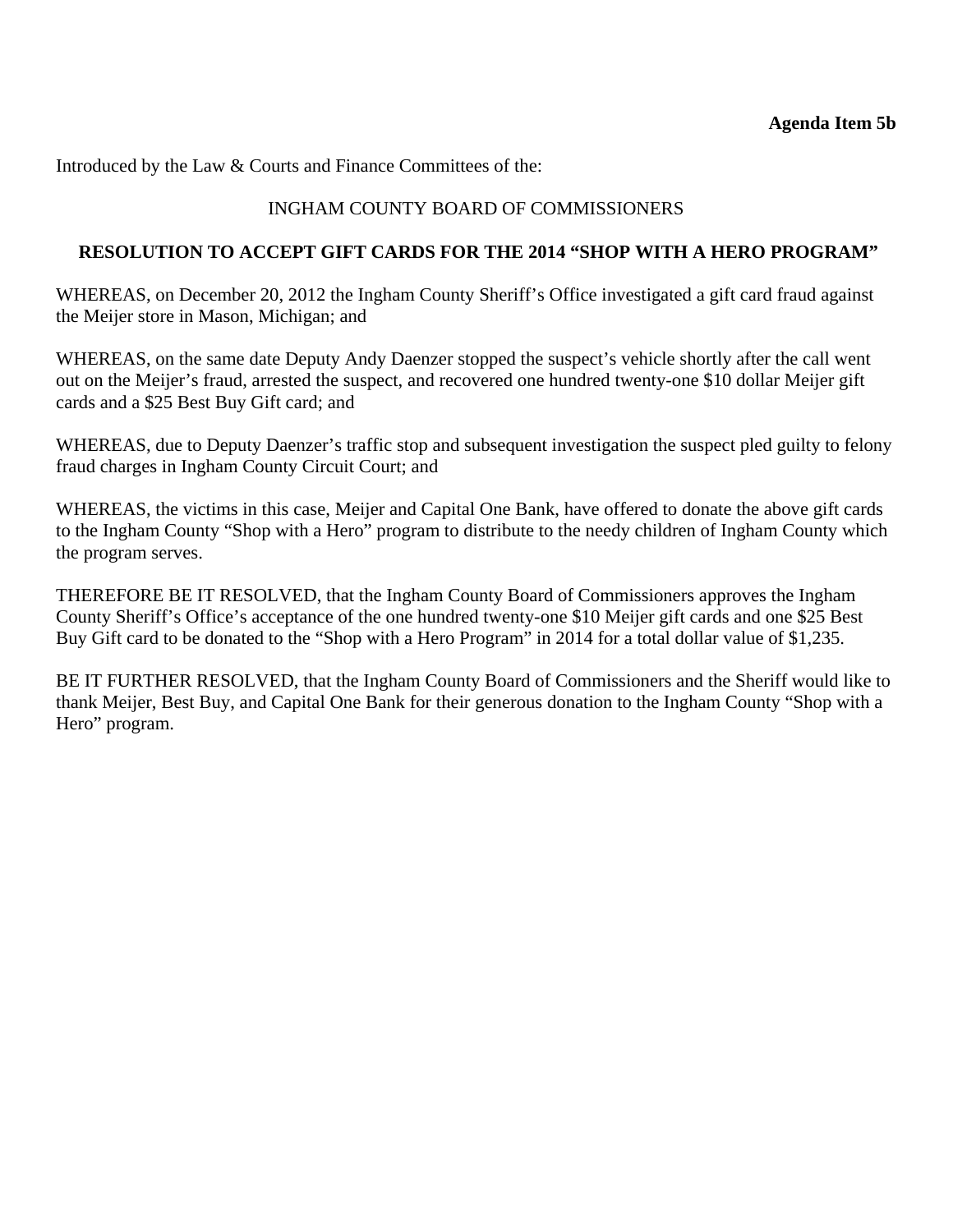Introduced by the Law & Courts and Finance Committees of the:

### INGHAM COUNTY BOARD OF COMMISSIONERS

### **RESOLUTION TO ACCEPT GIFT CARDS FOR THE 2014 "SHOP WITH A HERO PROGRAM"**

WHEREAS, on December 20, 2012 the Ingham County Sheriff's Office investigated a gift card fraud against the Meijer store in Mason, Michigan; and

WHEREAS, on the same date Deputy Andy Daenzer stopped the suspect's vehicle shortly after the call went out on the Meijer's fraud, arrested the suspect, and recovered one hundred twenty-one \$10 dollar Meijer gift cards and a \$25 Best Buy Gift card; and

WHEREAS, due to Deputy Daenzer's traffic stop and subsequent investigation the suspect pled guilty to felony fraud charges in Ingham County Circuit Court; and

WHEREAS, the victims in this case, Meijer and Capital One Bank, have offered to donate the above gift cards to the Ingham County "Shop with a Hero" program to distribute to the needy children of Ingham County which the program serves.

THEREFORE BE IT RESOLVED, that the Ingham County Board of Commissioners approves the Ingham County Sheriff's Office's acceptance of the one hundred twenty-one \$10 Meijer gift cards and one \$25 Best Buy Gift card to be donated to the "Shop with a Hero Program" in 2014 for a total dollar value of \$1,235.

BE IT FURTHER RESOLVED, that the Ingham County Board of Commissioners and the Sheriff would like to thank Meijer, Best Buy, and Capital One Bank for their generous donation to the Ingham County "Shop with a Hero" program.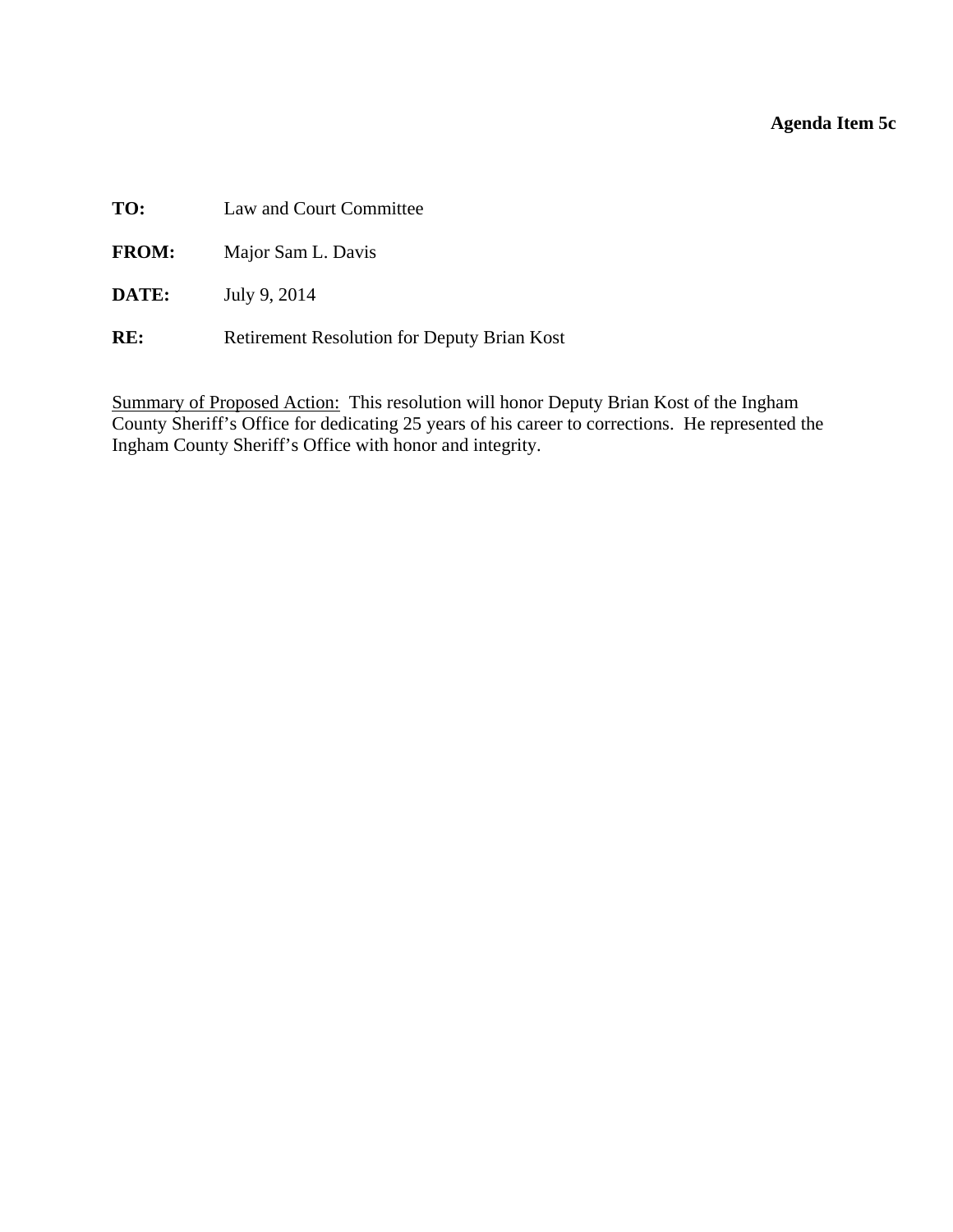### **Agenda Item 5c**

<span id="page-23-0"></span>**TO:** Law and Court Committee

**FROM:** Major Sam L. Davis

**DATE:** July 9, 2014

RE: Retirement Resolution for Deputy Brian Kost

Summary of Proposed Action: This resolution will honor Deputy Brian Kost of the Ingham County Sheriff's Office for dedicating 25 years of his career to corrections. He represented the Ingham County Sheriff's Office with honor and integrity.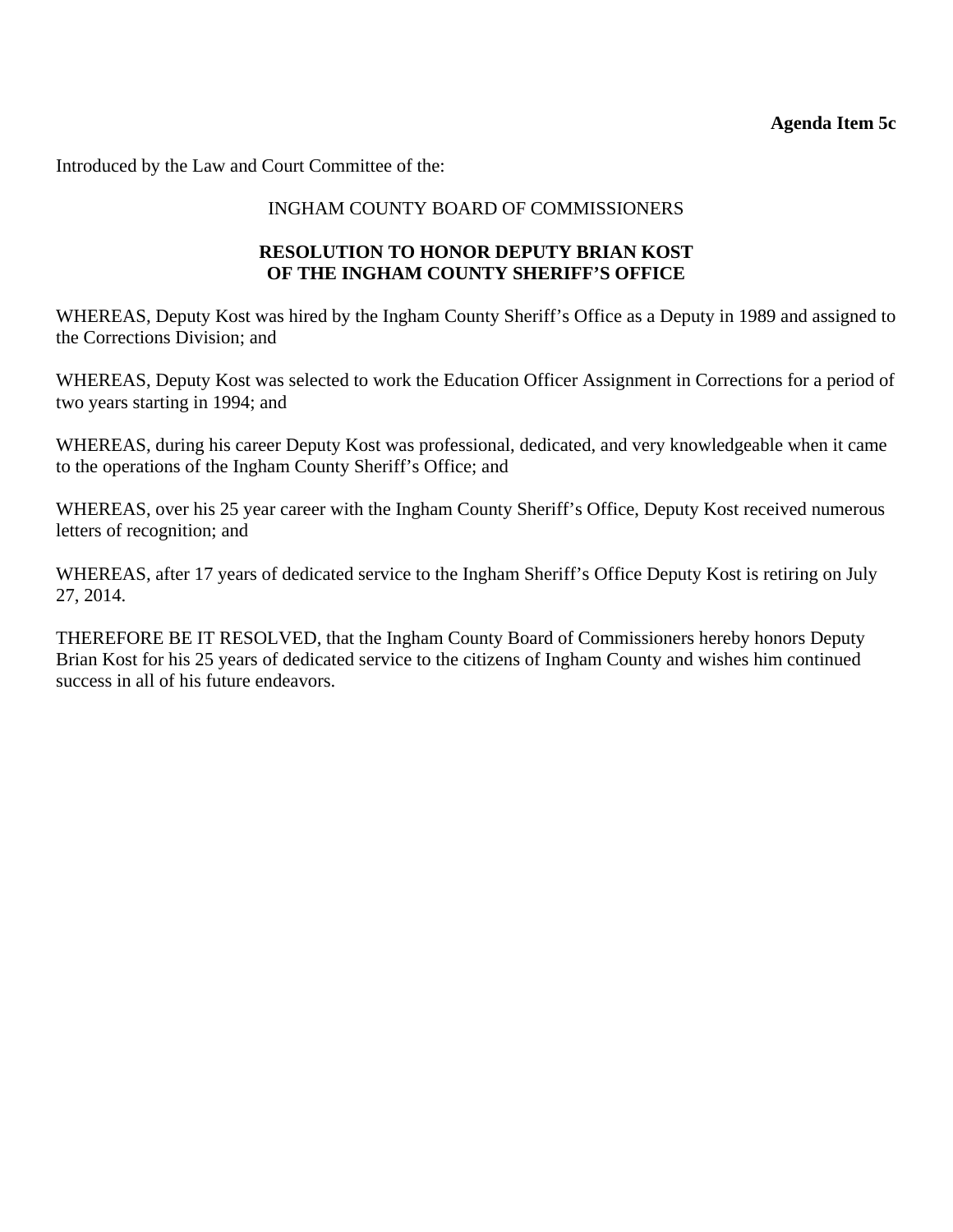Introduced by the Law and Court Committee of the:

### INGHAM COUNTY BOARD OF COMMISSIONERS

### **RESOLUTION TO HONOR DEPUTY BRIAN KOST OF THE INGHAM COUNTY SHERIFF'S OFFICE**

WHEREAS, Deputy Kost was hired by the Ingham County Sheriff's Office as a Deputy in 1989 and assigned to the Corrections Division; and

WHEREAS, Deputy Kost was selected to work the Education Officer Assignment in Corrections for a period of two years starting in 1994; and

WHEREAS, during his career Deputy Kost was professional, dedicated, and very knowledgeable when it came to the operations of the Ingham County Sheriff's Office; and

WHEREAS, over his 25 year career with the Ingham County Sheriff's Office, Deputy Kost received numerous letters of recognition; and

WHEREAS, after 17 years of dedicated service to the Ingham Sheriff's Office Deputy Kost is retiring on July 27, 2014.

THEREFORE BE IT RESOLVED, that the Ingham County Board of Commissioners hereby honors Deputy Brian Kost for his 25 years of dedicated service to the citizens of Ingham County and wishes him continued success in all of his future endeavors.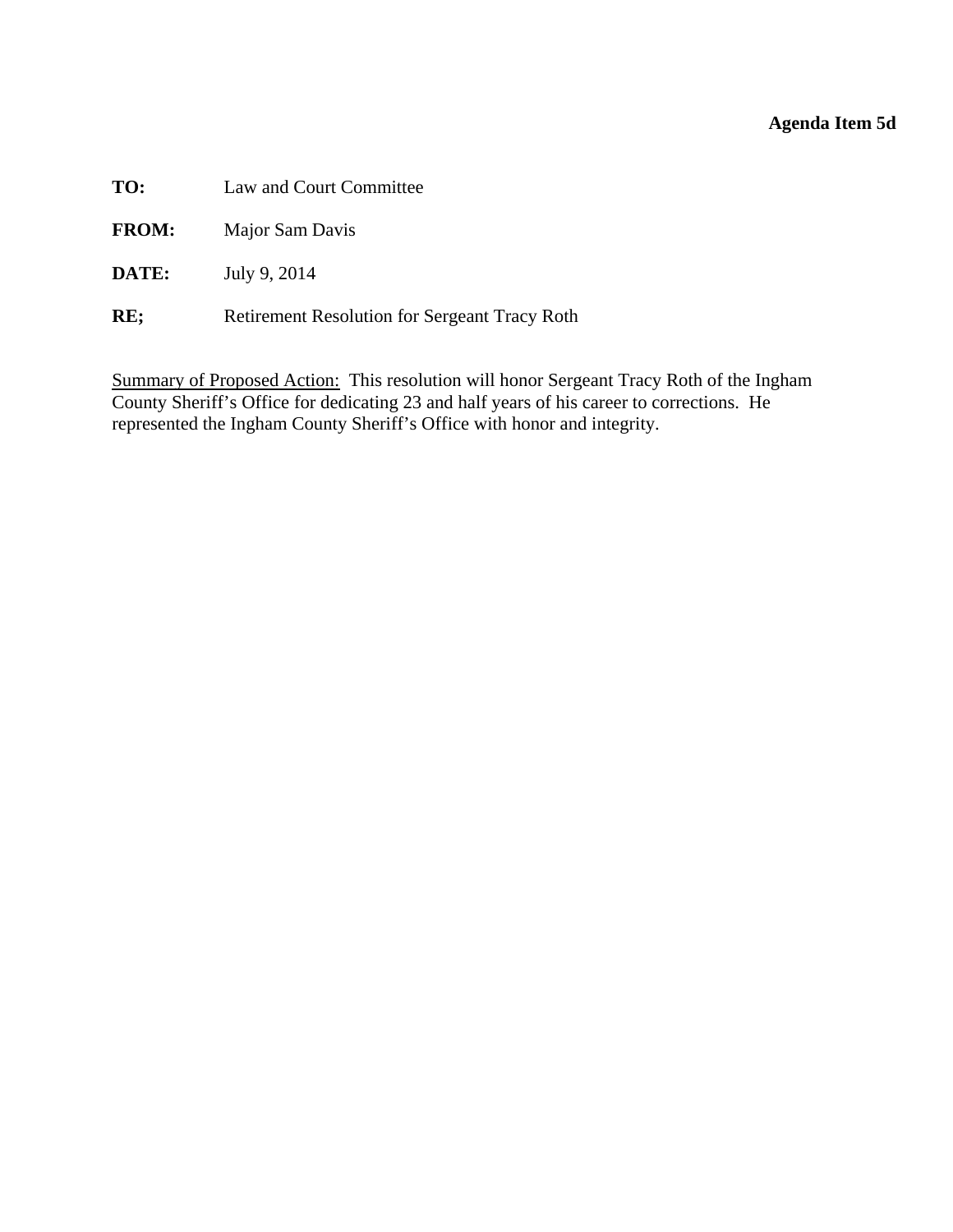### **Agenda Item 5d**

<span id="page-25-0"></span>**TO:** Law and Court Committee

**FROM:** Major Sam Davis

**DATE:** July 9, 2014

**RE;** Retirement Resolution for Sergeant Tracy Roth

Summary of Proposed Action: This resolution will honor Sergeant Tracy Roth of the Ingham County Sheriff's Office for dedicating 23 and half years of his career to corrections. He represented the Ingham County Sheriff's Office with honor and integrity.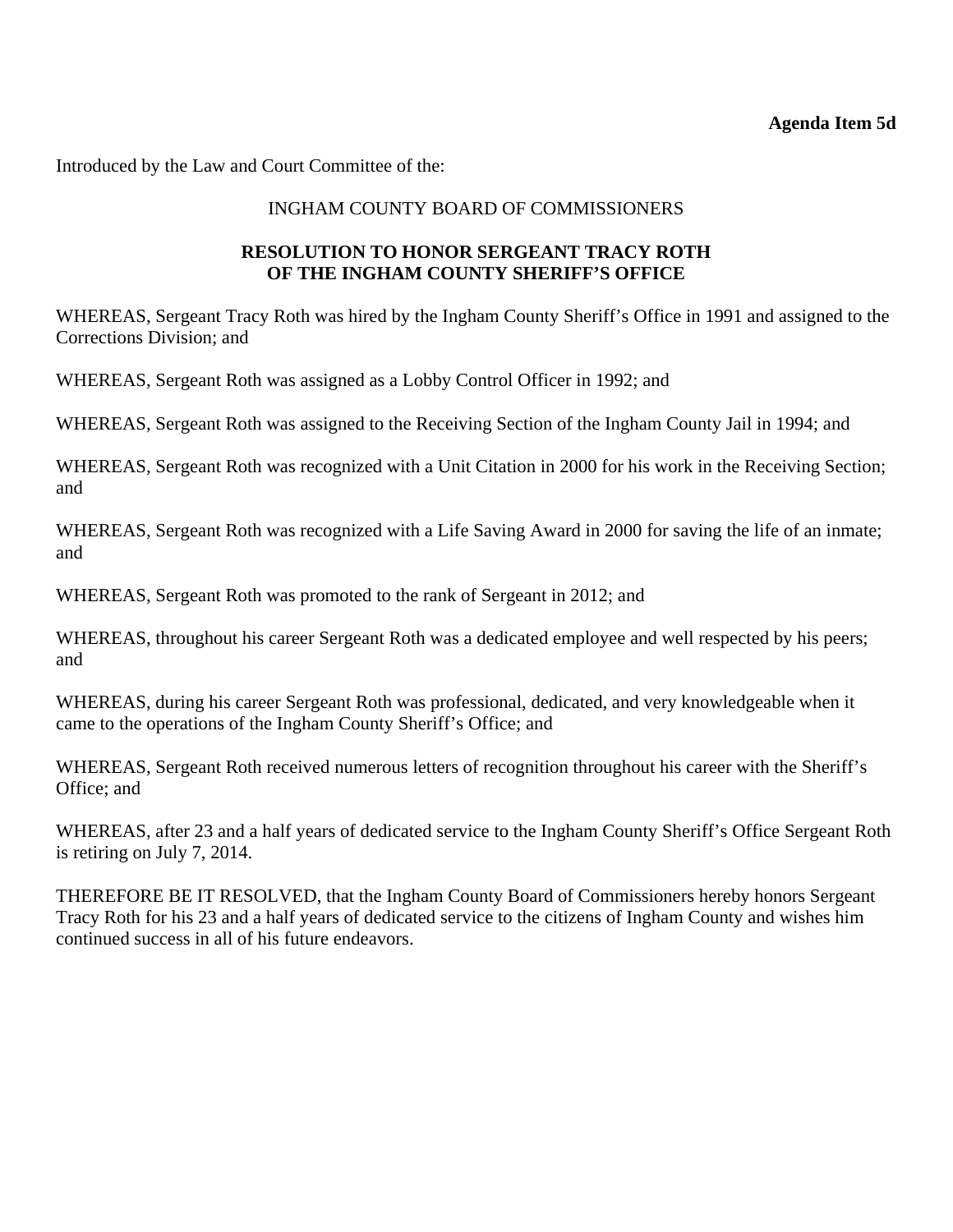Introduced by the Law and Court Committee of the:

### INGHAM COUNTY BOARD OF COMMISSIONERS

### **RESOLUTION TO HONOR SERGEANT TRACY ROTH OF THE INGHAM COUNTY SHERIFF'S OFFICE**

WHEREAS, Sergeant Tracy Roth was hired by the Ingham County Sheriff's Office in 1991 and assigned to the Corrections Division; and

WHEREAS, Sergeant Roth was assigned as a Lobby Control Officer in 1992; and

WHEREAS, Sergeant Roth was assigned to the Receiving Section of the Ingham County Jail in 1994; and

WHEREAS, Sergeant Roth was recognized with a Unit Citation in 2000 for his work in the Receiving Section; and

WHEREAS, Sergeant Roth was recognized with a Life Saving Award in 2000 for saving the life of an inmate; and

WHEREAS, Sergeant Roth was promoted to the rank of Sergeant in 2012; and

WHEREAS, throughout his career Sergeant Roth was a dedicated employee and well respected by his peers; and

WHEREAS, during his career Sergeant Roth was professional, dedicated, and very knowledgeable when it came to the operations of the Ingham County Sheriff's Office; and

WHEREAS, Sergeant Roth received numerous letters of recognition throughout his career with the Sheriff's Office; and

WHEREAS, after 23 and a half years of dedicated service to the Ingham County Sheriff's Office Sergeant Roth is retiring on July 7, 2014.

THEREFORE BE IT RESOLVED, that the Ingham County Board of Commissioners hereby honors Sergeant Tracy Roth for his 23 and a half years of dedicated service to the citizens of Ingham County and wishes him continued success in all of his future endeavors.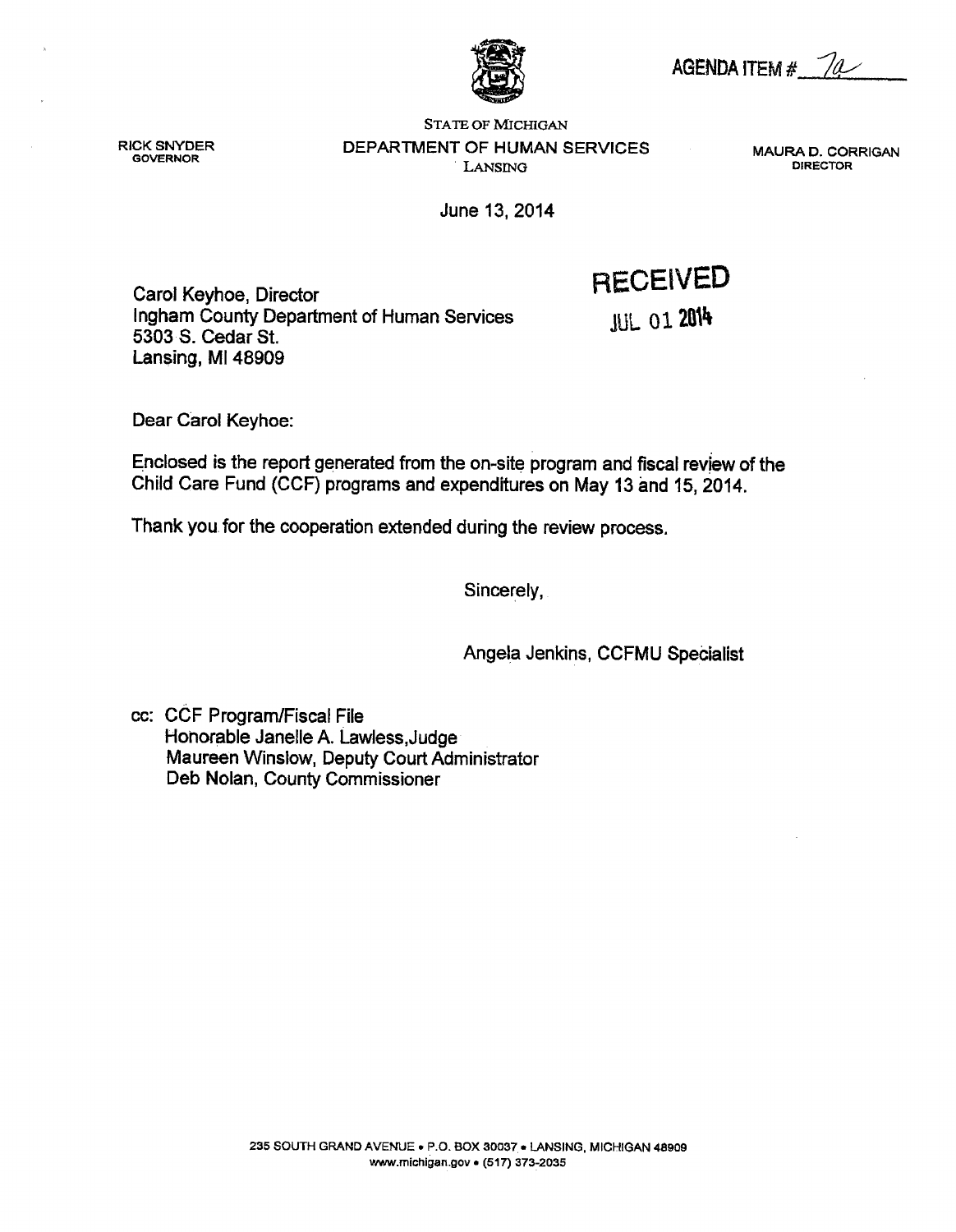AGENDA ITEM  $#$   $\sqrt{a}$ 



**RICK SNYDER GOVERNOR** 

**STATE OF MICHIGAN** DEPARTMENT OF HUMAN SERVICES LANSING

MAURA D. CORRIGAN **DIRECTOR** 

June 13, 2014

Carol Keyhoe, Director Ingham County Department of Human Services 5303 S. Cedar St. Lansing, MI 48909

**JUL 01 2014** 

**RECEIVED** 

Dear Carol Keyhoe:

Enclosed is the report generated from the on-site program and fiscal review of the Child Care Fund (CCF) programs and expenditures on May 13 and 15, 2014.

Thank you for the cooperation extended during the review process.

Sincerely,

Angela Jenkins, CCFMU Specialist

cc: CCF Program/Fiscal File Honorable Janelle A. Lawless, Judge Maureen Winslow, Deputy Court Administrator Deb Nolan, County Commissioner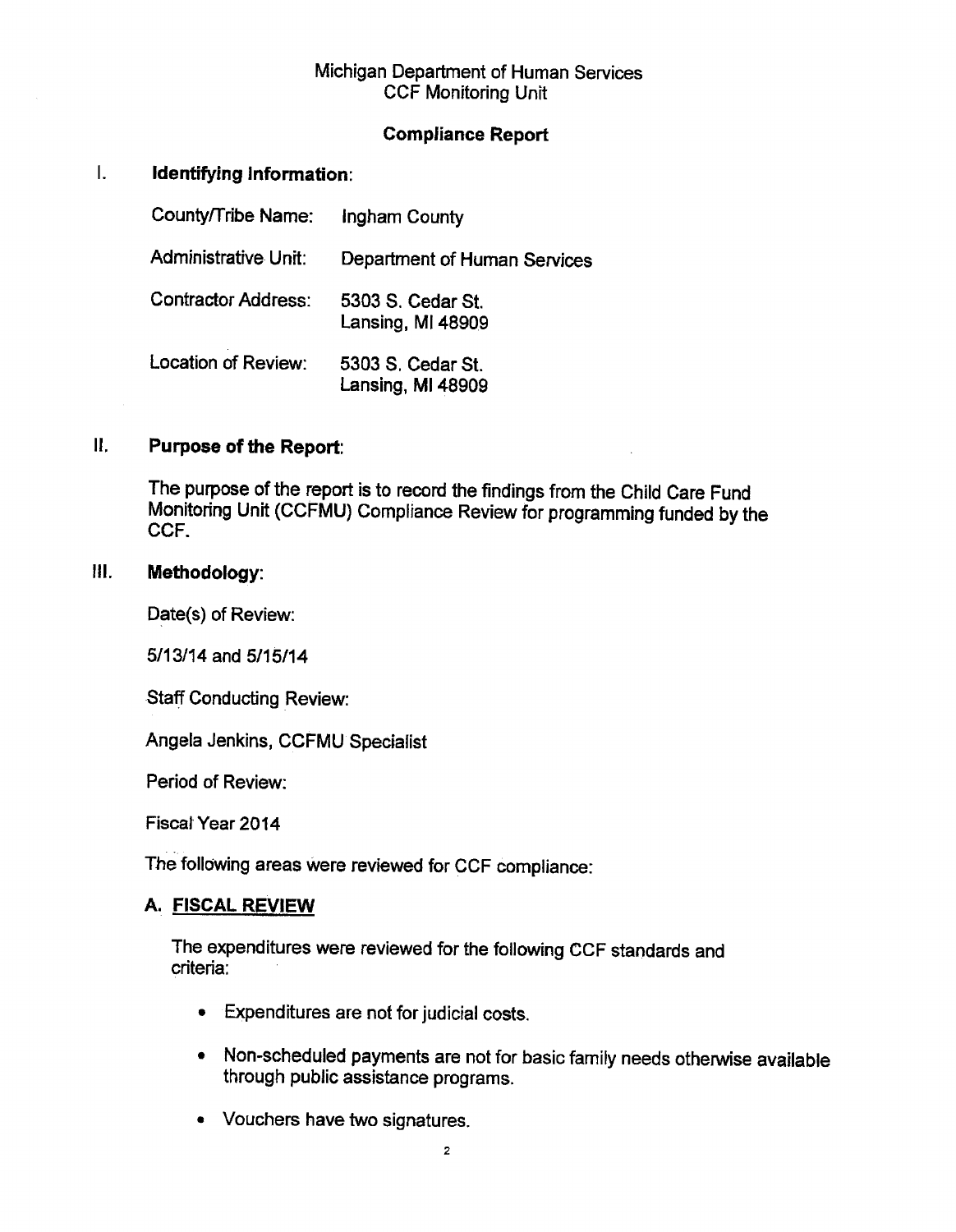### Michigan Department of Human Services **CCF Monitoring Unit**

### **Compliance Report**

#### $\overline{L}$ Identifying Information:

| County/Tribe Name:          | Ingham County                          |
|-----------------------------|----------------------------------------|
| <b>Administrative Unit:</b> | Department of Human Services           |
| <b>Contractor Address:</b>  | 5303 S. Cedar St.<br>Lansing, MI 48909 |
| Location of Review:         | 5303 S. Cedar St.<br>Lansing, MI 48909 |

#### $\mathbf{R}$ . **Purpose of the Report:**

The purpose of the report is to record the findings from the Child Care Fund Monitoring Unit (CCFMU) Compliance Review for programming funded by the CCF.

#### III. Methodology:

Date(s) of Review:

5/13/14 and 5/15/14

**Staff Conducting Review:** 

Angela Jenkins, CCFMU Specialist

Period of Review:

Fiscal Year 2014

The following areas were reviewed for CCF compliance:

### A. FISCAL REVIEW

The expenditures were reviewed for the following CCF standards and criteria:

- Expenditures are not for judicial costs.
- Non-scheduled payments are not for basic family needs otherwise available through public assistance programs.
- Vouchers have two signatures.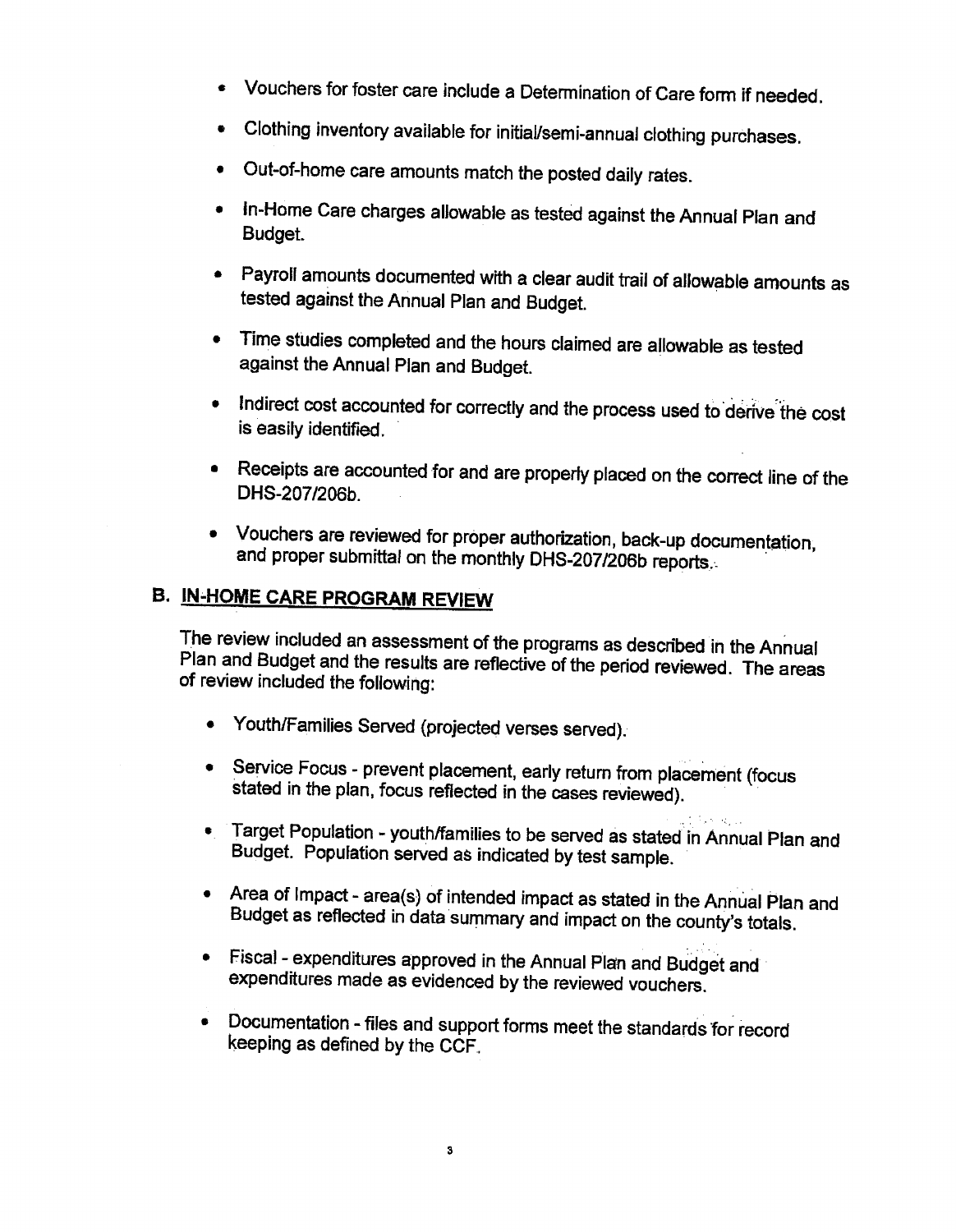- Vouchers for foster care include a Determination of Care form if needed.
- Clothing inventory available for initial/semi-annual clothing purchases.
- Out-of-home care amounts match the posted daily rates.
- In-Home Care charges allowable as tested against the Annual Plan and Budget.
- Payroll amounts documented with a clear audit trail of allowable amounts as tested against the Annual Plan and Budget.
- Time studies completed and the hours claimed are allowable as tested against the Annual Plan and Budget.
- . Indirect cost accounted for correctly and the process used to derive the cost is easily identified.
- Receipts are accounted for and are properly placed on the correct line of the DHS-207/206b
- Vouchers are reviewed for proper authorization, back-up documentation, and proper submittal on the monthly DHS-207/206b reports.

# **B. IN-HOME CARE PROGRAM REVIEW**

The review included an assessment of the programs as described in the Annual Plan and Budget and the results are reflective of the period reviewed. The areas of review included the following:

- Youth/Families Served (projected verses served).
- Service Focus prevent placement, early return from placement (focus stated in the plan, focus reflected in the cases reviewed).
- Target Population youth/families to be served as stated in Annual Plan and Budget. Population served as indicated by test sample.
- Area of Impact area(s) of intended impact as stated in the Annual Plan and Budget as reflected in data summary and impact on the county's totals.
- Fiscal expenditures approved in the Annual Plan and Budget and expenditures made as evidenced by the reviewed vouchers.
- Documentation files and support forms meet the standards for record keeping as defined by the CCF.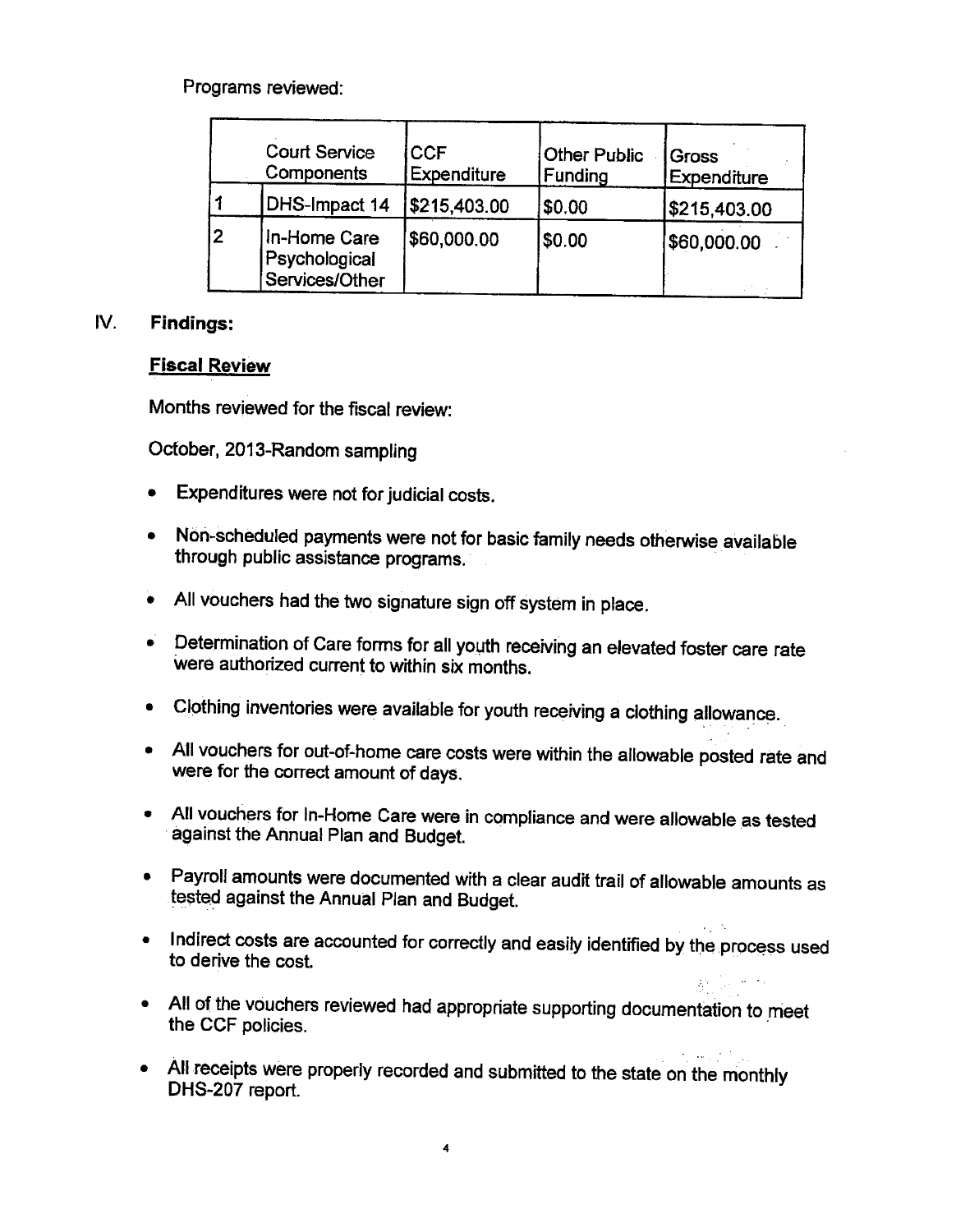Programs reviewed:

|    | <b>Court Service</b><br>Components              | <b>CCF</b><br><b>Expenditure</b> | <b>Other Public</b><br>Funding | Gross<br><b>Expenditure</b> |
|----|-------------------------------------------------|----------------------------------|--------------------------------|-----------------------------|
|    | DHS-Impact 14                                   | \$215,403.00                     | \$0.00                         | \$215,403.00                |
| l2 | In-Home Care<br>Psychological<br>Services/Other | \$60,000.00                      | \$0.00                         | \$60,000.00                 |

#### IV. **Findings:**

### **Fiscal Review**

Months reviewed for the fiscal review:

October, 2013-Random sampling

- Expenditures were not for judicial costs.  $\bullet$
- Non-scheduled payments were not for basic family needs otherwise available  $\bullet$ through public assistance programs.
- All vouchers had the two signature sign off system in place.  $\bullet$
- Determination of Care forms for all youth receiving an elevated foster care rate were authorized current to within six months.
- Clothing inventories were available for youth receiving a clothing allowance.
- All vouchers for out-of-home care costs were within the allowable posted rate and were for the correct amount of days.
- All vouchers for In-Home Care were in compliance and were allowable as tested against the Annual Plan and Budget.
- Payroli amounts were documented with a clear audit trail of allowable amounts as tested against the Annual Plan and Budget.
- Indirect costs are accounted for correctly and easily identified by the process used to derive the cost.

 $\mathcal{O}(\mathcal{O}_\mathcal{P})$  . We have

- All of the vouchers reviewed had appropriate supporting documentation to meet the CCF policies.
- All receipts were properly recorded and submitted to the state on the monthly DHS-207 report.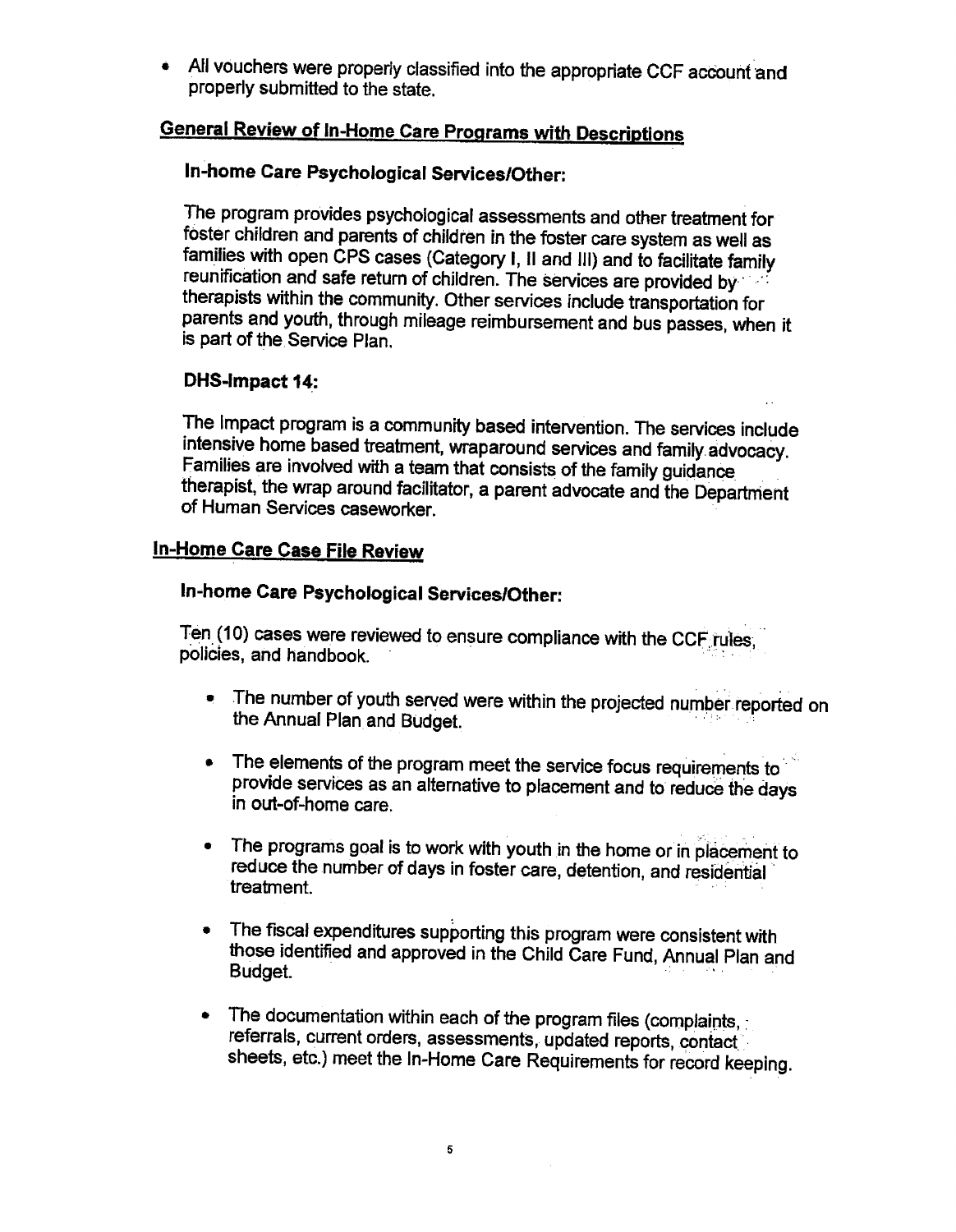• All vouchers were properly classified into the appropriate CCF account and properly submitted to the state.

# **General Review of In-Home Care Programs with Descriptions**

### In-home Care Psychological Services/Other:

The program provides psychological assessments and other treatment for foster children and parents of children in the foster care system as well as families with open CPS cases (Category I, II and III) and to facilitate family reunification and safe return of children. The services are provided by therapists within the community. Other services include transportation for parents and youth, through mileage reimbursement and bus passes, when it is part of the Service Plan.

### DHS-Impact 14:

The Impact program is a community based intervention. The services include intensive home based treatment, wraparound services and family advocacy. Families are involved with a team that consists of the family guidance therapist, the wrap around facilitator, a parent advocate and the Department of Human Services caseworker

### **In-Home Care Case File Review**

### In-home Care Psychological Services/Other:

Ten (10) cases were reviewed to ensure compliance with the CCF rules, policies, and handbook.

- The number of youth served were within the projected number reported on the Annual Plan and Budget.
- The elements of the program meet the service focus requirements to provide services as an alternative to placement and to reduce the days in out-of-home care.
- The programs goal is to work with youth in the home or in placement to reduce the number of days in foster care, detention, and residential treatment.
- The fiscal expenditures supporting this program were consistent with those identified and approved in the Child Care Fund, Annual Plan and Budget.
- The documentation within each of the program files (complaints,  $\bullet$ referrals, current orders, assessments, updated reports, contact sheets, etc.) meet the In-Home Care Requirements for record keeping.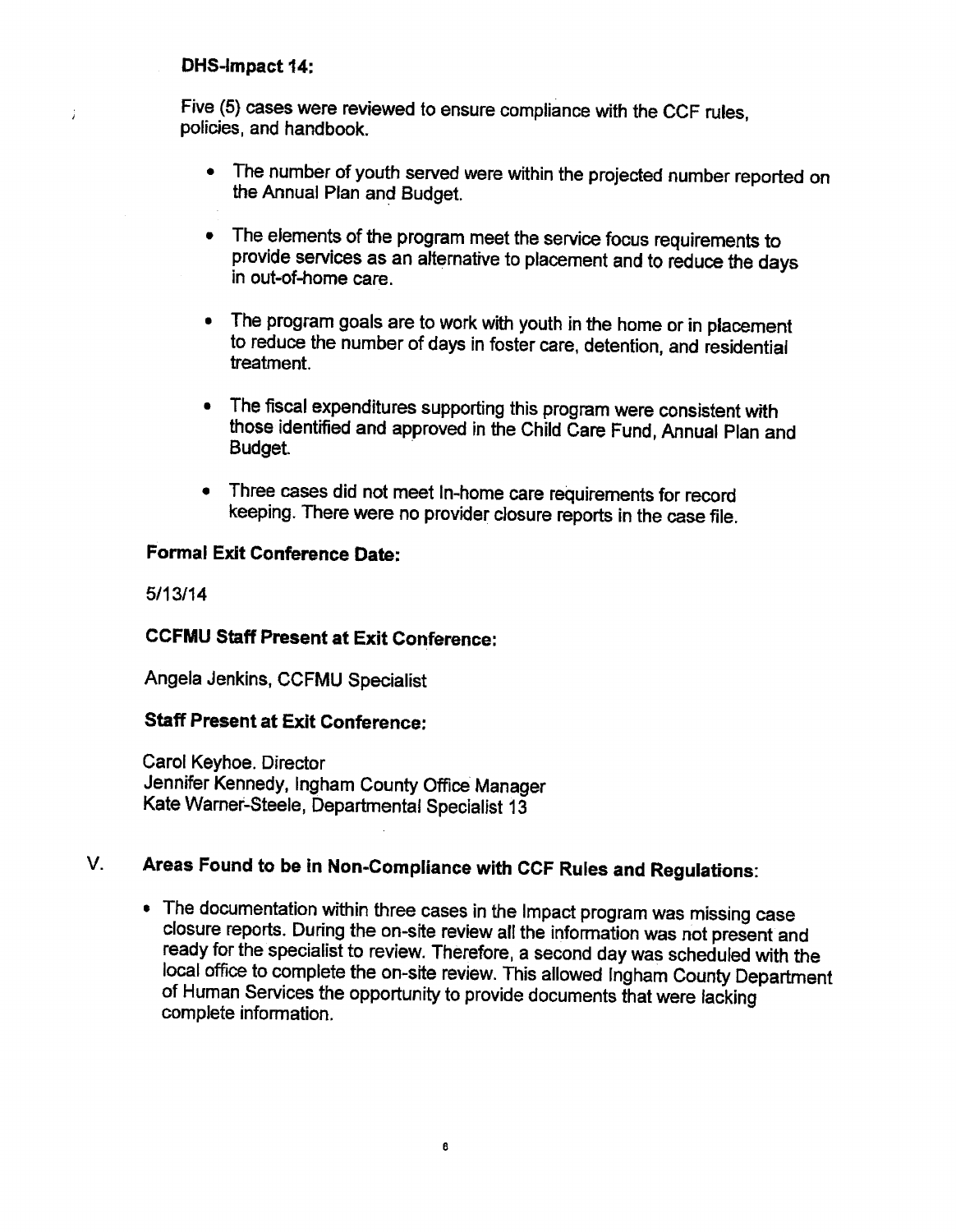### DHS-Impact 14:

 $\mathbf{j}$ 

Five (5) cases were reviewed to ensure compliance with the CCF rules. policies, and handbook.

- The number of youth served were within the projected number reported on the Annual Plan and Budget.
- The elements of the program meet the service focus requirements to provide services as an alternative to placement and to reduce the days in out-of-home care.
- The program goals are to work with youth in the home or in placement to reduce the number of days in foster care, detention, and residential treatment.
- The fiscal expenditures supporting this program were consistent with those identified and approved in the Child Care Fund, Annual Plan and Budget.
- Three cases did not meet In-home care requirements for record  $\bullet$ keeping. There were no provider closure reports in the case file.

### **Formal Exit Conference Date:**

 $5/13/14$ 

### **CCFMU Staff Present at Exit Conference:**

Angela Jenkins, CCFMU Specialist

### **Staff Present at Exit Conference:**

Carol Keyhoe. Director Jennifer Kennedy, Ingham County Office Manager Kate Warner-Steele, Departmental Specialist 13

#### Areas Found to be in Non-Compliance with CCF Rules and Regulations: V.

• The documentation within three cases in the Impact program was missing case closure reports. During the on-site review all the information was not present and ready for the specialist to review. Therefore, a second day was scheduled with the local office to complete the on-site review. This allowed Ingham County Department of Human Services the opportunity to provide documents that were lacking complete information.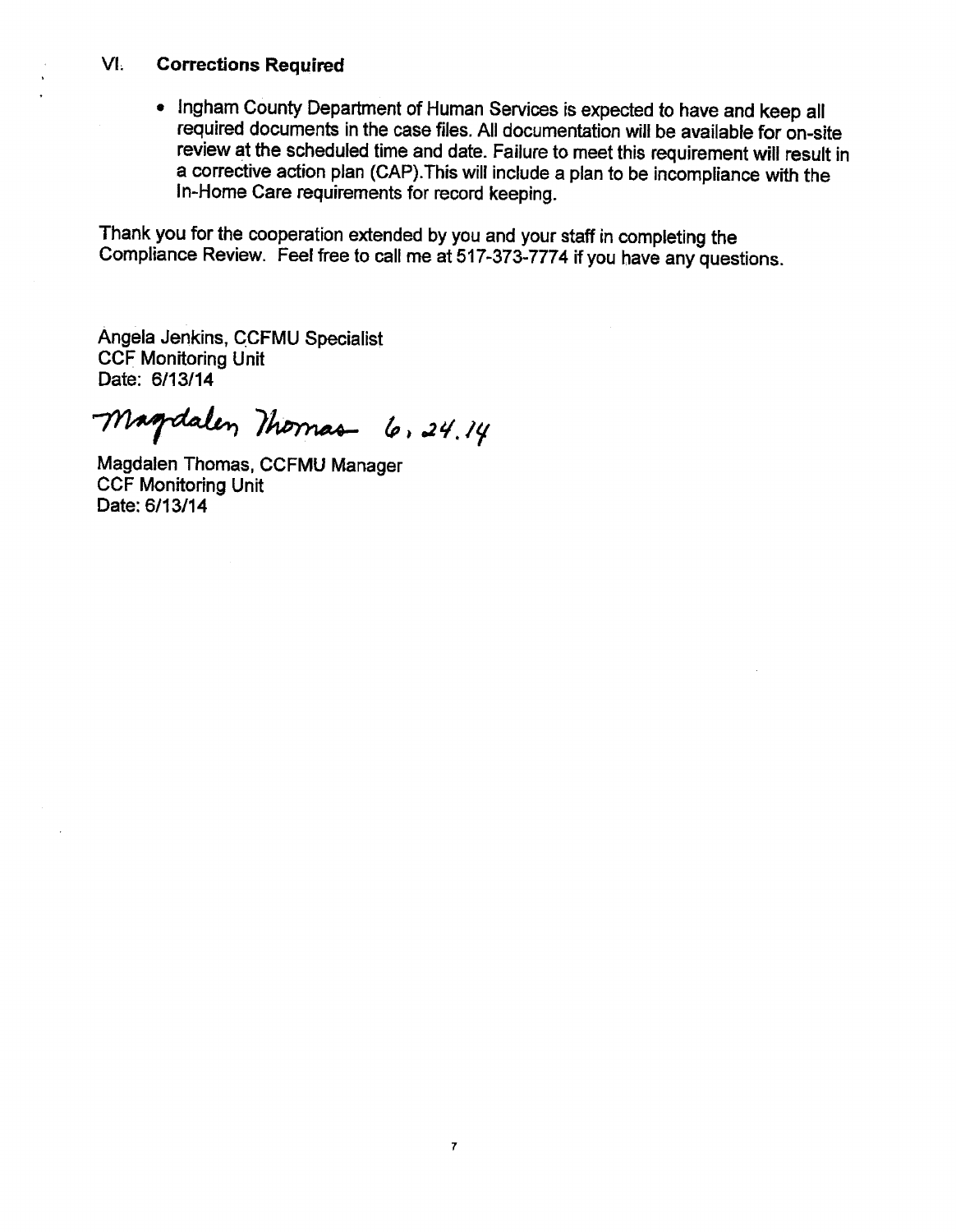#### $VI<sub>1</sub>$ **Corrections Required**

• Ingham County Department of Human Services is expected to have and keep all required documents in the case files. All documentation will be available for on-site review at the scheduled time and date. Failure to meet this requirement will result in a corrective action plan (CAP). This will include a plan to be incompliance with the In-Home Care requirements for record keeping.

Thank you for the cooperation extended by you and your staff in completing the Compliance Review. Feel free to call me at 517-373-7774 if you have any questions.

Angela Jenkins, CCFMU Specialist **CCF Monitoring Unit** Date: 6/13/14

Magdalen Momas 6, 24.14

Magdalen Thomas, CCFMU Manager **CCF Monitoring Unit** Date: 6/13/14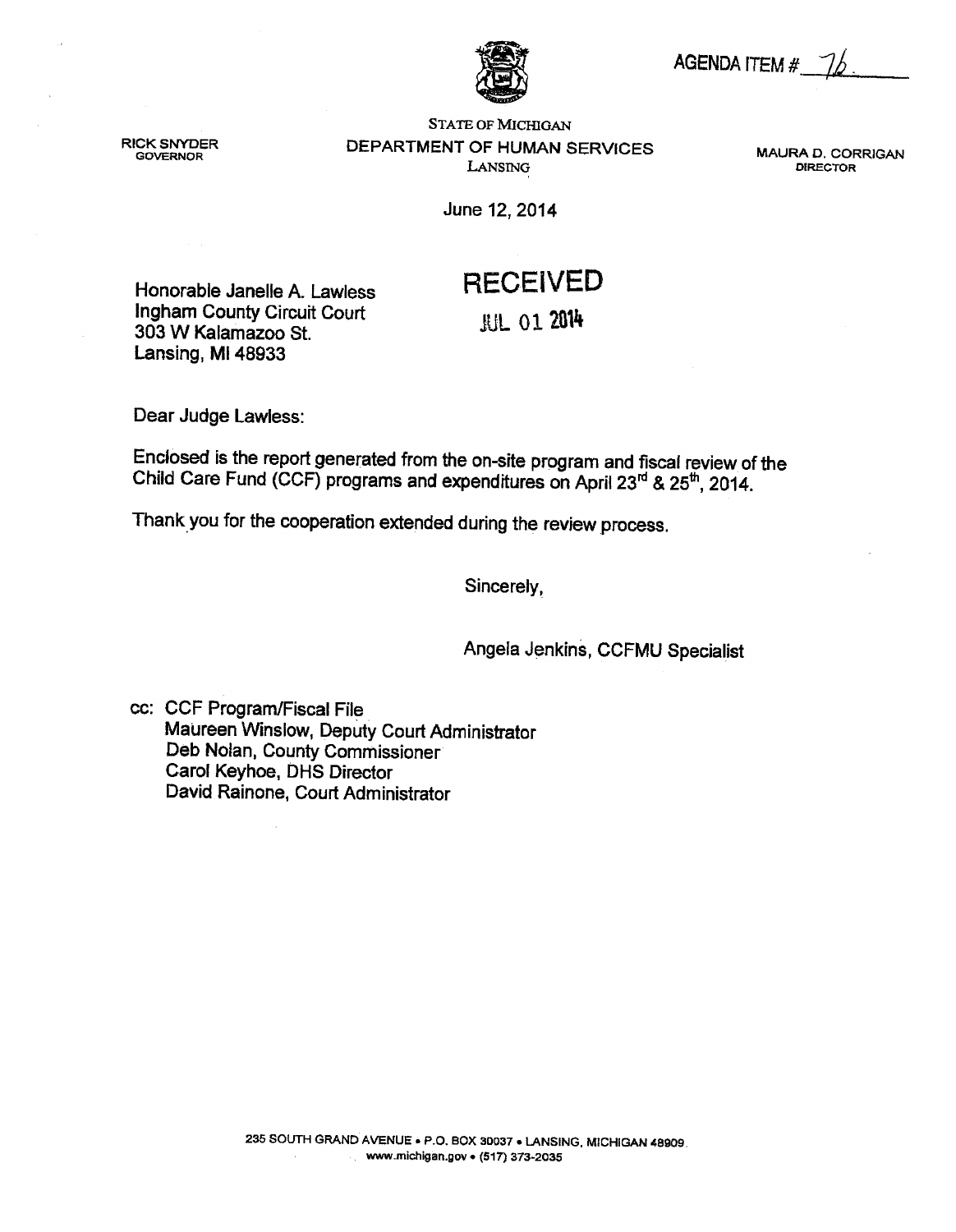AGENDA ITEM #

**RICK SNYDER GOVERNOR** 

**STATE OF MICHIGAN** DEPARTMENT OF HUMAN SERVICES LANSING

MAURA D. CORRIGAN **DIRECTOR** 

June 12, 2014

# **RECEIVED**

**JUL 01 2014** 

**Ingham County Circuit Court** 303 W Kalamazoo St. Lansing, MI 48933

Honorable Janelle A. Lawless

Dear Judge Lawless:

Enclosed is the report generated from the on-site program and fiscal review of the Child Care Fund (CCF) programs and expenditures on April 23<sup>rd</sup> & 25<sup>th</sup>, 2014.

Thank you for the cooperation extended during the review process.

Sincerely,

Angela Jenkins, CCFMU Specialist

cc: CCF Program/Fiscal File Maureen Winslow, Deputy Court Administrator Deb Nolan, County Commissioner Carol Keyhoe, DHS Director David Rainone, Court Administrator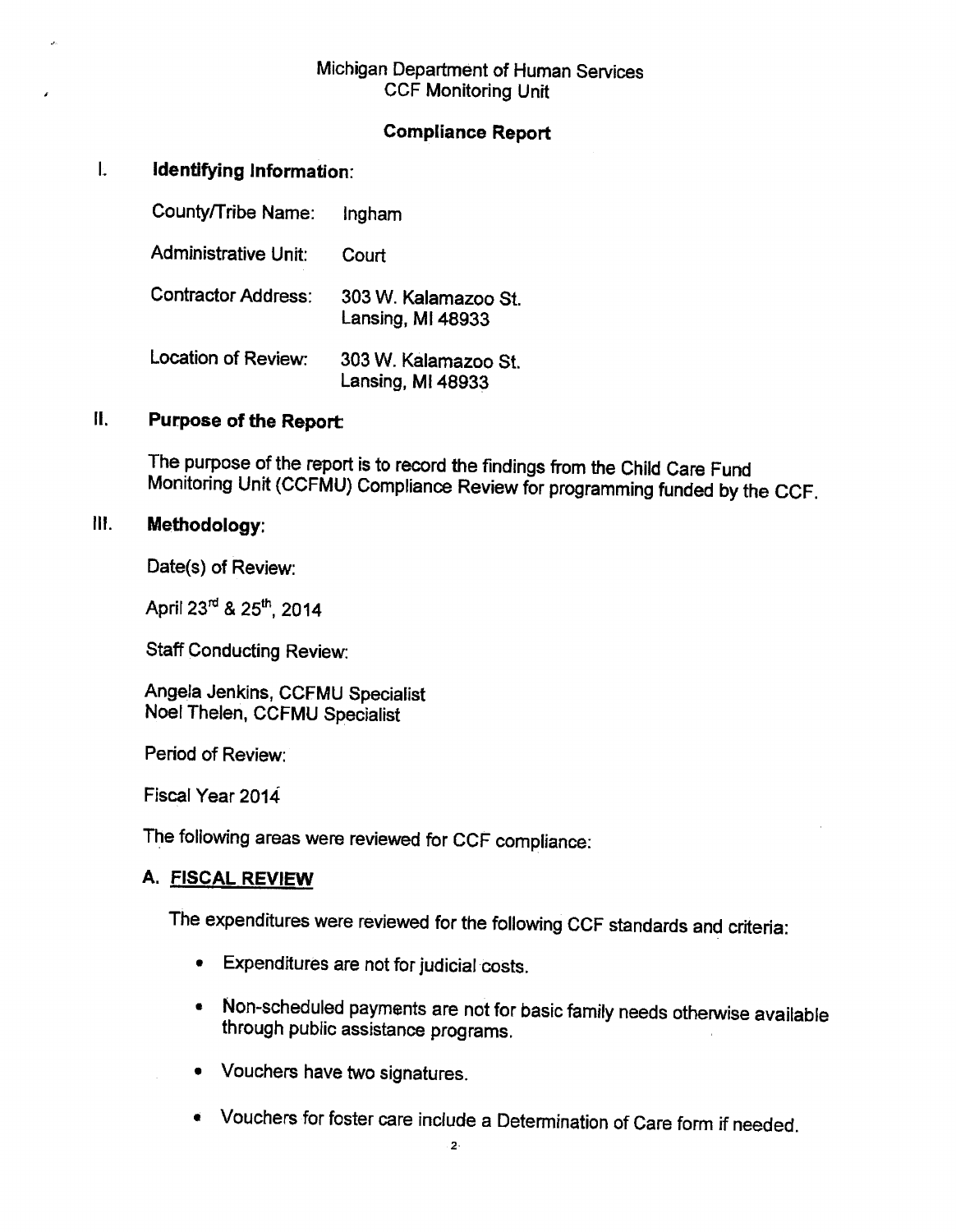### Michigan Department of Human Services **CCF Monitoring Unit**

### **Compliance Report**

#### $\mathbf{L}$ Identifying Information:

County/Tribe Name: Ingham **Administrative Unit:** Court **Contractor Address:** 303 W. Kalamazoo St. Lansing, MI 48933 Location of Review: 303 W. Kalamazoo St. Lansing, MI 48933

#### Ш. **Purpose of the Report:**

The purpose of the report is to record the findings from the Child Care Fund Monitoring Unit (CCFMU) Compliance Review for programming funded by the CCF.

#### $\mathbf{H}$ . Methodology:

Date(s) of Review:

April 23rd & 25th, 2014

**Staff Conducting Review:** 

Angela Jenkins, CCFMU Specialist Noel Thelen, CCFMU Specialist

Period of Review:

Fiscal Year 2014

The following areas were reviewed for CCF compliance:

### A. FISCAL REVIEW

The expenditures were reviewed for the following CCF standards and criteria:

- **Expenditures are not for judicial costs.**
- Non-scheduled payments are not for basic family needs otherwise available through public assistance programs.
- Vouchers have two signatures.
- Vouchers for foster care include a Determination of Care form if needed.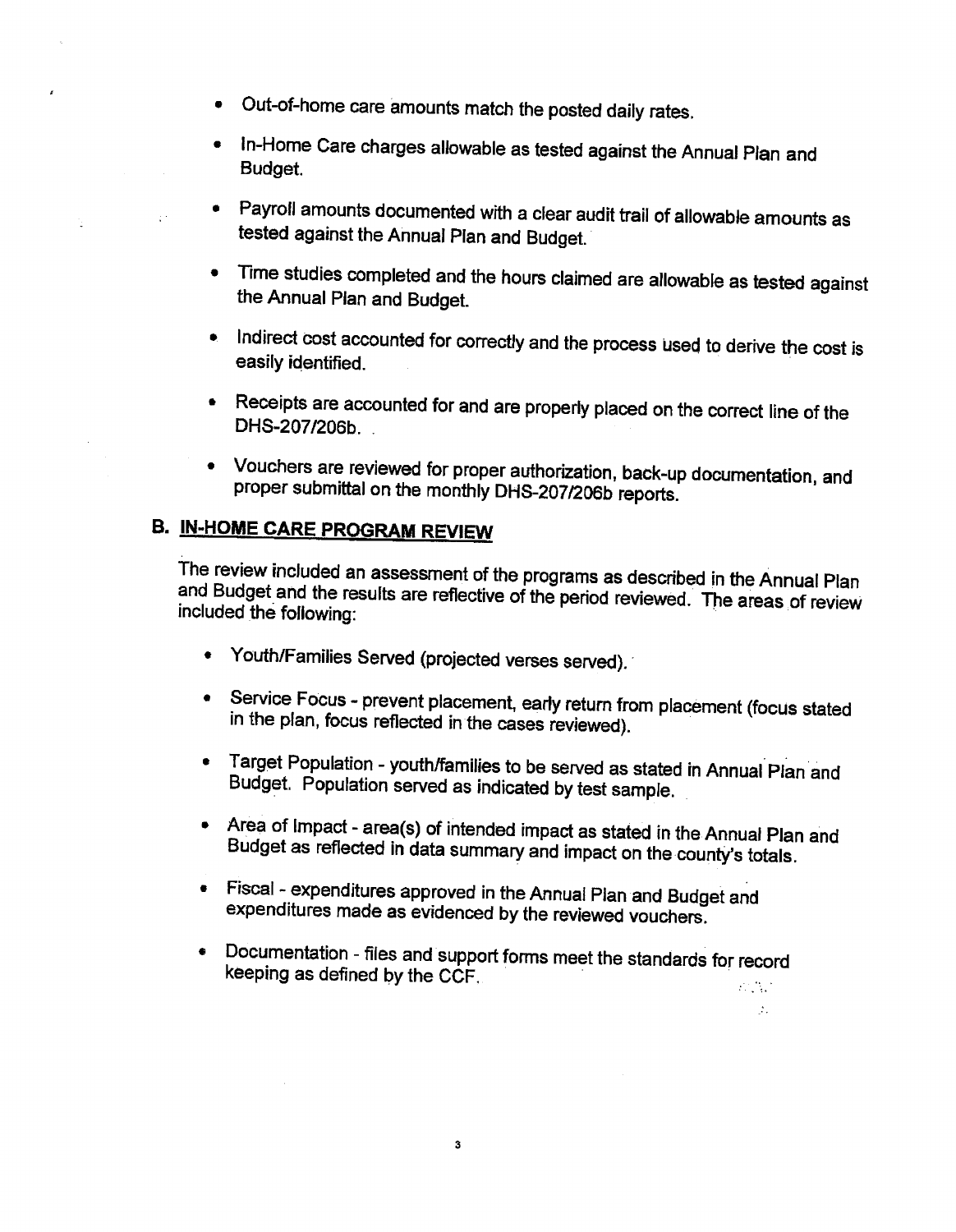- Out-of-home care amounts match the posted daily rates.
- In-Home Care charges allowable as tested against the Annual Plan and  $\bullet$ Budget.
- Payroll amounts documented with a clear audit trail of allowable amounts as tested against the Annual Plan and Budget.
- Time studies completed and the hours claimed are allowable as tested against the Annual Plan and Budget.
- Indirect cost accounted for correctly and the process used to derive the cost is  $\bullet$ easily identified.
- Receipts are accounted for and are properly placed on the correct line of the DHS-207/206b
- Vouchers are reviewed for proper authorization, back-up documentation, and proper submittal on the monthly DHS-207/206b reports.

# **B. IN-HOME CARE PROGRAM REVIEW**

 $\mathbb{R}^3$ 

The review included an assessment of the programs as described in the Annual Plan and Budget and the results are reflective of the period reviewed. The areas of review included the following:

- Youth/Families Served (projected verses served).
- Service Focus prevent placement, early return from placement (focus stated in the plan, focus reflected in the cases reviewed).
- Target Population youth/families to be served as stated in Annual Plan and Budget. Population served as indicated by test sample.
- Area of Impact area(s) of intended impact as stated in the Annual Plan and Budget as reflected in data summary and impact on the county's totals.

 $\mathcal{N}_{\mathcal{A}}$ 

- Fiscal expenditures approved in the Annual Plan and Budget and expenditures made as evidenced by the reviewed vouchers.
- Documentation files and support forms meet the standards for record  $\bullet$ keeping as defined by the CCF.  $\mathcal{L}^{\text{max}}_{\text{max}}$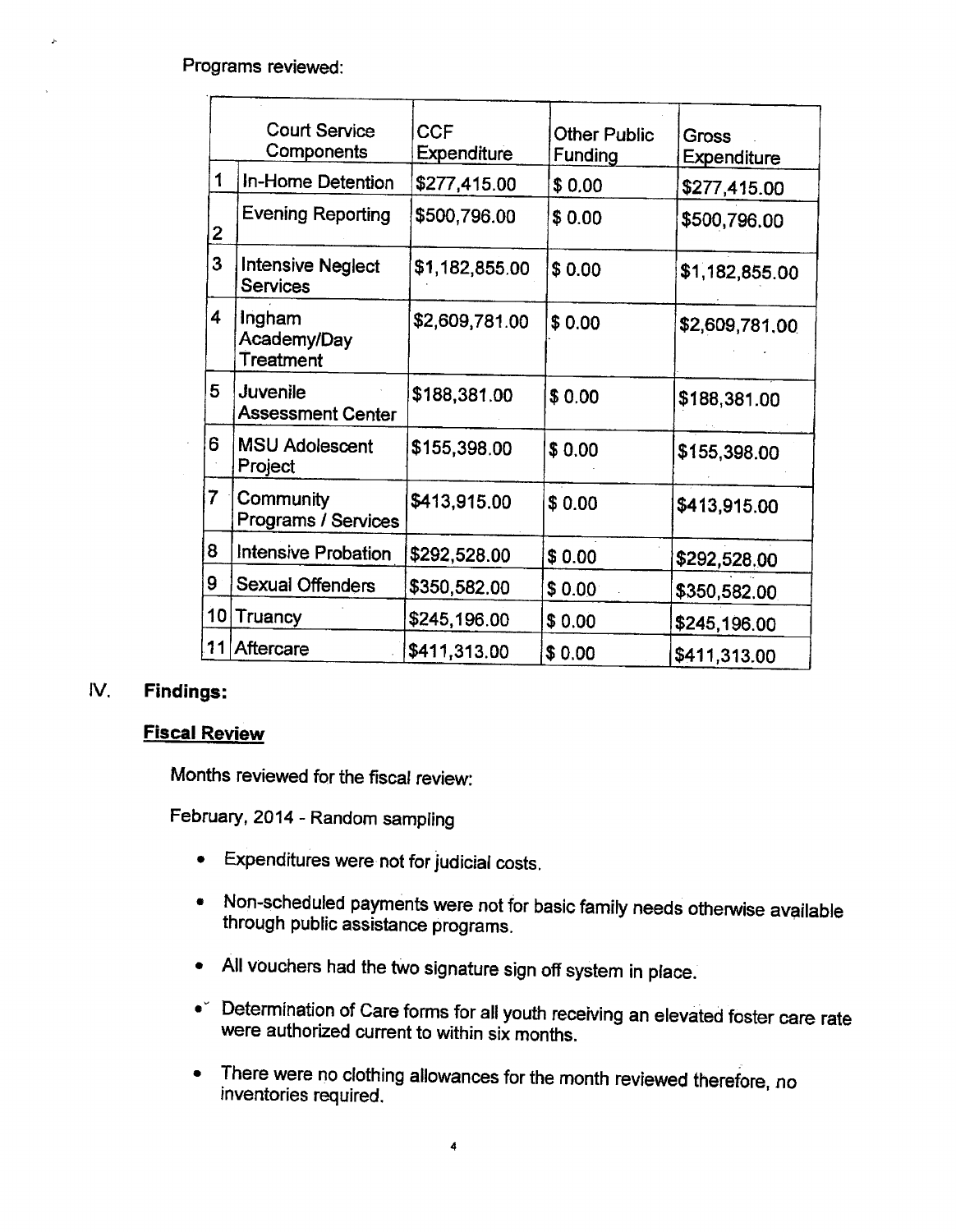Programs reviewed:

|                | <b>Court Service</b><br>Components          | <b>CCF</b><br><b>Expenditure</b> | <b>Other Public</b><br><b>Funding</b> | Gross<br>Expenditure |
|----------------|---------------------------------------------|----------------------------------|---------------------------------------|----------------------|
| 1              | In-Home Detention                           | \$277,415.00                     | \$0.00                                | \$277,415.00         |
| $\overline{2}$ | Evening Reporting                           | \$500,796.00                     | \$0.00                                | \$500,796.00         |
| 3              | <b>Intensive Neglect</b><br><b>Services</b> | \$1,182,855.00                   | \$0.00                                | \$1,182,855.00       |
| 4              | Ingham<br>Academy/Day<br>Treatment          | \$2,609,781.00                   | \$0.00                                | \$2,609,781.00       |
| 5              | Juvenile<br><b>Assessment Center</b>        | \$188,381.00                     | \$0.00                                | \$188,381.00         |
| 6              | <b>MSU Adolescent</b><br>Project            | \$155,398.00                     | \$0.00                                | \$155,398.00         |
| 7              | Community<br>Programs / Services            | \$413,915.00                     | \$0.00                                | \$413,915.00         |
| 8              | Intensive Probation                         | \$292,528.00                     | \$0.00                                | \$292,528.00         |
| 9              | Sexual Offenders                            | \$350,582.00                     | \$0.00                                | \$350,582.00         |
| 10             | Truancy                                     | \$245,196.00                     | \$0.00                                | \$245,196.00         |
| !11            | Aftercare                                   | \$411,313.00                     | \$0.00                                | \$411,313.00         |

#### IV. **Findings:**

### **Fiscal Review**

Months reviewed for the fiscal review:

February, 2014 - Random sampling

- Expenditures were not for judicial costs.
- . Non-scheduled payments were not for basic family needs otherwise available through public assistance programs.
- All vouchers had the two signature sign off system in place.
- Determination of Care forms for all youth receiving an elevated foster care rate were authorized current to within six months.
- There were no clothing allowances for the month reviewed therefore, no inventories required.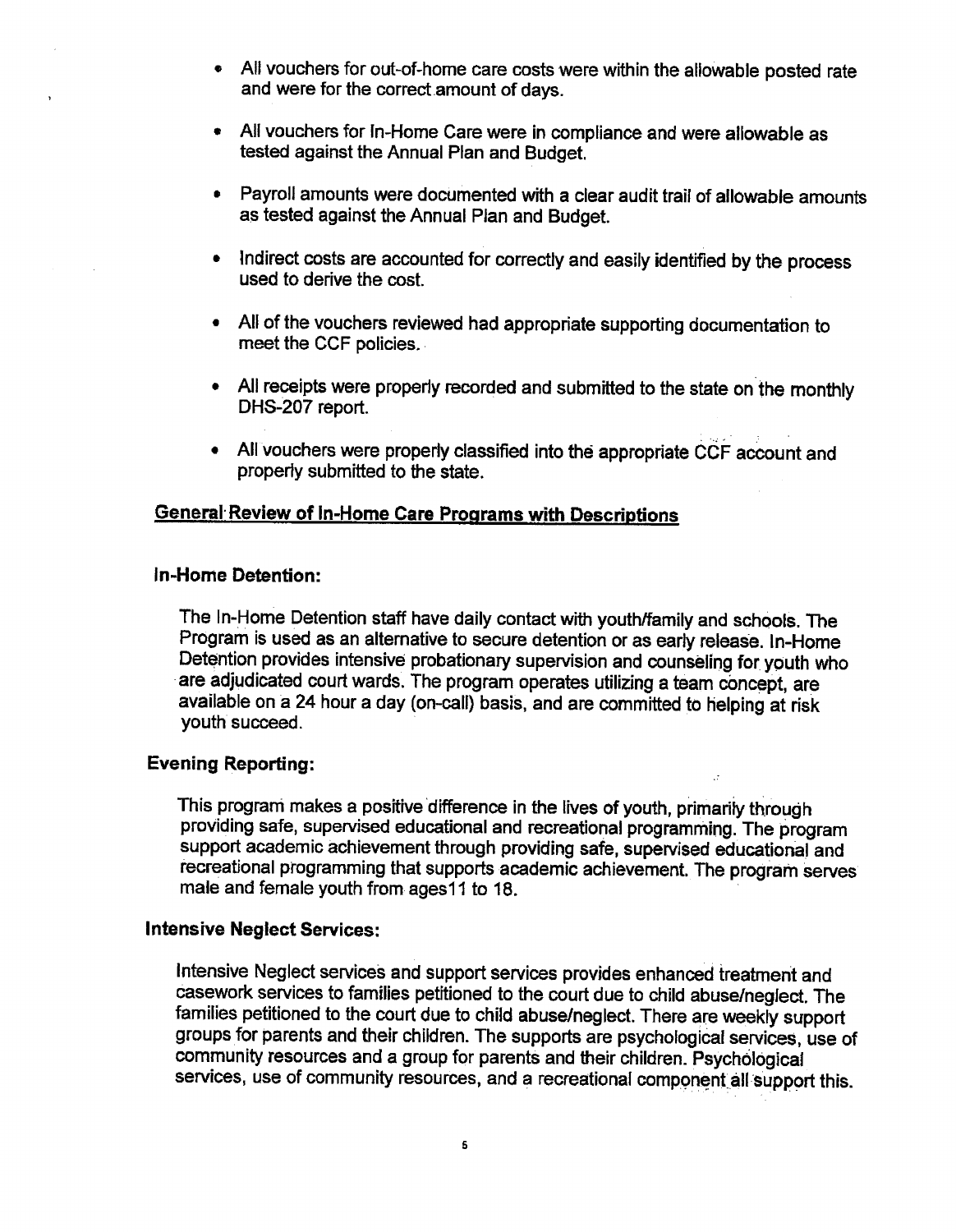- All vouchers for out-of-home care costs were within the allowable posted rate and were for the correct amount of days.
- All vouchers for In-Home Care were in compliance and were allowable as tested against the Annual Plan and Budget.
- Payroll amounts were documented with a clear audit trail of allowable amounts as tested against the Annual Plan and Budget.
- Indirect costs are accounted for correctly and easily identified by the process used to derive the cost.
- All of the vouchers reviewed had appropriate supporting documentation to meet the CCF policies.
- All receipts were properly recorded and submitted to the state on the monthly DHS-207 report.
- All vouchers were properly classified into the appropriate CCF account and properly submitted to the state.

### **General Review of In-Home Care Programs with Descriptions**

### In-Home Detention:

The In-Home Detention staff have daily contact with youth/family and schools. The Program is used as an alternative to secure detention or as early release. In-Home Detention provides intensive probationary supervision and counseling for youth who are adjudicated court wards. The program operates utilizing a team concept, are available on a 24 hour a day (on-call) basis, and are committed to helping at risk youth succeed.

### **Evening Reporting:**

This program makes a positive difference in the lives of youth, primarily through providing safe, supervised educational and recreational programming. The program support academic achievement through providing safe, supervised educational and recreational programming that supports academic achievement. The program serves male and female youth from ages 11 to 18.

### **Intensive Neglect Services:**

Intensive Neglect services and support services provides enhanced treatment and casework services to families petitioned to the court due to child abuse/neglect. The families petitioned to the court due to child abuse/neglect. There are weekly support groups for parents and their children. The supports are psychological services, use of community resources and a group for parents and their children. Psychological services, use of community resources, and a recreational component all support this.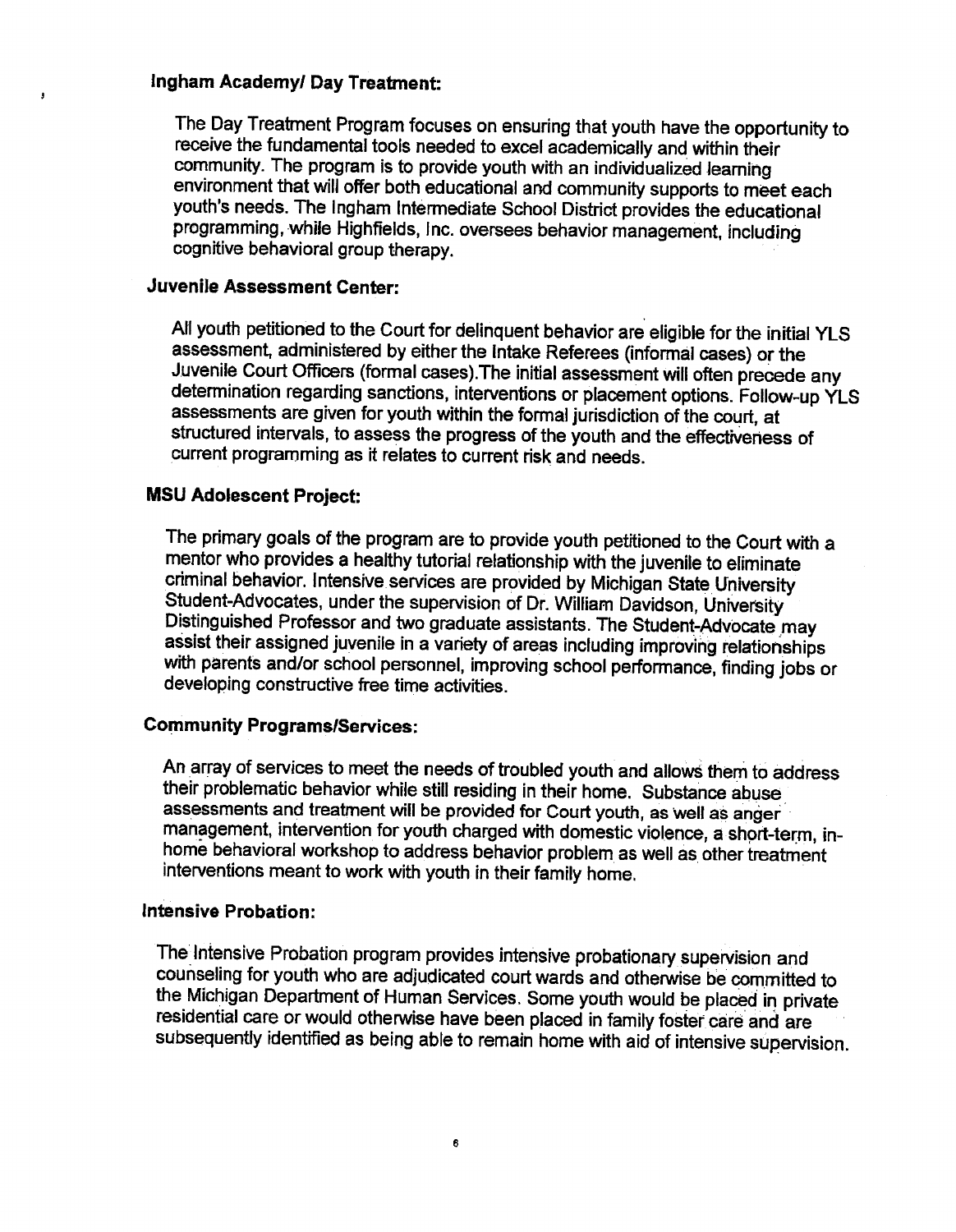### Ingham Academy/ Day Treatment:

 $\overline{\mathbf{3}}$ 

The Day Treatment Program focuses on ensuring that youth have the opportunity to receive the fundamental tools needed to excel academically and within their community. The program is to provide youth with an individualized learning environment that will offer both educational and community supports to meet each youth's needs. The Ingham Intermediate School District provides the educational programming, while Highfields, Inc. oversees behavior management, including cognitive behavioral group therapy.

### **Juvenile Assessment Center:**

All youth petitioned to the Court for delinquent behavior are eligible for the initial YLS assessment, administered by either the Intake Referees (informal cases) or the Juvenile Court Officers (formal cases). The initial assessment will often precede any determination regarding sanctions, interventions or placement options. Follow-up YLS assessments are given for youth within the formal jurisdiction of the court, at structured intervals, to assess the progress of the youth and the effectiveness of current programming as it relates to current risk and needs.

### **MSU Adolescent Project:**

The primary goals of the program are to provide youth petitioned to the Court with a mentor who provides a healthy tutorial relationship with the juvenile to eliminate criminal behavior. Intensive services are provided by Michigan State University Student-Advocates, under the supervision of Dr. William Davidson, University Distinguished Professor and two graduate assistants. The Student-Advocate may assist their assigned juvenile in a variety of areas including improving relationships with parents and/or school personnel, improving school performance, finding jobs or developing constructive free time activities.

### **Community Programs/Services:**

An array of services to meet the needs of troubled youth and allows them to address their problematic behavior while still residing in their home. Substance abuse assessments and treatment will be provided for Court youth, as well as anger management, intervention for youth charged with domestic violence, a short-term, inhome behavioral workshop to address behavior problem as well as other treatment interventions meant to work with youth in their family home.

### Intensive Probation:

The Intensive Probation program provides intensive probationary supervision and counseling for youth who are adjudicated court wards and otherwise be committed to the Michigan Department of Human Services. Some youth would be placed in private residential care or would otherwise have been placed in family foster care and are subsequently identified as being able to remain home with aid of intensive supervision.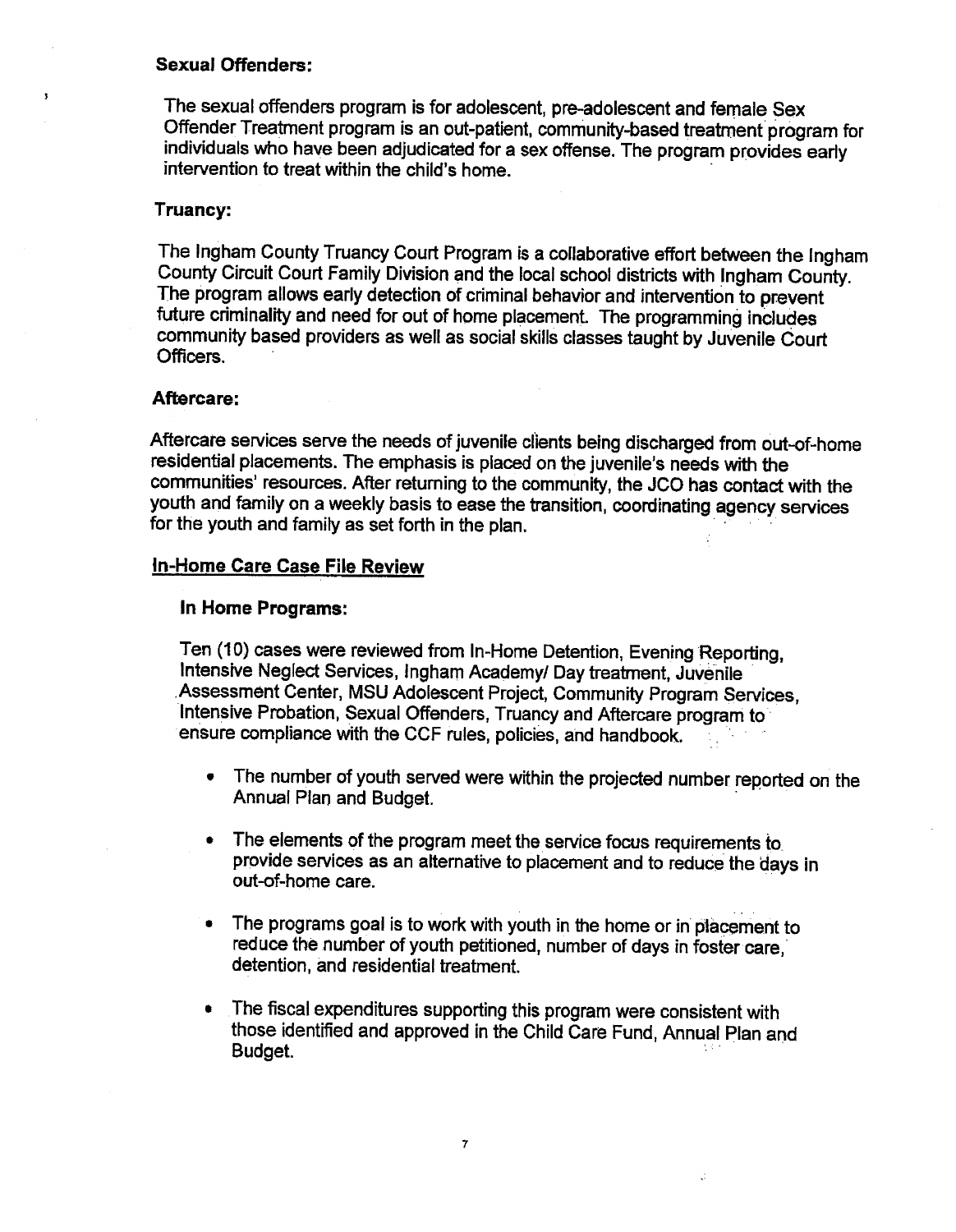### **Sexual Offenders:**

The sexual offenders program is for adolescent, pre-adolescent and female Sex Offender Treatment program is an out-patient, community-based treatment program for individuals who have been adjudicated for a sex offense. The program provides early intervention to treat within the child's home.

### Truancy:

 $\overline{\mathbf{3}}$ 

The Ingham County Truancy Court Program is a collaborative effort between the Ingham County Circuit Court Family Division and the local school districts with Ingham County. The program allows early detection of criminal behavior and intervention to prevent future criminality and need for out of home placement. The programming includes community based providers as well as social skills classes taught by Juvenile Court Officers.

### Aftercare:

Aftercare services serve the needs of juvenile clients being discharged from out-of-home residential placements. The emphasis is placed on the juvenile's needs with the communities' resources. After returning to the community, the JCO has contact with the youth and family on a weekly basis to ease the transition, coordinating agency services for the youth and family as set forth in the plan.

### In-Home Care Case File Review

### In Home Programs:

Ten (10) cases were reviewed from In-Home Detention, Evening Reporting. Intensive Neglect Services, Ingham Academy/ Day treatment, Juvenile Assessment Center, MSU Adolescent Project, Community Program Services. Intensive Probation, Sexual Offenders, Truancy and Aftercare program to ensure compliance with the CCF rules, policies, and handbook.

- The number of youth served were within the projected number reported on the Annual Plan and Budget.
- The elements of the program meet the service focus requirements to provide services as an alternative to placement and to reduce the days in out-of-home care.
- The programs goal is to work with youth in the home or in placement to  $\bullet$ reduce the number of youth petitioned, number of days in foster care, detention, and residential treatment.
- The fiscal expenditures supporting this program were consistent with  $\bullet$ those identified and approved in the Child Care Fund, Annual Plan and Budget.

Ĝ.